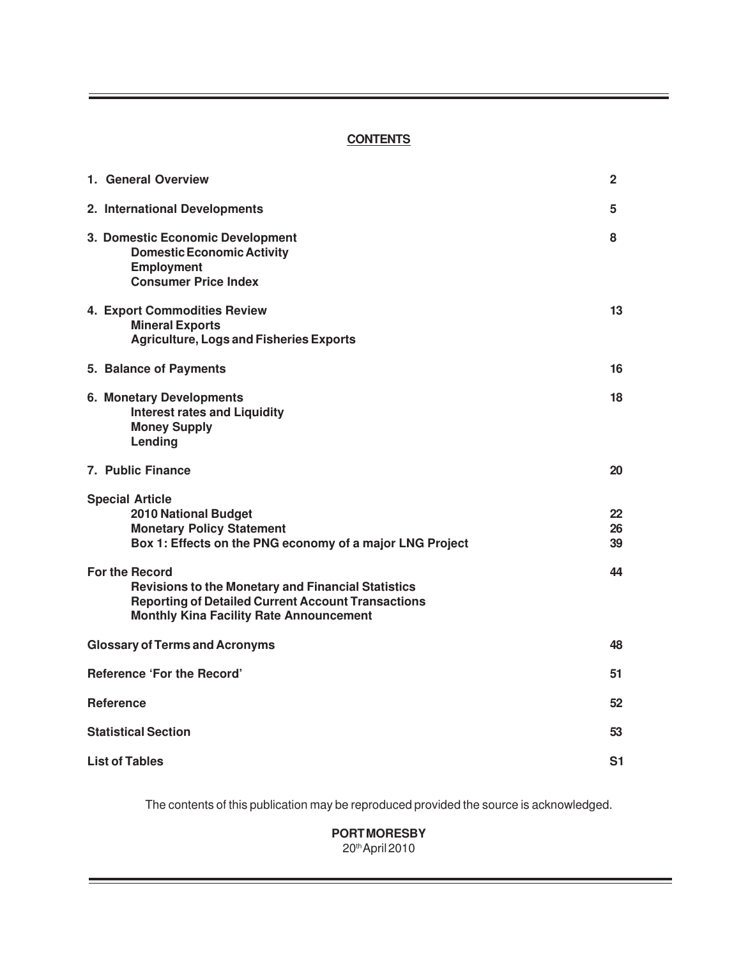#### **CONTENTS**

| 1. General Overview                                                                                                                                                                               | 2              |  |  |  |
|---------------------------------------------------------------------------------------------------------------------------------------------------------------------------------------------------|----------------|--|--|--|
| 2. International Developments                                                                                                                                                                     | 5              |  |  |  |
| 3. Domestic Economic Development<br><b>Domestic Economic Activity</b><br><b>Employment</b><br><b>Consumer Price Index</b>                                                                         | 8              |  |  |  |
| 4. Export Commodities Review<br><b>Mineral Exports</b><br><b>Agriculture, Logs and Fisheries Exports</b>                                                                                          | 13             |  |  |  |
| 5. Balance of Payments                                                                                                                                                                            | 16             |  |  |  |
| <b>6. Monetary Developments</b><br><b>Interest rates and Liquidity</b><br><b>Money Supply</b><br>Lending                                                                                          | 18             |  |  |  |
| 7. Public Finance                                                                                                                                                                                 | 20             |  |  |  |
| <b>Special Article</b><br><b>2010 National Budget</b><br><b>Monetary Policy Statement</b><br>Box 1: Effects on the PNG economy of a major LNG Project                                             | 22<br>26<br>39 |  |  |  |
| <b>For the Record</b><br><b>Revisions to the Monetary and Financial Statistics</b><br><b>Reporting of Detailed Current Account Transactions</b><br><b>Monthly Kina Facility Rate Announcement</b> | 44             |  |  |  |
| <b>Glossary of Terms and Acronyms</b>                                                                                                                                                             | 48             |  |  |  |
| <b>Reference 'For the Record'</b>                                                                                                                                                                 |                |  |  |  |
| <b>Reference</b>                                                                                                                                                                                  | 52             |  |  |  |
| <b>Statistical Section</b>                                                                                                                                                                        | 53             |  |  |  |
| <b>List of Tables</b><br>S1                                                                                                                                                                       |                |  |  |  |

The contents of this publication may be reproduced provided the source is acknowledged.

**PORT MORESBY** 20th April 2010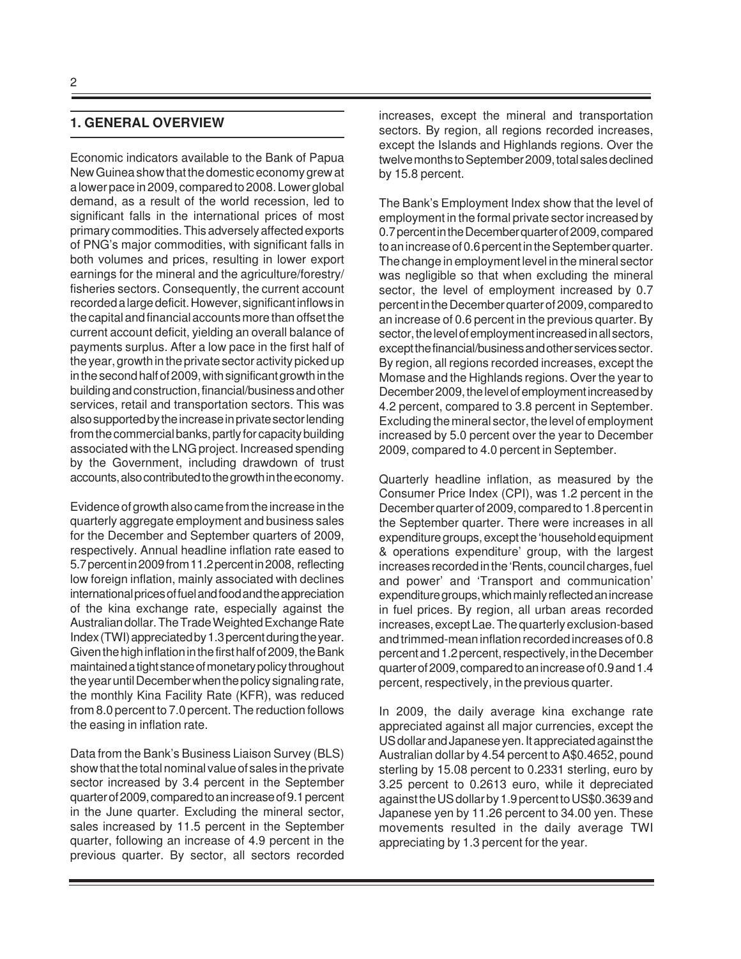### **1. GENERAL OVERVIEW**

Economic indicators available to the Bank of Papua New Guinea show that the domestic economy grew at a lower pace in 2009, compared to 2008. Lower global demand, as a result of the world recession, led to significant falls in the international prices of most primary commodities. This adversely affected exports of PNG's major commodities, with significant falls in both volumes and prices, resulting in lower export earnings for the mineral and the agriculture/forestry/ fisheries sectors. Consequently, the current account recorded a large deficit. However, significant inflows in the capital and financial accounts more than offset the current account deficit, yielding an overall balance of payments surplus. After a low pace in the first half of the year, growth in the private sector activity picked up in the second half of 2009, with significant growth in the building and construction, financial/business and other services, retail and transportation sectors. This was also supported by the increase in private sector lending from the commercial banks, partly for capacity building associated with the LNG project. Increased spending by the Government, including drawdown of trust accounts, also contributed to the growth in the economy.

Evidence of growth also came from the increase in the quarterly aggregate employment and business sales for the December and September quarters of 2009, respectively. Annual headline inflation rate eased to 5.7 percent in 2009 from 11.2 percent in 2008, reflecting low foreign inflation, mainly associated with declines international prices of fuel and food and the appreciation of the kina exchange rate, especially against the Australian dollar. The Trade Weighted Exchange Rate Index (TWI) appreciated by 1.3 percent during the year. Given the high inflation in the first half of 2009, the Bank maintained a tight stance of monetary policy throughout the year until December when the policy signaling rate, the monthly Kina Facility Rate (KFR), was reduced from 8.0 percent to 7.0 percent. The reduction follows the easing in inflation rate.

Data from the Bank's Business Liaison Survey (BLS) show that the total nominal value of sales in the private sector increased by 3.4 percent in the September quarter of 2009, compared to an increase of 9.1 percent in the June quarter. Excluding the mineral sector, sales increased by 11.5 percent in the September quarter, following an increase of 4.9 percent in the previous quarter. By sector, all sectors recorded increases, except the mineral and transportation sectors. By region, all regions recorded increases, except the Islands and Highlands regions. Over the twelve months to September 2009, total sales declined by 15.8 percent.

The Bank's Employment Index show that the level of employment in the formal private sector increased by 0.7 percent in the December quarter of 2009, compared to an increase of 0.6 percent in the September quarter. The change in employment level in the mineral sector was negligible so that when excluding the mineral sector, the level of employment increased by 0.7 percent in the December quarter of 2009, compared to an increase of 0.6 percent in the previous quarter. By sector, the level of employment increased in all sectors, except the financial/business and other services sector. By region, all regions recorded increases, except the Momase and the Highlands regions. Over the year to December 2009, the level of employment increased by 4.2 percent, compared to 3.8 percent in September. Excluding the mineral sector, the level of employment increased by 5.0 percent over the year to December 2009, compared to 4.0 percent in September.

Quarterly headline inflation, as measured by the Consumer Price Index (CPI), was 1.2 percent in the December quarter of 2009, compared to 1.8 percent in the September quarter. There were increases in all expenditure groups, except the 'household equipment & operations expenditure' group, with the largest increases recorded in the 'Rents, council charges, fuel and power' and 'Transport and communication' expenditure groups, which mainly reflected an increase in fuel prices. By region, all urban areas recorded increases, except Lae. The quarterly exclusion-based and trimmed-mean inflation recorded increases of 0.8 percent and 1.2 percent, respectively, in the December quarter of 2009, compared to an increase of 0.9 and 1.4 percent, respectively, in the previous quarter.

In 2009, the daily average kina exchange rate appreciated against all major currencies, except the US dollar and Japanese yen. It appreciated against the Australian dollar by 4.54 percent to A\$0.4652, pound sterling by 15.08 percent to 0.2331 sterling, euro by 3.25 percent to 0.2613 euro, while it depreciated against the US dollar by 1.9 percent to US\$0.3639 and Japanese yen by 11.26 percent to 34.00 yen. These movements resulted in the daily average TWI appreciating by 1.3 percent for the year.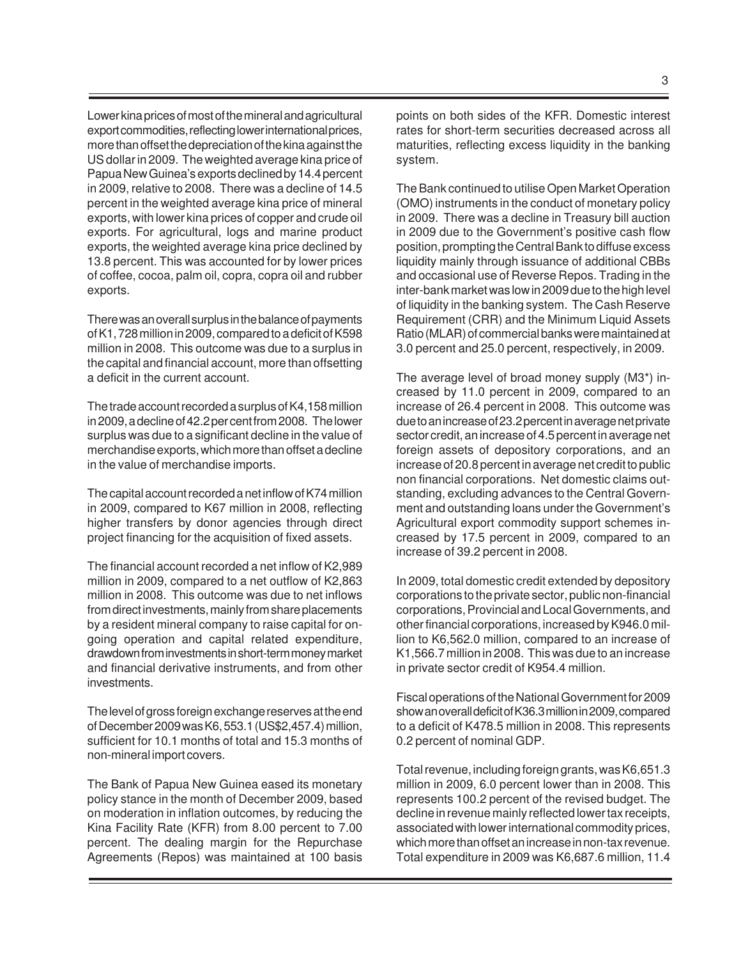Lower kina prices of most of the mineral and agricultural export commodities, reflecting lower international prices, more than offset the depreciation of the kina against the US dollar in 2009. The weighted average kina price of Papua New Guinea's exports declined by 14.4 percent in 2009, relative to 2008. There was a decline of 14.5 percent in the weighted average kina price of mineral exports, with lower kina prices of copper and crude oil exports. For agricultural, logs and marine product exports, the weighted average kina price declined by 13.8 percent. This was accounted for by lower prices of coffee, cocoa, palm oil, copra, copra oil and rubber exports.

There was an overall surplus in the balance of payments of K1, 728 million in 2009, compared to a deficit of K598 million in 2008. This outcome was due to a surplus in the capital and financial account, more than offsetting a deficit in the current account.

The trade account recorded a surplus of K4,158 million in 2009, a decline of 42.2 per cent from 2008. The lower surplus was due to a significant decline in the value of merchandise exports, which more than offset a decline in the value of merchandise imports.

The capital account recorded a net inflow of K74 million in 2009, compared to K67 million in 2008, reflecting higher transfers by donor agencies through direct project financing for the acquisition of fixed assets.

The financial account recorded a net inflow of K2,989 million in 2009, compared to a net outflow of K2,863 million in 2008. This outcome was due to net inflows from direct investments, mainly from share placements by a resident mineral company to raise capital for ongoing operation and capital related expenditure, drawdown from investments in short-term money market and financial derivative instruments, and from other investments.

The level of gross foreign exchange reserves at the end of December 2009 was K6, 553.1 (US\$2,457.4) million, sufficient for 10.1 months of total and 15.3 months of non-mineral import covers.

The Bank of Papua New Guinea eased its monetary policy stance in the month of December 2009, based on moderation in inflation outcomes, by reducing the Kina Facility Rate (KFR) from 8.00 percent to 7.00 percent. The dealing margin for the Repurchase Agreements (Repos) was maintained at 100 basis

points on both sides of the KFR. Domestic interest rates for short-term securities decreased across all maturities, reflecting excess liquidity in the banking system.

The Bank continued to utilise Open Market Operation (OMO) instruments in the conduct of monetary policy in 2009. There was a decline in Treasury bill auction in 2009 due to the Government's positive cash flow position, prompting the Central Bank to diffuse excess liquidity mainly through issuance of additional CBBs and occasional use of Reverse Repos. Trading in the inter-bank market was low in 2009 due to the high level of liquidity in the banking system. The Cash Reserve Requirement (CRR) and the Minimum Liquid Assets Ratio (MLAR) of commercial banks were maintained at 3.0 percent and 25.0 percent, respectively, in 2009.

The average level of broad money supply (M3\*) increased by 11.0 percent in 2009, compared to an increase of 26.4 percent in 2008. This outcome was due to an increase of 23.2 percent in average net private sector credit, an increase of 4.5 percent in average net foreign assets of depository corporations, and an increase of 20.8 percent in average net credit to public non financial corporations. Net domestic claims outstanding, excluding advances to the Central Government and outstanding loans under the Government's Agricultural export commodity support schemes increased by 17.5 percent in 2009, compared to an increase of 39.2 percent in 2008.

In 2009, total domestic credit extended by depository corporations to the private sector, public non-financial corporations, Provincial and Local Governments, and other financial corporations, increased by K946.0 million to K6,562.0 million, compared to an increase of K1,566.7 million in 2008. This was due to an increase in private sector credit of K954.4 million.

Fiscal operations of the National Government for 2009 show an overall deficit of K36.3 million in 2009, compared to a deficit of K478.5 million in 2008. This represents 0.2 percent of nominal GDP.

Total revenue, including foreign grants, was K6,651.3 million in 2009, 6.0 percent lower than in 2008. This represents 100.2 percent of the revised budget. The decline in revenue mainly reflected lower tax receipts, associated with lower international commodity prices, which more than offset an increase in non-tax revenue. Total expenditure in 2009 was K6,687.6 million, 11.4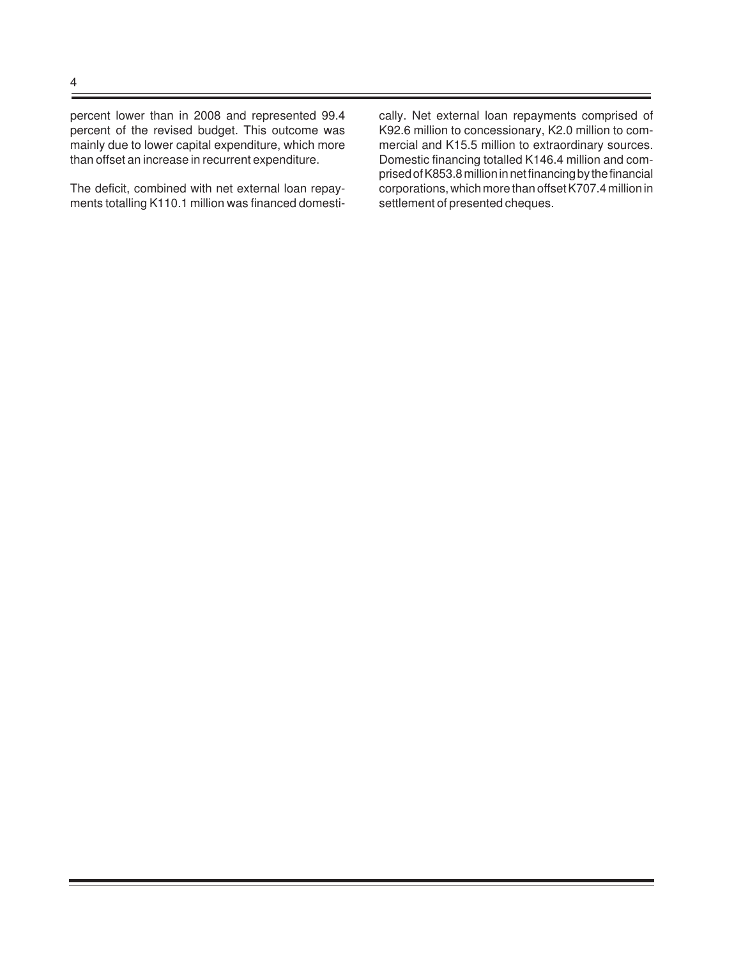percent lower than in 2008 and represented 99.4 percent of the revised budget. This outcome was mainly due to lower capital expenditure, which more than offset an increase in recurrent expenditure.

The deficit, combined with net external loan repayments totalling K110.1 million was financed domesti-

cally. Net external loan repayments comprised of K92.6 million to concessionary, K2.0 million to commercial and K15.5 million to extraordinary sources. Domestic financing totalled K146.4 million and comprised of K853.8 million in net financing by the financial corporations, which more than offset K707.4 million in settlement of presented cheques.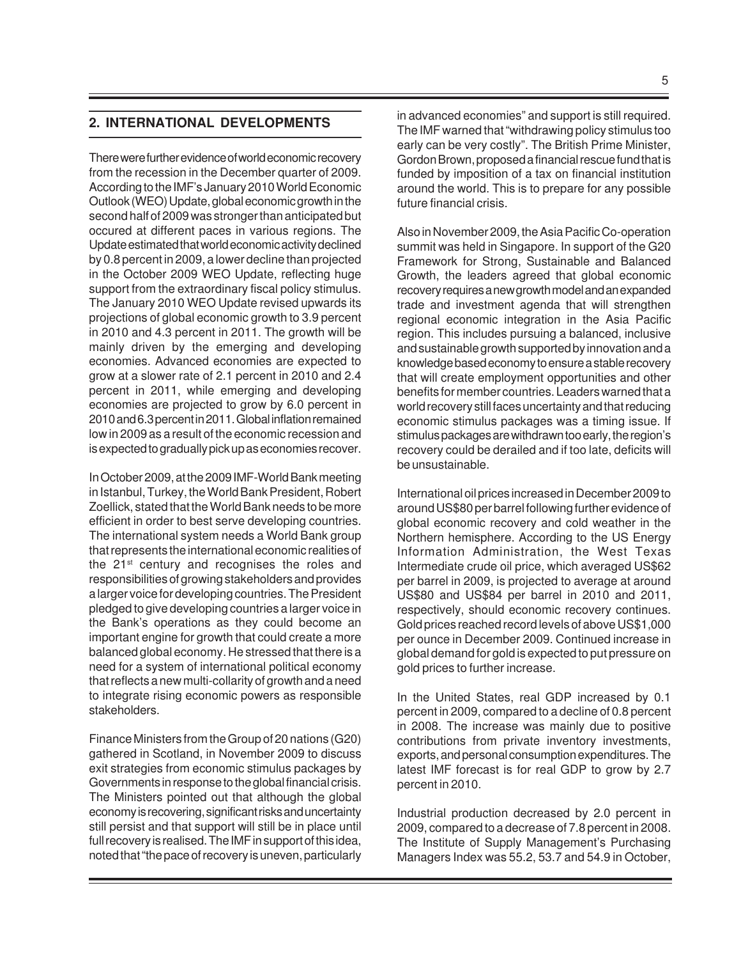#### **2. INTERNATIONAL DEVELOPMENTS**

There were further evidence of world economic recovery from the recession in the December quarter of 2009. According to the IMF's January 2010 World Economic Outlook (WEO) Update, global economic growth in the second half of 2009 was stronger than anticipated but occured at different paces in various regions. The Update estimated that world economic activity declined by 0.8 percent in 2009, a lower decline than projected in the October 2009 WEO Update, reflecting huge support from the extraordinary fiscal policy stimulus. The January 2010 WEO Update revised upwards its projections of global economic growth to 3.9 percent in 2010 and 4.3 percent in 2011. The growth will be mainly driven by the emerging and developing economies. Advanced economies are expected to grow at a slower rate of 2.1 percent in 2010 and 2.4 percent in 2011, while emerging and developing economies are projected to grow by 6.0 percent in 2010 and 6.3 percent in 2011. Global inflation remained low in 2009 as a result of the economic recession and is expected to gradually pick up as economies recover.

In October 2009, at the 2009 IMF-World Bank meeting in Istanbul, Turkey, the World Bank President, Robert Zoellick, stated that the World Bank needs to be more efficient in order to best serve developing countries. The international system needs a World Bank group that represents the international economic realities of the 21<sup>st</sup> century and recognises the roles and responsibilities of growing stakeholders and provides a larger voice for developing countries. The President pledged to give developing countries a larger voice in the Bank's operations as they could become an important engine for growth that could create a more balanced global economy. He stressed that there is a need for a system of international political economy that reflects a new multi-collarity of growth and a need to integrate rising economic powers as responsible stakeholders.

Finance Ministers from the Group of 20 nations (G20) gathered in Scotland, in November 2009 to discuss exit strategies from economic stimulus packages by Governments in response to the global financial crisis. The Ministers pointed out that although the global economy is recovering, significant risks and uncertainty still persist and that support will still be in place until full recovery is realised. The IMF in support of this idea, noted that "the pace of recovery is uneven, particularly

in advanced economies" and support is still required. The IMF warned that "withdrawing policy stimulus too early can be very costly". The British Prime Minister, Gordon Brown, proposed a financial rescue fund that is funded by imposition of a tax on financial institution around the world. This is to prepare for any possible future financial crisis.

Also in November 2009, the Asia Pacific Co-operation summit was held in Singapore. In support of the G20 Framework for Strong, Sustainable and Balanced Growth, the leaders agreed that global economic recovery requires a new growth model and an expanded trade and investment agenda that will strengthen regional economic integration in the Asia Pacific region. This includes pursuing a balanced, inclusive and sustainable growth supported by innovation and a knowledge based economy to ensure a stable recovery that will create employment opportunities and other benefits for member countries. Leaders warned that a world recovery still faces uncertainty and that reducing economic stimulus packages was a timing issue. If stimulus packages are withdrawn too early, the region's recovery could be derailed and if too late, deficits will be unsustainable.

International oil prices increased in December 2009 to around US\$80 per barrel following further evidence of global economic recovery and cold weather in the Northern hemisphere. According to the US Energy Information Administration, the West Texas Intermediate crude oil price, which averaged US\$62 per barrel in 2009, is projected to average at around US\$80 and US\$84 per barrel in 2010 and 2011, respectively, should economic recovery continues. Gold prices reached record levels of above US\$1,000 per ounce in December 2009. Continued increase in global demand for gold is expected to put pressure on gold prices to further increase.

In the United States, real GDP increased by 0.1 percent in 2009, compared to a decline of 0.8 percent in 2008. The increase was mainly due to positive contributions from private inventory investments, exports, and personal consumption expenditures. The latest IMF forecast is for real GDP to grow by 2.7 percent in 2010.

Industrial production decreased by 2.0 percent in 2009, compared to a decrease of 7.8 percent in 2008. The Institute of Supply Management's Purchasing Managers Index was 55.2, 53.7 and 54.9 in October,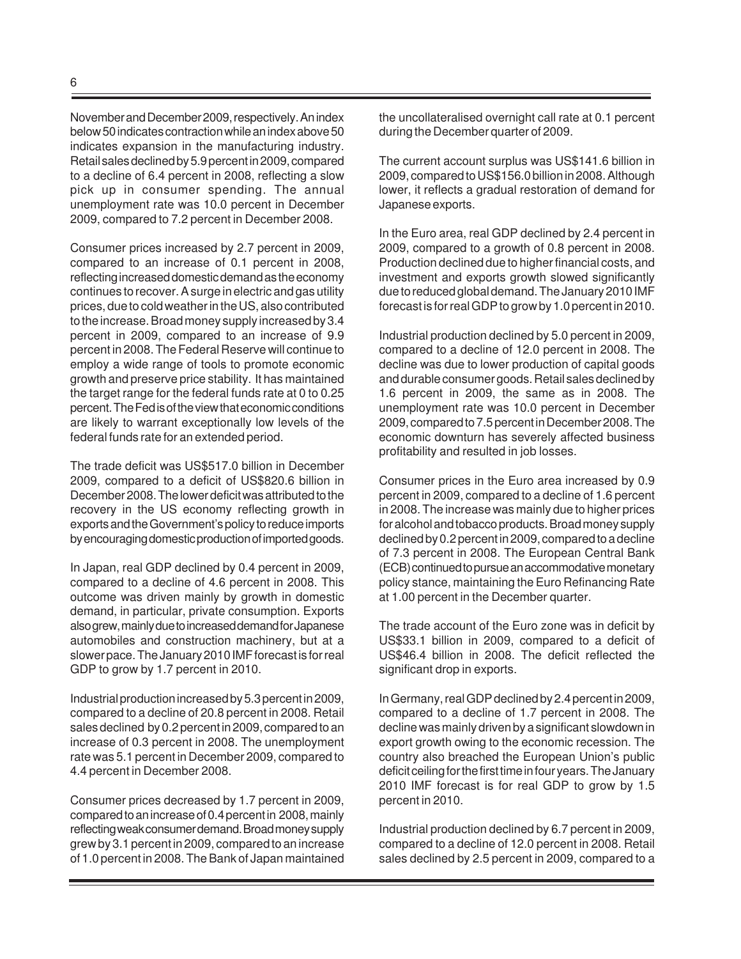November and December 2009, respectively. An index below 50 indicates contraction while an index above 50 indicates expansion in the manufacturing industry. Retail sales declined by 5.9 percent in 2009, compared to a decline of 6.4 percent in 2008, reflecting a slow pick up in consumer spending. The annual unemployment rate was 10.0 percent in December 2009, compared to 7.2 percent in December 2008.

Consumer prices increased by 2.7 percent in 2009, compared to an increase of 0.1 percent in 2008, reflecting increased domestic demand as the economy continues to recover. A surge in electric and gas utility prices, due to cold weather in the US, also contributed to the increase. Broad money supply increased by 3.4 percent in 2009, compared to an increase of 9.9 percent in 2008. The Federal Reserve will continue to employ a wide range of tools to promote economic growth and preserve price stability. It has maintained the target range for the federal funds rate at 0 to 0.25 percent. The Fed is of the view that economic conditions are likely to warrant exceptionally low levels of the federal funds rate for an extended period.

The trade deficit was US\$517.0 billion in December 2009, compared to a deficit of US\$820.6 billion in December 2008. The lower deficit was attributed to the recovery in the US economy reflecting growth in exports and the Government's policy to reduce imports by encouraging domestic production of imported goods.

In Japan, real GDP declined by 0.4 percent in 2009, compared to a decline of 4.6 percent in 2008. This outcome was driven mainly by growth in domestic demand, in particular, private consumption. Exports also grew, mainly due to increased demand for Japanese automobiles and construction machinery, but at a slower pace. The January 2010 IMF forecast is for real GDP to grow by 1.7 percent in 2010.

Industrial production increased by 5.3 percent in 2009, compared to a decline of 20.8 percent in 2008. Retail sales declined by 0.2 percent in 2009, compared to an increase of 0.3 percent in 2008. The unemployment rate was 5.1 percent in December 2009, compared to 4.4 percent in December 2008.

Consumer prices decreased by 1.7 percent in 2009, compared to an increase of 0.4 percent in 2008, mainly reflecting weak consumer demand. Broad money supply grew by 3.1 percent in 2009, compared to an increase of 1.0 percent in 2008. The Bank of Japan maintained the uncollateralised overnight call rate at 0.1 percent during the December quarter of 2009.

The current account surplus was US\$141.6 billion in 2009, compared to US\$156.0 billion in 2008. Although lower, it reflects a gradual restoration of demand for Japanese exports.

In the Euro area, real GDP declined by 2.4 percent in 2009, compared to a growth of 0.8 percent in 2008. Production declined due to higher financial costs, and investment and exports growth slowed significantly due to reduced global demand. The January 2010 IMF forecast is for real GDP to grow by 1.0 percent in 2010.

Industrial production declined by 5.0 percent in 2009, compared to a decline of 12.0 percent in 2008. The decline was due to lower production of capital goods and durable consumer goods. Retail sales declined by 1.6 percent in 2009, the same as in 2008. The unemployment rate was 10.0 percent in December 2009, compared to 7.5 percent in December 2008. The economic downturn has severely affected business profitability and resulted in job losses.

Consumer prices in the Euro area increased by 0.9 percent in 2009, compared to a decline of 1.6 percent in 2008. The increase was mainly due to higher prices for alcohol and tobacco products. Broad money supply declined by 0.2 percent in 2009, compared to a decline of 7.3 percent in 2008. The European Central Bank (ECB) continued to pursue an accommodative monetary policy stance, maintaining the Euro Refinancing Rate at 1.00 percent in the December quarter.

The trade account of the Euro zone was in deficit by US\$33.1 billion in 2009, compared to a deficit of US\$46.4 billion in 2008. The deficit reflected the significant drop in exports.

In Germany, real GDP declined by 2.4 percent in 2009, compared to a decline of 1.7 percent in 2008. The decline was mainly driven by a significant slowdown in export growth owing to the economic recession. The country also breached the European Union's public deficit ceiling for the first time in four years. The January 2010 IMF forecast is for real GDP to grow by 1.5 percent in 2010.

Industrial production declined by 6.7 percent in 2009, compared to a decline of 12.0 percent in 2008. Retail sales declined by 2.5 percent in 2009, compared to a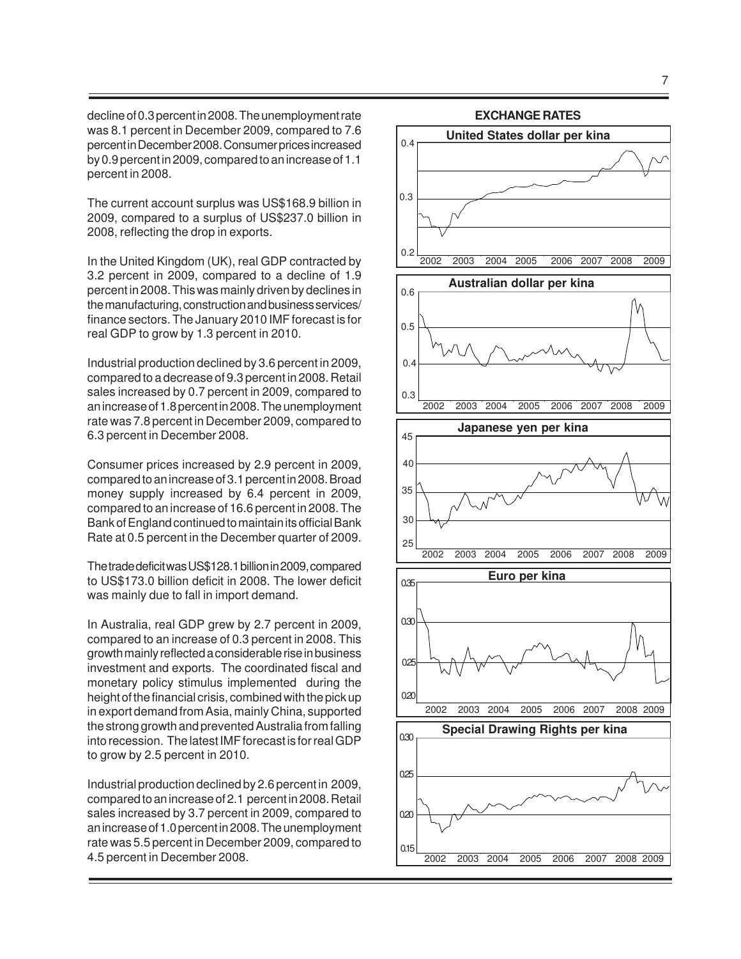decline of 0.3 percent in 2008. The unemployment rate was 8.1 percent in December 2009, compared to 7.6 percent in December 2008. Consumer prices increased by 0.9 percent in 2009, compared to an increase of 1.1 percent in 2008.

The current account surplus was US\$168.9 billion in 2009, compared to a surplus of US\$237.0 billion in 2008, reflecting the drop in exports.

In the United Kingdom (UK), real GDP contracted by 3.2 percent in 2009, compared to a decline of 1.9 percent in 2008. This was mainly driven by declines in the manufacturing, construction and business services/ finance sectors. The January 2010 IMF forecast is for real GDP to grow by 1.3 percent in 2010.

Industrial production declined by 3.6 percent in 2009, compared to a decrease of 9.3 percent in 2008. Retail sales increased by 0.7 percent in 2009, compared to an increase of 1.8 percent in 2008. The unemployment rate was 7.8 percent in December 2009, compared to 6.3 percent in December 2008.

Consumer prices increased by 2.9 percent in 2009, compared to an increase of 3.1 percent in 2008. Broad money supply increased by 6.4 percent in 2009, compared to an increase of 16.6 percent in 2008. The Bank of England continued to maintain its official Bank Rate at 0.5 percent in the December quarter of 2009.

The trade deficit was US\$128.1 billion in 2009, compared to US\$173.0 billion deficit in 2008. The lower deficit was mainly due to fall in import demand.

In Australia, real GDP grew by 2.7 percent in 2009, compared to an increase of 0.3 percent in 2008. This growth mainly reflected a considerable rise in business investment and exports. The coordinated fiscal and monetary policy stimulus implemented during the height of the financial crisis, combined with the pick up in export demand from Asia, mainly China, supported the strong growth and prevented Australia from falling into recession. The latest IMF forecast is for real GDP to grow by 2.5 percent in 2010.

Industrial production declined by 2.6 percent in 2009, compared to an increase of 2.1 percent in 2008. Retail sales increased by 3.7 percent in 2009, compared to an increase of 1.0 percent in 2008. The unemployment rate was 5.5 percent in December 2009, compared to 4.5 percent in December 2008.

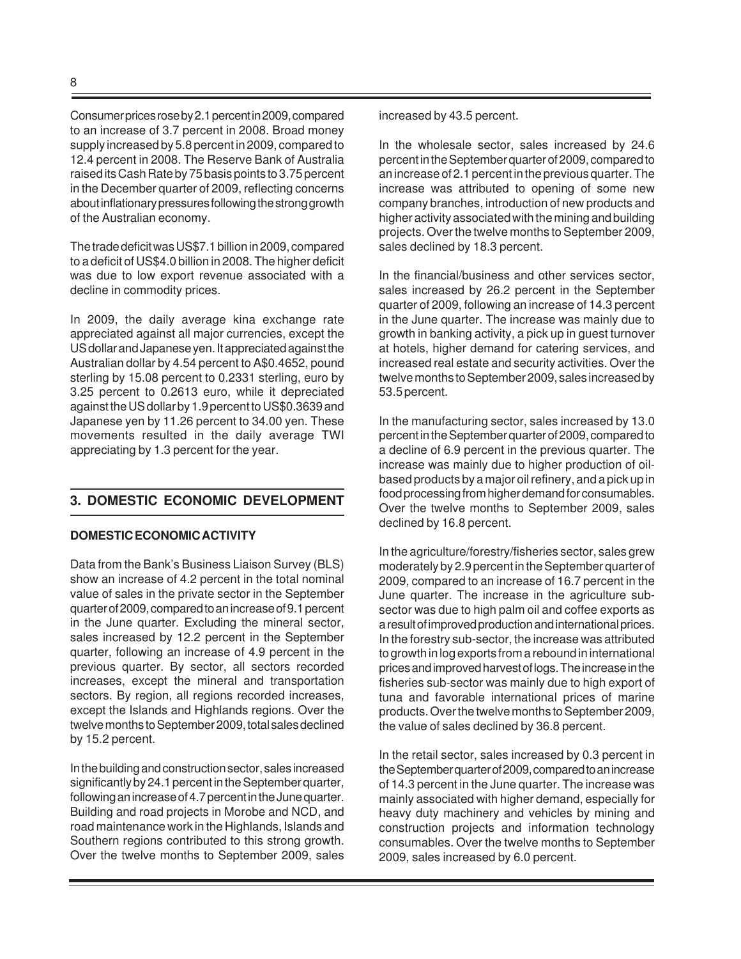Consumer prices rose by 2.1 percent in 2009, compared to an increase of 3.7 percent in 2008. Broad money supply increased by 5.8 percent in 2009, compared to 12.4 percent in 2008. The Reserve Bank of Australia raised its Cash Rate by 75 basis points to 3.75 percent in the December quarter of 2009, reflecting concerns about inflationary pressures following the strong growth of the Australian economy.

The trade deficit was US\$7.1 billion in 2009, compared to a deficit of US\$4.0 billion in 2008. The higher deficit was due to low export revenue associated with a decline in commodity prices.

In 2009, the daily average kina exchange rate appreciated against all major currencies, except the US dollar and Japanese yen. It appreciated against the Australian dollar by 4.54 percent to A\$0.4652, pound sterling by 15.08 percent to 0.2331 sterling, euro by 3.25 percent to 0.2613 euro, while it depreciated against the US dollar by 1.9 percent to US\$0.3639 and Japanese yen by 11.26 percent to 34.00 yen. These movements resulted in the daily average TWI appreciating by 1.3 percent for the year.

#### **3. DOMESTIC ECONOMIC DEVELOPMENT**

#### **DOMESTIC ECONOMIC ACTIVITY**

Data from the Bank's Business Liaison Survey (BLS) show an increase of 4.2 percent in the total nominal value of sales in the private sector in the September quarter of 2009, compared to an increase of 9.1 percent in the June quarter. Excluding the mineral sector, sales increased by 12.2 percent in the September quarter, following an increase of 4.9 percent in the previous quarter. By sector, all sectors recorded increases, except the mineral and transportation sectors. By region, all regions recorded increases, except the Islands and Highlands regions. Over the twelve months to September 2009, total sales declined by 15.2 percent.

In the building and construction sector, sales increased significantly by 24.1 percent in the September quarter, following an increase of 4.7 percent in the June quarter. Building and road projects in Morobe and NCD, and road maintenance work in the Highlands, Islands and Southern regions contributed to this strong growth. Over the twelve months to September 2009, sales increased by 43.5 percent.

In the wholesale sector, sales increased by 24.6 percent in the September quarter of 2009, compared to an increase of 2.1 percent in the previous quarter. The increase was attributed to opening of some new company branches, introduction of new products and higher activity associated with the mining and building projects. Over the twelve months to September 2009, sales declined by 18.3 percent.

In the financial/business and other services sector, sales increased by 26.2 percent in the September quarter of 2009, following an increase of 14.3 percent in the June quarter. The increase was mainly due to growth in banking activity, a pick up in guest turnover at hotels, higher demand for catering services, and increased real estate and security activities. Over the twelve months to September 2009, sales increased by 53.5 percent.

In the manufacturing sector, sales increased by 13.0 percent in the September quarter of 2009, compared to a decline of 6.9 percent in the previous quarter. The increase was mainly due to higher production of oilbased products by a major oil refinery, and a pick up in food processing from higher demand for consumables. Over the twelve months to September 2009, sales declined by 16.8 percent.

In the agriculture/forestry/fisheries sector, sales grew moderately by 2.9 percent in the September quarter of 2009, compared to an increase of 16.7 percent in the June quarter. The increase in the agriculture subsector was due to high palm oil and coffee exports as a result of improved production and international prices. In the forestry sub-sector, the increase was attributed to growth in log exports from a rebound in international prices and improved harvest of logs. The increase in the fisheries sub-sector was mainly due to high export of tuna and favorable international prices of marine products. Over the twelve months to September 2009, the value of sales declined by 36.8 percent.

In the retail sector, sales increased by 0.3 percent in the September quarter of 2009, compared to an increase of 14.3 percent in the June quarter. The increase was mainly associated with higher demand, especially for heavy duty machinery and vehicles by mining and construction projects and information technology consumables. Over the twelve months to September 2009, sales increased by 6.0 percent.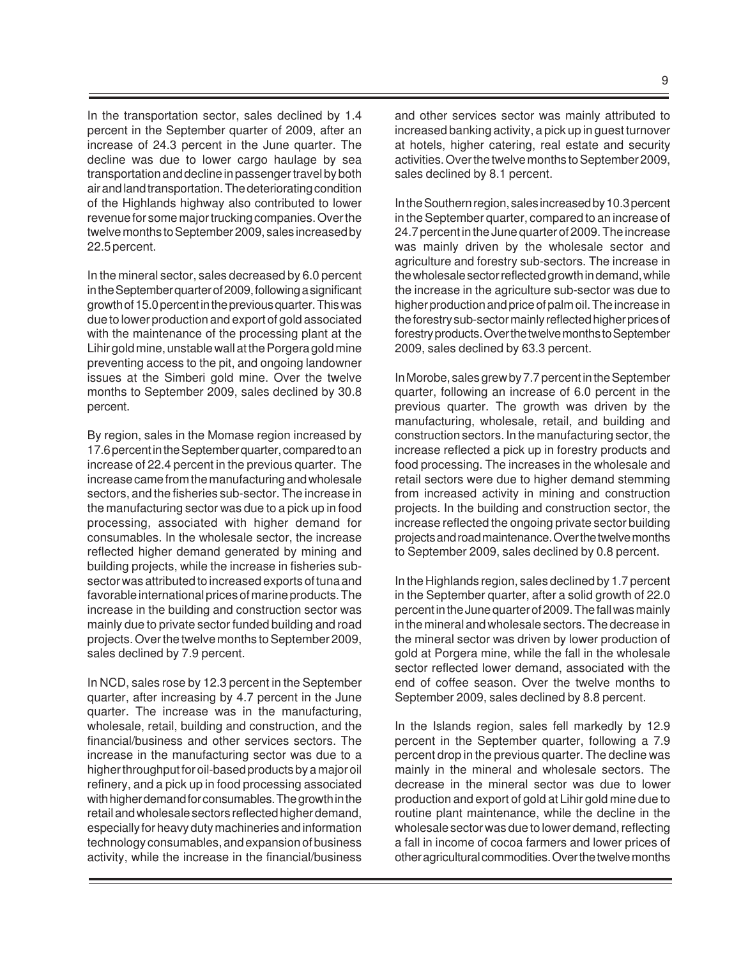In the transportation sector, sales declined by 1.4 percent in the September quarter of 2009, after an increase of 24.3 percent in the June quarter. The decline was due to lower cargo haulage by sea transportation and decline in passenger travel by both air and land transportation. The deteriorating condition of the Highlands highway also contributed to lower revenue for some major trucking companies. Over the twelve months to September 2009, sales increased by 22.5 percent.

In the mineral sector, sales decreased by 6.0 percent in the September quarter of 2009, following a significant growth of 15.0 percent in the previous quarter. This was due to lower production and export of gold associated with the maintenance of the processing plant at the Lihir gold mine, unstable wall at the Porgera gold mine preventing access to the pit, and ongoing landowner issues at the Simberi gold mine. Over the twelve months to September 2009, sales declined by 30.8 percent.

By region, sales in the Momase region increased by 17.6 percent in the September quarter, compared to an increase of 22.4 percent in the previous quarter. The increase came from the manufacturing and wholesale sectors, and the fisheries sub-sector. The increase in the manufacturing sector was due to a pick up in food processing, associated with higher demand for consumables. In the wholesale sector, the increase reflected higher demand generated by mining and building projects, while the increase in fisheries subsector was attributed to increased exports of tuna and favorable international prices of marine products. The increase in the building and construction sector was mainly due to private sector funded building and road projects. Over the twelve months to September 2009, sales declined by 7.9 percent.

In NCD, sales rose by 12.3 percent in the September quarter, after increasing by 4.7 percent in the June quarter. The increase was in the manufacturing, wholesale, retail, building and construction, and the financial/business and other services sectors. The increase in the manufacturing sector was due to a higher throughput for oil-based products by a major oil refinery, and a pick up in food processing associated with higher demand for consumables. The growth in the retail and wholesale sectors reflected higher demand, especially for heavy duty machineries and information technology consumables, and expansion of business activity, while the increase in the financial/business

and other services sector was mainly attributed to increased banking activity, a pick up in guest turnover at hotels, higher catering, real estate and security activities. Over the twelve months to September 2009, sales declined by 8.1 percent.

In the Southern region, sales increased by 10.3 percent in the September quarter, compared to an increase of 24.7 percent in the June quarter of 2009. The increase was mainly driven by the wholesale sector and agriculture and forestry sub-sectors. The increase in the wholesale sector reflected growth in demand, while the increase in the agriculture sub-sector was due to higher production and price of palm oil. The increase in the forestry sub-sector mainly reflected higher prices of forestry products.Over the twelve months to September 2009, sales declined by 63.3 percent.

In Morobe, sales grew by 7.7 percent in the September quarter, following an increase of 6.0 percent in the previous quarter. The growth was driven by the manufacturing, wholesale, retail, and building and construction sectors. In the manufacturing sector, the increase reflected a pick up in forestry products and food processing. The increases in the wholesale and retail sectors were due to higher demand stemming from increased activity in mining and construction projects. In the building and construction sector, the increase reflected the ongoing private sector building projects and road maintenance. Over the twelve months to September 2009, sales declined by 0.8 percent.

In the Highlands region, sales declined by 1.7 percent in the September quarter, after a solid growth of 22.0 percent in the June quarter of 2009. The fall was mainly in the mineral and wholesale sectors. The decrease in the mineral sector was driven by lower production of gold at Porgera mine, while the fall in the wholesale sector reflected lower demand, associated with the end of coffee season. Over the twelve months to September 2009, sales declined by 8.8 percent.

In the Islands region, sales fell markedly by 12.9 percent in the September quarter, following a 7.9 percent drop in the previous quarter. The decline was mainly in the mineral and wholesale sectors. The decrease in the mineral sector was due to lower production and export of gold at Lihir gold mine due to routine plant maintenance, while the decline in the wholesale sector was due to lower demand, reflecting a fall in income of cocoa farmers and lower prices of other agricultural commodities. Over the twelve months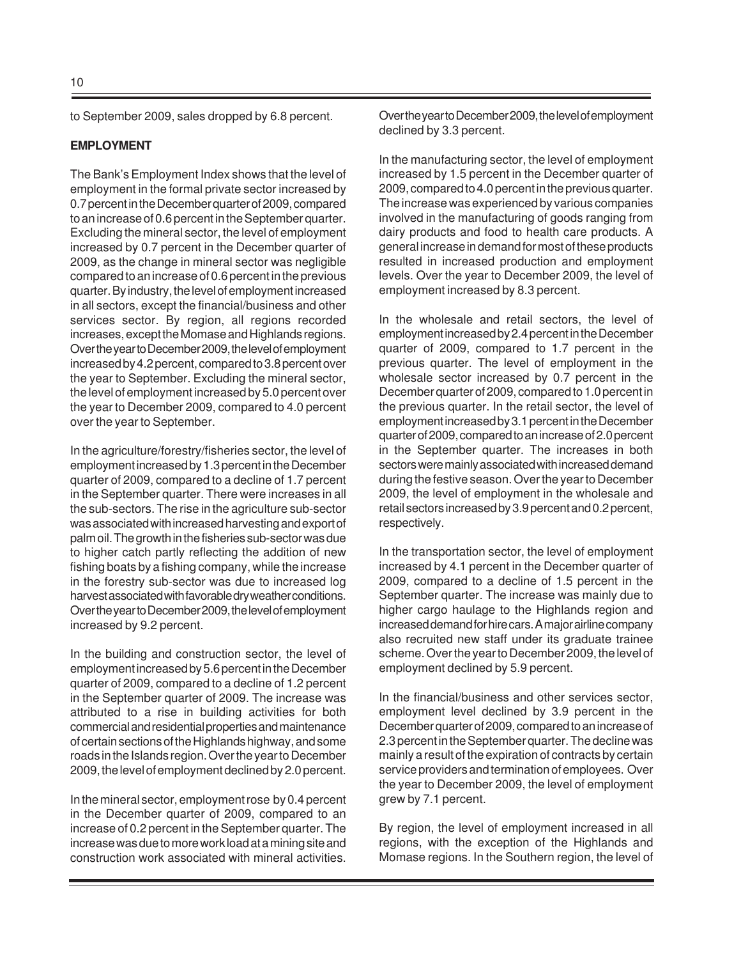to September 2009, sales dropped by 6.8 percent.

#### **EMPLOYMENT**

The Bank's Employment Index shows that the level of employment in the formal private sector increased by 0.7 percent in the December quarter of 2009, compared to an increase of 0.6 percent in the September quarter. Excluding the mineral sector, the level of employment increased by 0.7 percent in the December quarter of 2009, as the change in mineral sector was negligible compared to an increase of 0.6 percent in the previous quarter. By industry, the level of employment increased in all sectors, except the financial/business and other services sector. By region, all regions recorded increases, except the Momase and Highlands regions. Over the year to December 2009, the level of employment increased by 4.2 percent, compared to 3.8 percent over the year to September. Excluding the mineral sector, the level of employment increased by 5.0 percent over the year to December 2009, compared to 4.0 percent over the year to September.

In the agriculture/forestry/fisheries sector, the level of employment increased by 1.3 percent in the December quarter of 2009, compared to a decline of 1.7 percent in the September quarter. There were increases in all the sub-sectors. The rise in the agriculture sub-sector was associated with increased harvesting and export of palm oil. The growth in the fisheries sub-sector was due to higher catch partly reflecting the addition of new fishing boats by a fishing company, while the increase in the forestry sub-sector was due to increased log harvest associated with favorable dry weather conditions. Over the year to December 2009, the level of employment increased by 9.2 percent.

In the building and construction sector, the level of employment increased by 5.6 percent in the December quarter of 2009, compared to a decline of 1.2 percent in the September quarter of 2009. The increase was attributed to a rise in building activities for both commercial and residential properties and maintenance of certain sections of the Highlands highway, and some roads in the Islands region. Over the year to December 2009, the level of employment declined by 2.0 percent.

In the mineral sector, employment rose by 0.4 percent in the December quarter of 2009, compared to an increase of 0.2 percent in the September quarter. The increase was due to more work load at a mining site and construction work associated with mineral activities.

Over the year to December 2009, the level of employment declined by 3.3 percent.

In the manufacturing sector, the level of employment increased by 1.5 percent in the December quarter of 2009, compared to 4.0 percent in the previous quarter. The increase was experienced by various companies involved in the manufacturing of goods ranging from dairy products and food to health care products. A general increase in demand for most of these products resulted in increased production and employment levels. Over the year to December 2009, the level of employment increased by 8.3 percent.

In the wholesale and retail sectors, the level of employment increased by 2.4 percent in the December quarter of 2009, compared to 1.7 percent in the previous quarter. The level of employment in the wholesale sector increased by 0.7 percent in the December quarter of 2009, compared to 1.0 percent in the previous quarter. In the retail sector, the level of employment increased by 3.1 percent in the December quarter of 2009, compared to an increase of 2.0 percent in the September quarter. The increases in both sectors were mainly associated with increased demand during the festive season. Over the year to December 2009, the level of employment in the wholesale and retail sectors increased by 3.9 percent and 0.2 percent, respectively.

In the transportation sector, the level of employment increased by 4.1 percent in the December quarter of 2009, compared to a decline of 1.5 percent in the September quarter. The increase was mainly due to higher cargo haulage to the Highlands region and increased demand for hire cars. A major airline company also recruited new staff under its graduate trainee scheme. Over the year to December 2009, the level of employment declined by 5.9 percent.

In the financial/business and other services sector, employment level declined by 3.9 percent in the December quarter of 2009, compared to an increase of 2.3 percent in the September quarter. The decline was mainly a result of the expiration of contracts by certain service providers and termination of employees. Over the year to December 2009, the level of employment grew by 7.1 percent.

By region, the level of employment increased in all regions, with the exception of the Highlands and Momase regions. In the Southern region, the level of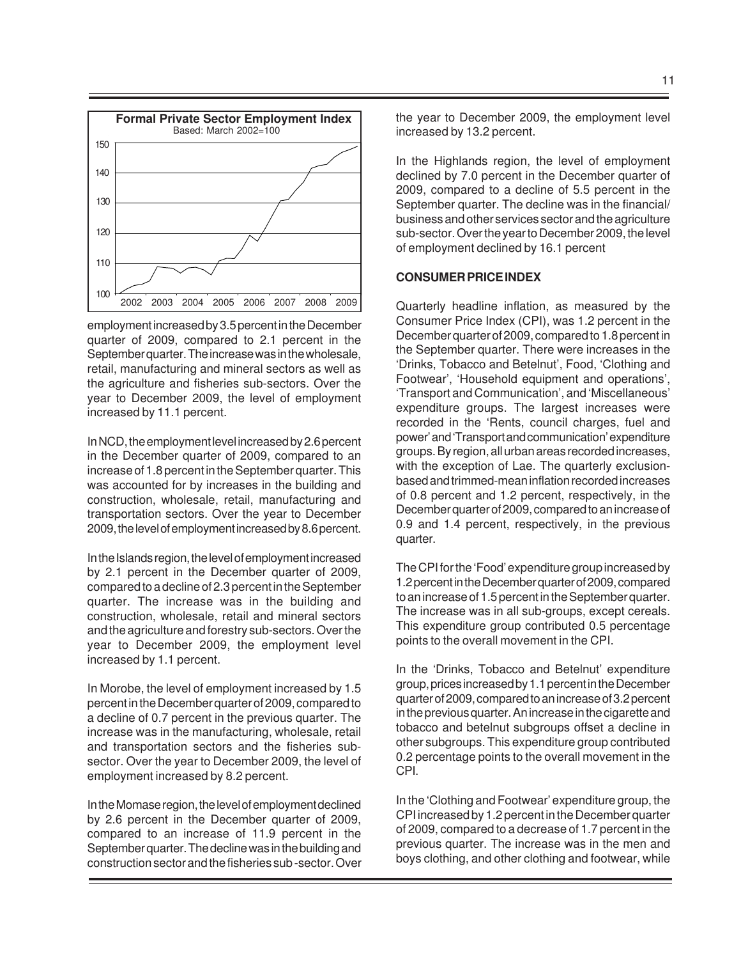

employment increased by 3.5 percent in the December quarter of 2009, compared to 2.1 percent in the September quarter. The increase was in the wholesale, retail, manufacturing and mineral sectors as well as the agriculture and fisheries sub-sectors. Over the year to December 2009, the level of employment increased by 11.1 percent.

In NCD, the employment level increased by 2.6 percent in the December quarter of 2009, compared to an increase of 1.8 percent in the September quarter. This was accounted for by increases in the building and construction, wholesale, retail, manufacturing and transportation sectors. Over the year to December 2009, the level of employment increased by 8.6 percent.

In the Islands region, the level of employment increased by 2.1 percent in the December quarter of 2009, compared to a decline of 2.3 percent in the September quarter. The increase was in the building and construction, wholesale, retail and mineral sectors and the agriculture and forestry sub-sectors. Over the year to December 2009, the employment level increased by 1.1 percent.

In Morobe, the level of employment increased by 1.5 percent in the December quarter of 2009, compared to a decline of 0.7 percent in the previous quarter. The increase was in the manufacturing, wholesale, retail and transportation sectors and the fisheries subsector. Over the year to December 2009, the level of employment increased by 8.2 percent.

In the Momase region, the level of employment declined by 2.6 percent in the December quarter of 2009, compared to an increase of 11.9 percent in the September quarter. The decline was in the building and construction sector and the fisheries sub -sector. Over the year to December 2009, the employment level increased by 13.2 percent.

In the Highlands region, the level of employment declined by 7.0 percent in the December quarter of 2009, compared to a decline of 5.5 percent in the September quarter. The decline was in the financial/ business and other services sector and the agriculture sub-sector. Over the year to December 2009, the level of employment declined by 16.1 percent

#### **CONSUMER PRICE INDEX**

Quarterly headline inflation, as measured by the Consumer Price Index (CPI), was 1.2 percent in the December quarter of 2009, compared to 1.8 percent in the September quarter. There were increases in the 'Drinks, Tobacco and Betelnut', Food, 'Clothing and Footwear', 'Household equipment and operations', 'Transport and Communication', and 'Miscellaneous' expenditure groups. The largest increases were recorded in the 'Rents, council charges, fuel and power' and 'Transport and communication' expenditure groups. By region, all urban areas recorded increases, with the exception of Lae. The quarterly exclusionbased and trimmed-mean inflation recorded increases of 0.8 percent and 1.2 percent, respectively, in the December quarter of 2009, compared to an increase of 0.9 and 1.4 percent, respectively, in the previous quarter.

The CPI for the 'Food' expenditure group increased by 1.2 percent in the December quarter of 2009, compared to an increase of 1.5 percent in the September quarter. The increase was in all sub-groups, except cereals. This expenditure group contributed 0.5 percentage points to the overall movement in the CPI.

In the 'Drinks, Tobacco and Betelnut' expenditure group, prices increased by 1.1 percent in the December quarter of 2009, compared to an increase of 3.2 percent in the previous quarter. An increase in the cigarette and tobacco and betelnut subgroups offset a decline in other subgroups. This expenditure group contributed 0.2 percentage points to the overall movement in the CPI.

In the 'Clothing and Footwear' expenditure group, the CPI increased by 1.2 percent in the December quarter of 2009, compared to a decrease of 1.7 percent in the previous quarter. The increase was in the men and boys clothing, and other clothing and footwear, while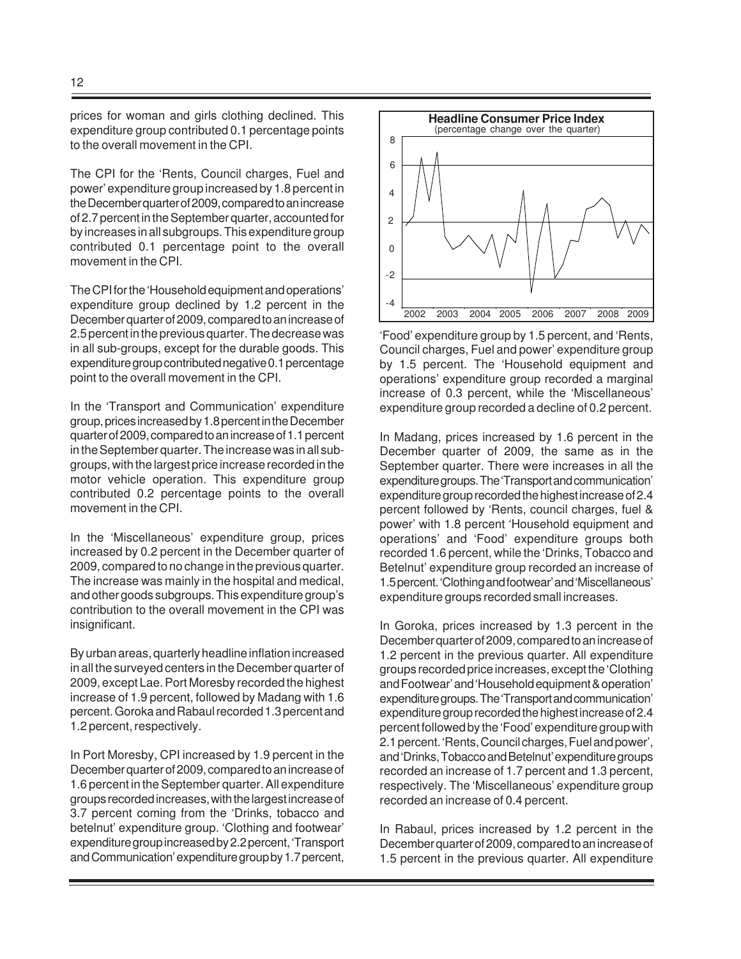prices for woman and girls clothing declined. This expenditure group contributed 0.1 percentage points to the overall movement in the CPI.

The CPI for the 'Rents, Council charges, Fuel and power' expenditure group increased by 1.8 percent in the December quarter of 2009, compared to an increase of 2.7 percent in the September quarter, accounted for by increases in all subgroups. This expenditure group contributed 0.1 percentage point to the overall movement in the CPI.

The CPI for the 'Household equipment and operations' expenditure group declined by 1.2 percent in the December quarter of 2009, compared to an increase of 2.5 percent in the previous quarter. The decrease was in all sub-groups, except for the durable goods. This expenditure group contributed negative 0.1 percentage point to the overall movement in the CPI.

In the 'Transport and Communication' expenditure group, prices increased by 1.8 percent in the December quarter of 2009, compared to an increase of 1.1 percent in the September quarter. The increase was in all subgroups, with the largest price increase recorded in the motor vehicle operation. This expenditure group contributed 0.2 percentage points to the overall movement in the CPI.

In the 'Miscellaneous' expenditure group, prices increased by 0.2 percent in the December quarter of 2009, compared to no change in the previous quarter. The increase was mainly in the hospital and medical, and other goods subgroups. This expenditure group's contribution to the overall movement in the CPI was insignificant.

By urban areas, quarterly headline inflation increased in all the surveyed centers in the December quarter of 2009, except Lae. Port Moresby recorded the highest increase of 1.9 percent, followed by Madang with 1.6 percent. Goroka and Rabaul recorded 1.3 percent and 1.2 percent, respectively.

In Port Moresby, CPI increased by 1.9 percent in the December quarter of 2009, compared to an increase of 1.6 percent in the September quarter. All expenditure groups recorded increases, with the largest increase of 3.7 percent coming from the 'Drinks, tobacco and betelnut' expenditure group. 'Clothing and footwear' expenditure group increased by 2.2 percent, 'Transport and Communication' expenditure group by 1.7 percent,



'Food' expenditure group by 1.5 percent, and 'Rents, Council charges, Fuel and power' expenditure group by 1.5 percent. The 'Household equipment and operations' expenditure group recorded a marginal increase of 0.3 percent, while the 'Miscellaneous' expenditure group recorded a decline of 0.2 percent.

In Madang, prices increased by 1.6 percent in the December quarter of 2009, the same as in the September quarter. There were increases in all the expenditure groups. The 'Transport and communication' expenditure group recorded the highest increase of 2.4 percent followed by 'Rents, council charges, fuel & power' with 1.8 percent 'Household equipment and operations' and 'Food' expenditure groups both recorded 1.6 percent, while the 'Drinks, Tobacco and Betelnut' expenditure group recorded an increase of 1.5 percent. 'Clothing and footwear' and 'Miscellaneous' expenditure groups recorded small increases.

In Goroka, prices increased by 1.3 percent in the December quarter of 2009, compared to an increase of 1.2 percent in the previous quarter. All expenditure groups recorded price increases, except the 'Clothing and Footwear' and 'Household equipment & operation' expenditure groups. The 'Transport and communication' expenditure group recorded the highest increase of 2.4 percent followed by the 'Food' expenditure group with 2.1 percent. 'Rents, Council charges, Fuel and power', and 'Drinks, Tobacco and Betelnut' expenditure groups recorded an increase of 1.7 percent and 1.3 percent, respectively. The 'Miscellaneous' expenditure group recorded an increase of 0.4 percent.

In Rabaul, prices increased by 1.2 percent in the December quarter of 2009, compared to an increase of 1.5 percent in the previous quarter. All expenditure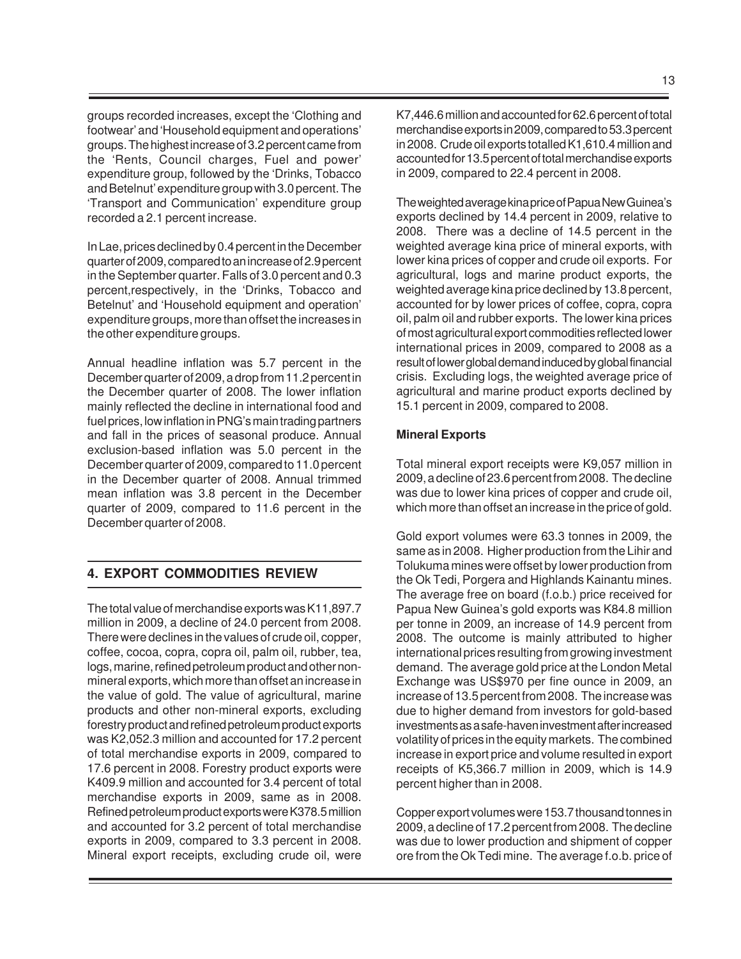groups recorded increases, except the 'Clothing and footwear' and 'Household equipment and operations' groups. The highest increase of 3.2 percent came from the 'Rents, Council charges, Fuel and power' expenditure group, followed by the 'Drinks, Tobacco and Betelnut' expenditure group with 3.0 percent. The 'Transport and Communication' expenditure group recorded a 2.1 percent increase.

In Lae, prices declined by 0.4 percent in the December quarter of 2009, compared to an increase of 2.9 percent in the September quarter. Falls of 3.0 percent and 0.3 percent,respectively, in the 'Drinks, Tobacco and Betelnut' and 'Household equipment and operation' expenditure groups, more than offset the increases in the other expenditure groups.

Annual headline inflation was 5.7 percent in the December quarter of 2009, a drop from 11.2 percent in the December quarter of 2008. The lower inflation mainly reflected the decline in international food and fuel prices, low inflation in PNG's main trading partners and fall in the prices of seasonal produce. Annual exclusion-based inflation was 5.0 percent in the December quarter of 2009, compared to 11.0 percent in the December quarter of 2008. Annual trimmed mean inflation was 3.8 percent in the December quarter of 2009, compared to 11.6 percent in the December quarter of 2008.

# **4. EXPORT COMMODITIES REVIEW**

The total value of merchandise exports was K11,897.7 million in 2009, a decline of 24.0 percent from 2008. There were declines in the values of crude oil, copper, coffee, cocoa, copra, copra oil, palm oil, rubber, tea, logs, marine, refined petroleum product and other nonmineral exports, which more than offset an increase in the value of gold. The value of agricultural, marine products and other non-mineral exports, excluding forestry product and refined petroleum product exports was K2,052.3 million and accounted for 17.2 percent of total merchandise exports in 2009, compared to 17.6 percent in 2008. Forestry product exports were K409.9 million and accounted for 3.4 percent of total merchandise exports in 2009, same as in 2008. Refined petroleum product exports were K378.5 million and accounted for 3.2 percent of total merchandise exports in 2009, compared to 3.3 percent in 2008. Mineral export receipts, excluding crude oil, were

K7,446.6 million and accounted for 62.6 percent of total merchandise exports in 2009, compared to 53.3 percent in 2008. Crude oil exports totalled K1,610.4 million and accounted for 13.5 percent of total merchandise exports in 2009, compared to 22.4 percent in 2008.

The weighted average kina price of Papua New Guinea's exports declined by 14.4 percent in 2009, relative to 2008. There was a decline of 14.5 percent in the weighted average kina price of mineral exports, with lower kina prices of copper and crude oil exports. For agricultural, logs and marine product exports, the weighted average kina price declined by 13.8 percent, accounted for by lower prices of coffee, copra, copra oil, palm oil and rubber exports. The lower kina prices of most agricultural export commodities reflected lower international prices in 2009, compared to 2008 as a result of lower global demand induced by global financial crisis. Excluding logs, the weighted average price of agricultural and marine product exports declined by 15.1 percent in 2009, compared to 2008.

#### **Mineral Exports**

Total mineral export receipts were K9,057 million in 2009, a decline of 23.6 percent from 2008. The decline was due to lower kina prices of copper and crude oil, which more than offset an increase in the price of gold.

Gold export volumes were 63.3 tonnes in 2009, the same as in 2008. Higher production from the Lihir and Tolukuma mines were offset by lower production from the Ok Tedi, Porgera and Highlands Kainantu mines. The average free on board (f.o.b.) price received for Papua New Guinea's gold exports was K84.8 million per tonne in 2009, an increase of 14.9 percent from 2008. The outcome is mainly attributed to higher international prices resulting from growing investment demand. The average gold price at the London Metal Exchange was US\$970 per fine ounce in 2009, an increase of 13.5 percent from 2008. The increase was due to higher demand from investors for gold-based investments as a safe-haven investment after increased volatility of prices in the equity markets. The combined increase in export price and volume resulted in export receipts of K5,366.7 million in 2009, which is 14.9 percent higher than in 2008.

Copper export volumes were 153.7 thousand tonnes in 2009, a decline of 17.2 percent from 2008. The decline was due to lower production and shipment of copper ore from the Ok Tedi mine. The average f.o.b. price of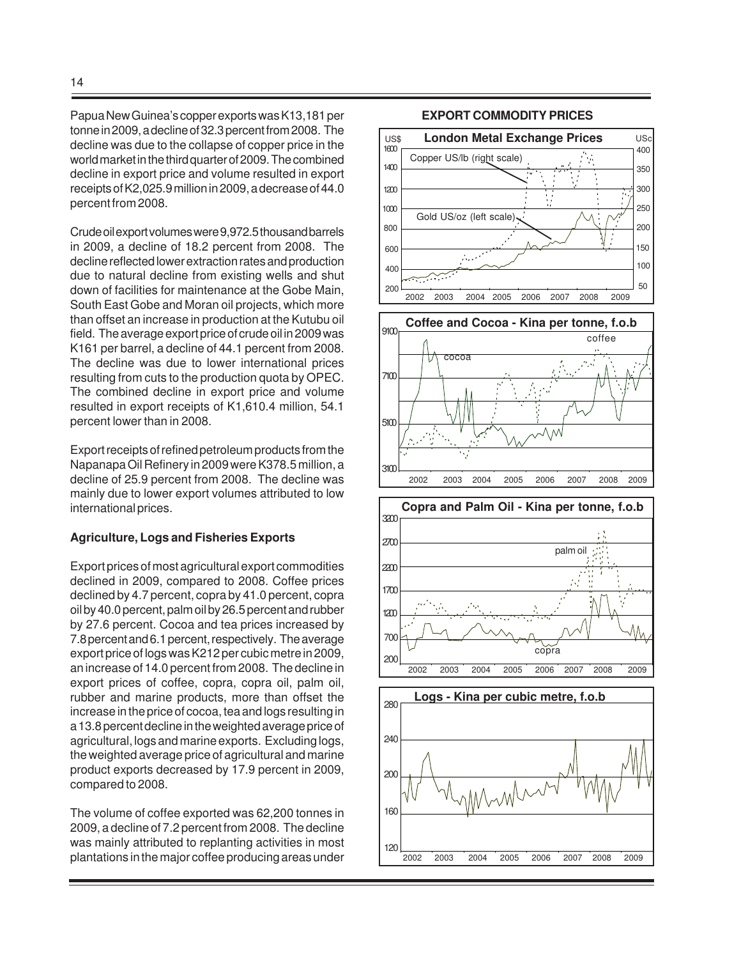Papua New Guinea's copper exports was K13,181 per tonne in 2009, a decline of 32.3 percent from 2008. The decline was due to the collapse of copper price in the world market in the third quarter of 2009. The combined decline in export price and volume resulted in export receipts of K2,025.9 million in 2009, a decrease of 44.0 percent from 2008.

Crude oil export volumes were 9,972.5 thousand barrels in 2009, a decline of 18.2 percent from 2008. The decline reflected lower extraction rates and production due to natural decline from existing wells and shut down of facilities for maintenance at the Gobe Main, South East Gobe and Moran oil projects, which more than offset an increase in production at the Kutubu oil field. The average export price of crude oil in 2009 was K161 per barrel, a decline of 44.1 percent from 2008. The decline was due to lower international prices resulting from cuts to the production quota by OPEC. The combined decline in export price and volume resulted in export receipts of K1,610.4 million, 54.1 percent lower than in 2008.

Export receipts of refined petroleum products from the Napanapa Oil Refinery in 2009 were K378.5 million, a decline of 25.9 percent from 2008. The decline was mainly due to lower export volumes attributed to low international prices.

#### **Agriculture, Logs and Fisheries Exports**

Export prices of most agricultural export commodities declined in 2009, compared to 2008. Coffee prices declined by 4.7 percent, copra by 41.0 percent, copra oil by 40.0 percent, palm oil by 26.5 percent and rubber by 27.6 percent. Cocoa and tea prices increased by 7.8 percent and 6.1 percent, respectively. The average export price of logs was K212 per cubic metre in 2009, an increase of 14.0 percent from 2008. The decline in export prices of coffee, copra, copra oil, palm oil, rubber and marine products, more than offset the increase in the price of cocoa, tea and logs resulting in a 13.8 percent decline in the weighted average price of agricultural, logs and marine exports. Excluding logs, the weighted average price of agricultural and marine product exports decreased by 17.9 percent in 2009, compared to 2008.

The volume of coffee exported was 62,200 tonnes in 2009, a decline of 7.2 percent from 2008. The decline was mainly attributed to replanting activities in most plantations in the major coffee producing areas under

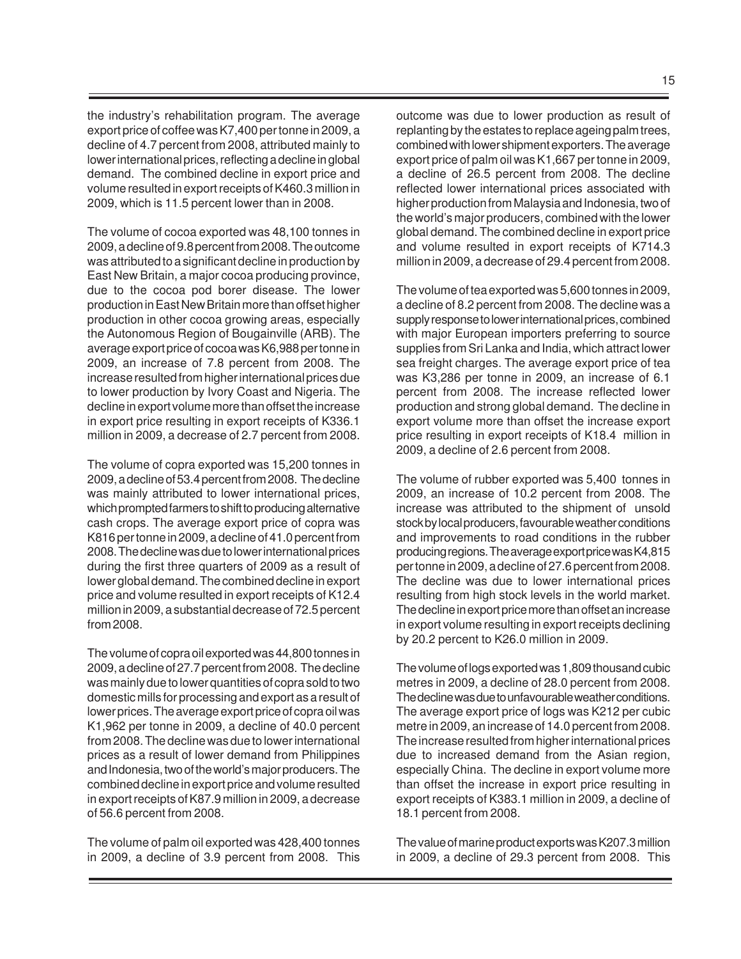the industry's rehabilitation program. The average export price of coffee was K7,400 per tonne in 2009, a decline of 4.7 percent from 2008, attributed mainly to lower international prices, reflecting a decline in global demand. The combined decline in export price and volume resulted in export receipts of K460.3 million in 2009, which is 11.5 percent lower than in 2008.

The volume of cocoa exported was 48,100 tonnes in 2009, a decline of 9.8 percent from 2008. The outcome was attributed to a significant decline in production by East New Britain, a major cocoa producing province, due to the cocoa pod borer disease. The lower production in East New Britain more than offset higher production in other cocoa growing areas, especially the Autonomous Region of Bougainville (ARB). The average export price of cocoa was K6,988 per tonne in 2009, an increase of 7.8 percent from 2008. The increase resulted from higher international prices due to lower production by Ivory Coast and Nigeria. The decline in export volume more than offset the increase in export price resulting in export receipts of K336.1 million in 2009, a decrease of 2.7 percent from 2008.

The volume of copra exported was 15,200 tonnes in 2009, a decline of 53.4 percent from 2008. The decline was mainly attributed to lower international prices, which prompted farmers to shift to producing alternative cash crops. The average export price of copra was K816 per tonne in 2009, a decline of 41.0 percent from 2008. The decline was due to lower international prices during the first three quarters of 2009 as a result of lower global demand. The combined decline in export price and volume resulted in export receipts of K12.4 million in 2009, a substantial decrease of 72.5 percent from 2008.

The volume of copra oil exported was 44,800 tonnes in 2009, a decline of 27.7 percent from 2008. The decline was mainly due to lower quantities of copra sold to two domestic mills for processing and export as a result of lower prices. The average export price of copra oil was K1,962 per tonne in 2009, a decline of 40.0 percent from 2008. The decline was due to lower international prices as a result of lower demand from Philippines and Indonesia, two of the world's major producers. The combined decline in export price and volume resulted in export receipts of K87.9 million in 2009, a decrease of 56.6 percent from 2008.

The volume of palm oil exported was 428,400 tonnes in 2009, a decline of 3.9 percent from 2008. This

outcome was due to lower production as result of replanting by the estates to replace ageing palm trees, combined with lower shipment exporters. The average export price of palm oil was K1,667 per tonne in 2009, a decline of 26.5 percent from 2008. The decline reflected lower international prices associated with higher production from Malaysia and Indonesia, two of the world's major producers, combined with the lower global demand. The combined decline in export price and volume resulted in export receipts of K714.3 million in 2009, a decrease of 29.4 percent from 2008.

The volume of tea exported was 5,600 tonnes in 2009, a decline of 8.2 percent from 2008. The decline was a supply response to lower international prices, combined with major European importers preferring to source supplies from Sri Lanka and India, which attract lower sea freight charges. The average export price of tea was K3,286 per tonne in 2009, an increase of 6.1 percent from 2008. The increase reflected lower production and strong global demand. The decline in export volume more than offset the increase export price resulting in export receipts of K18.4 million in 2009, a decline of 2.6 percent from 2008.

The volume of rubber exported was 5,400 tonnes in 2009, an increase of 10.2 percent from 2008. The increase was attributed to the shipment of unsold stock by local producers, favourable weather conditions and improvements to road conditions in the rubber producing regions. The average export price was K4,815 per tonne in 2009, a decline of 27.6 percent from 2008. The decline was due to lower international prices resulting from high stock levels in the world market. The decline in export price more than offset an increase in export volume resulting in export receipts declining by 20.2 percent to K26.0 million in 2009.

The volume of logs exported was 1,809 thousand cubic metres in 2009, a decline of 28.0 percent from 2008. The decline was due to unfavourable weather conditions. The average export price of logs was K212 per cubic metre in 2009, an increase of 14.0 percent from 2008. The increase resulted from higher international prices due to increased demand from the Asian region, especially China. The decline in export volume more than offset the increase in export price resulting in export receipts of K383.1 million in 2009, a decline of 18.1 percent from 2008.

The value of marine product exports was K207.3 million in 2009, a decline of 29.3 percent from 2008. This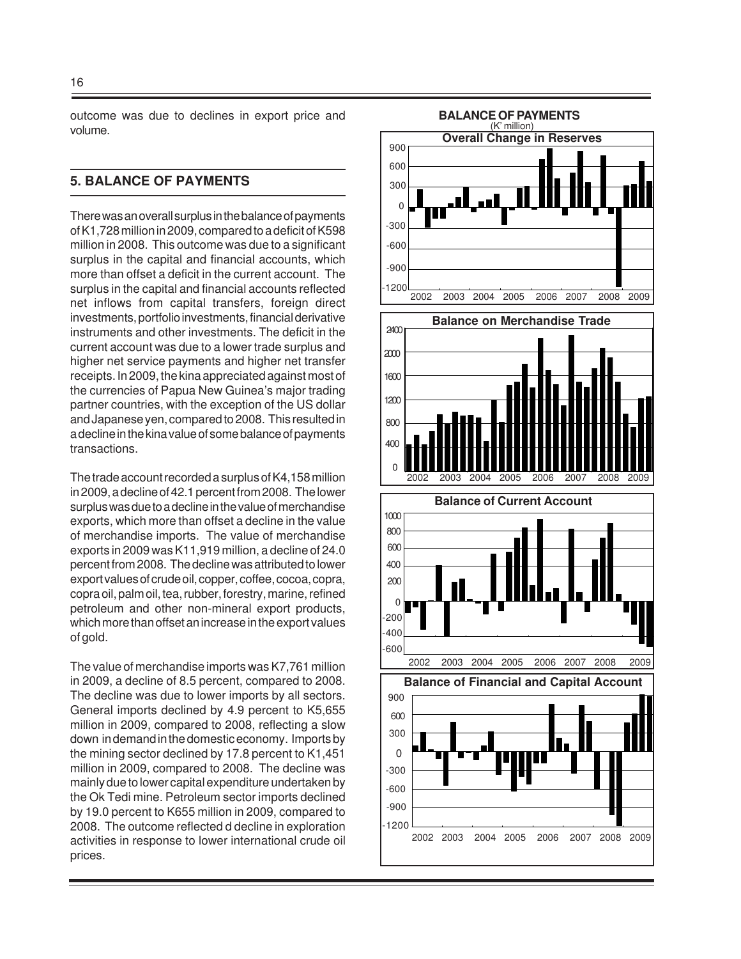outcome was due to declines in export price and volume.

# **5. BALANCE OF PAYMENTS**

There was an overall surplus in the balance of payments of K1,728 million in 2009, compared to a deficit of K598 million in 2008. This outcome was due to a significant surplus in the capital and financial accounts, which more than offset a deficit in the current account. The surplus in the capital and financial accounts reflected net inflows from capital transfers, foreign direct investments, portfolio investments, financial derivative instruments and other investments. The deficit in the current account was due to a lower trade surplus and higher net service payments and higher net transfer receipts. In 2009, the kina appreciated against most of the currencies of Papua New Guinea's major trading partner countries, with the exception of the US dollar and Japanese yen, compared to 2008. This resulted in a decline in the kina value of some balance of payments transactions.

The trade account recorded a surplus of K4,158 million in 2009, a decline of 42.1 percent from 2008. The lower surplus was due to a decline in the value of merchandise exports, which more than offset a decline in the value of merchandise imports. The value of merchandise exports in 2009 was K11,919 million, a decline of 24.0 percent from 2008. The decline was attributed to lower export values of crude oil, copper, coffee, cocoa, copra, copra oil, palm oil, tea, rubber, forestry, marine, refined petroleum and other non-mineral export products, which more than offset an increase in the export values of gold.

The value of merchandise imports was K7,761 million in 2009, a decline of 8.5 percent, compared to 2008. The decline was due to lower imports by all sectors. General imports declined by 4.9 percent to K5,655 million in 2009, compared to 2008, reflecting a slow down in demand in the domestic economy. Imports by the mining sector declined by 17.8 percent to K1,451 million in 2009, compared to 2008. The decline was mainly due to lower capital expenditure undertaken by the Ok Tedi mine. Petroleum sector imports declined by 19.0 percent to K655 million in 2009, compared to 2008. The outcome reflected d decline in exploration activities in response to lower international crude oil prices.

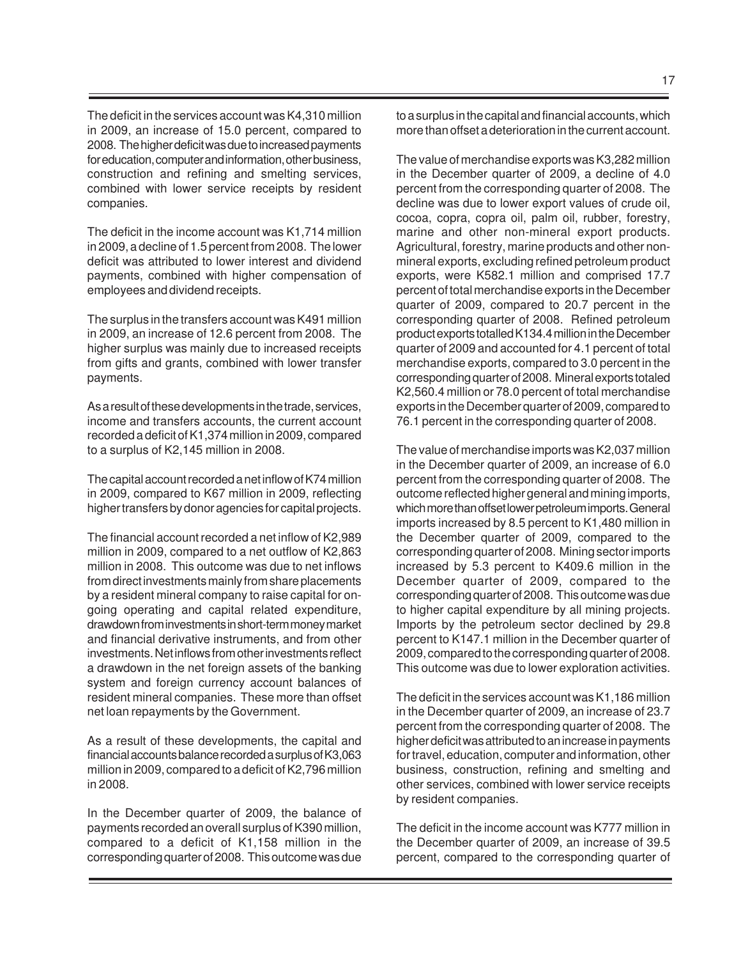The deficit in the services account was K4,310 million in 2009, an increase of 15.0 percent, compared to 2008. The higher deficit was due to increased payments for education, computer and information, other business, construction and refining and smelting services, combined with lower service receipts by resident companies.

The deficit in the income account was K1,714 million in 2009, a decline of 1.5 percent from 2008. The lower deficit was attributed to lower interest and dividend payments, combined with higher compensation of employees and dividend receipts.

The surplus in the transfers account was K491 million in 2009, an increase of 12.6 percent from 2008. The higher surplus was mainly due to increased receipts from gifts and grants, combined with lower transfer payments.

As a result of these developments in the trade, services, income and transfers accounts, the current account recorded a deficit of K1,374 million in 2009, compared to a surplus of K2,145 million in 2008.

The capital account recorded a net inflow of K74 million in 2009, compared to K67 million in 2009, reflecting higher transfers by donor agencies for capital projects.

The financial account recorded a net inflow of K2,989 million in 2009, compared to a net outflow of K2,863 million in 2008. This outcome was due to net inflows from direct investments mainly from share placements by a resident mineral company to raise capital for ongoing operating and capital related expenditure, drawdown from investments in short-term money market and financial derivative instruments, and from other investments. Net inflows from other investments reflect a drawdown in the net foreign assets of the banking system and foreign currency account balances of resident mineral companies. These more than offset net loan repayments by the Government.

As a result of these developments, the capital and financial accounts balance recorded a surplus of K3,063 million in 2009, compared to a deficit of K2,796 million in 2008.

In the December quarter of 2009, the balance of payments recorded an overall surplus of K390 million, compared to a deficit of K1,158 million in the corresponding quarter of 2008. This outcome was due to a surplus in the capital and financial accounts, which more than offset a deterioration in the current account.

The value of merchandise exports was K3,282 million in the December quarter of 2009, a decline of 4.0 percent from the corresponding quarter of 2008. The decline was due to lower export values of crude oil, cocoa, copra, copra oil, palm oil, rubber, forestry, marine and other non-mineral export products. Agricultural, forestry, marine products and other nonmineral exports, excluding refined petroleum product exports, were K582.1 million and comprised 17.7 percent of total merchandise exports in the December quarter of 2009, compared to 20.7 percent in the corresponding quarter of 2008. Refined petroleum product exports totalled K134.4 million in the December quarter of 2009 and accounted for 4.1 percent of total merchandise exports, compared to 3.0 percent in the corresponding quarter of 2008. Mineral exports totaled K2,560.4 million or 78.0 percent of total merchandise exports in the December quarter of 2009, compared to 76.1 percent in the corresponding quarter of 2008.

The value of merchandise imports was K2,037 million in the December quarter of 2009, an increase of 6.0 percent from the corresponding quarter of 2008. The outcome reflected higher general and mining imports, which more than offset lower petroleum imports. General imports increased by 8.5 percent to K1,480 million in the December quarter of 2009, compared to the corresponding quarter of 2008. Mining sector imports increased by 5.3 percent to K409.6 million in the December quarter of 2009, compared to the corresponding quarter of 2008. This outcome was due to higher capital expenditure by all mining projects. Imports by the petroleum sector declined by 29.8 percent to K147.1 million in the December quarter of 2009, compared to the corresponding quarter of 2008. This outcome was due to lower exploration activities.

The deficit in the services account was K1,186 million in the December quarter of 2009, an increase of 23.7 percent from the corresponding quarter of 2008. The higher deficit was attributed to an increase in payments for travel, education, computer and information, other business, construction, refining and smelting and other services, combined with lower service receipts by resident companies.

The deficit in the income account was K777 million in the December quarter of 2009, an increase of 39.5 percent, compared to the corresponding quarter of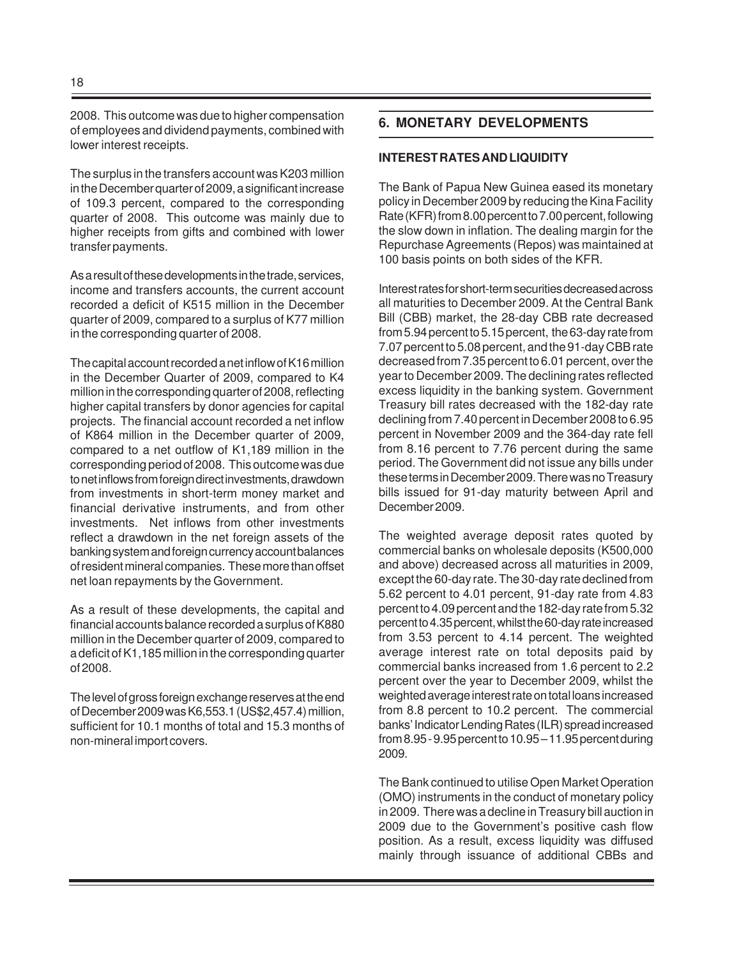2008. This outcome was due to higher compensation of employees and dividend payments, combined with lower interest receipts.

The surplus in the transfers account was K203 million in the December quarter of 2009, a significant increase of 109.3 percent, compared to the corresponding quarter of 2008. This outcome was mainly due to higher receipts from gifts and combined with lower transfer payments.

As a result of these developments in the trade, services, income and transfers accounts, the current account recorded a deficit of K515 million in the December quarter of 2009, compared to a surplus of K77 million in the corresponding quarter of 2008.

The capital account recorded a net inflow of K16 million in the December Quarter of 2009, compared to K4 million in the corresponding quarter of 2008, reflecting higher capital transfers by donor agencies for capital projects. The financial account recorded a net inflow of K864 million in the December quarter of 2009, compared to a net outflow of K1,189 million in the corresponding period of 2008. This outcome was due to net inflows from foreign direct investments, drawdown from investments in short-term money market and financial derivative instruments, and from other investments. Net inflows from other investments reflect a drawdown in the net foreign assets of the banking system and foreign currency account balances of resident mineral companies. These more than offset net loan repayments by the Government.

As a result of these developments, the capital and financial accounts balance recorded a surplus of K880 million in the December quarter of 2009, compared to a deficit of K1,185 million in the corresponding quarter of 2008.

The level of gross foreign exchange reserves at the end of December 2009 was K6,553.1 (US\$2,457.4) million, sufficient for 10.1 months of total and 15.3 months of non-mineral import covers.

# **6. MONETARY DEVELOPMENTS**

#### **INTEREST RATES AND LIQUIDITY**

The Bank of Papua New Guinea eased its monetary policy in December 2009 by reducing the Kina Facility Rate (KFR) from 8.00 percent to 7.00 percent, following the slow down in inflation. The dealing margin for the Repurchase Agreements (Repos) was maintained at 100 basis points on both sides of the KFR.

Interest rates for short-term securities decreased across all maturities to December 2009. At the Central Bank Bill (CBB) market, the 28-day CBB rate decreased from 5.94 percent to 5.15 percent, the 63-day rate from 7.07 percent to 5.08 percent, and the 91-day CBB rate decreased from 7.35 percent to 6.01 percent, over the year to December 2009. The declining rates reflected excess liquidity in the banking system. Government Treasury bill rates decreased with the 182-day rate declining from 7.40 percent in December 2008 to 6.95 percent in November 2009 and the 364-day rate fell from 8.16 percent to 7.76 percent during the same period. The Government did not issue any bills under these terms in December 2009. There was no Treasury bills issued for 91-day maturity between April and December 2009.

The weighted average deposit rates quoted by commercial banks on wholesale deposits (K500,000 and above) decreased across all maturities in 2009, except the 60-day rate. The 30-day rate declined from 5.62 percent to 4.01 percent, 91-day rate from 4.83 percent to 4.09 percent and the 182-day rate from 5.32 percent to 4.35 percent, whilst the 60-day rate increased from 3.53 percent to 4.14 percent. The weighted average interest rate on total deposits paid by commercial banks increased from 1.6 percent to 2.2 percent over the year to December 2009, whilst the weighted average interest rate on total loans increased from 8.8 percent to 10.2 percent. The commercial banks' Indicator Lending Rates (ILR) spread increased from 8.95 - 9.95 percent to 10.95 – 11.95 percent during 2009.

The Bank continued to utilise Open Market Operation (OMO) instruments in the conduct of monetary policy in 2009. There was a decline in Treasury bill auction in 2009 due to the Government's positive cash flow position. As a result, excess liquidity was diffused mainly through issuance of additional CBBs and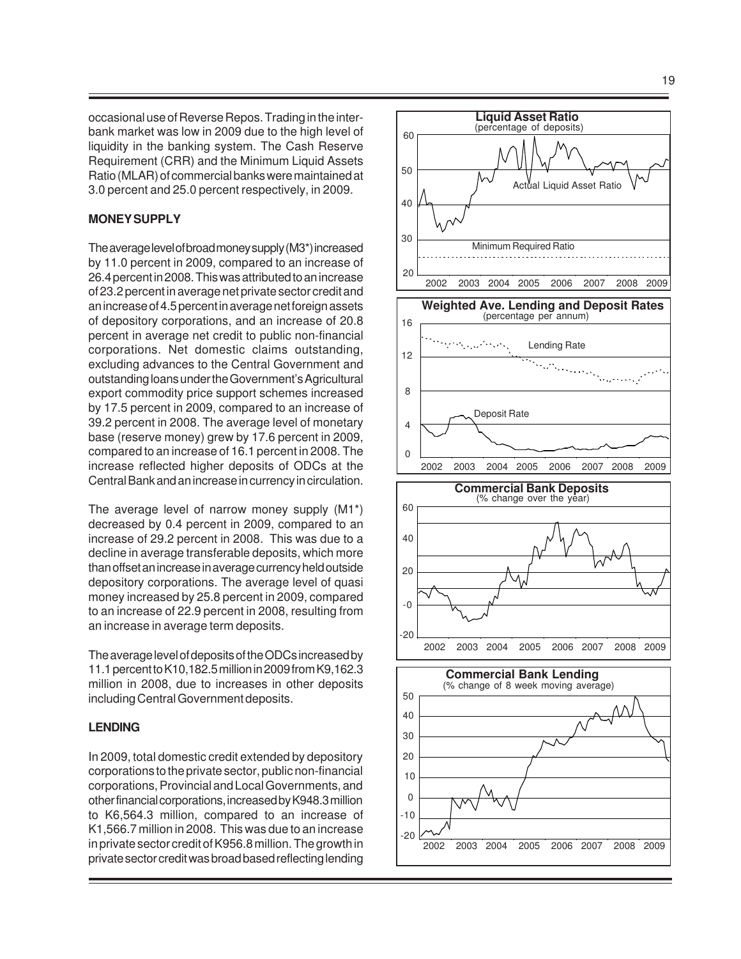occasional use of Reverse Repos. Trading in the interbank market was low in 2009 due to the high level of liquidity in the banking system. The Cash Reserve Requirement (CRR) and the Minimum Liquid Assets Ratio (MLAR) of commercial banks were maintained at 3.0 percent and 25.0 percent respectively, in 2009.

#### **MONEY SUPPLY**

The average level of broad money supply (M3\*) increased by 11.0 percent in 2009, compared to an increase of 26.4 percent in 2008. This was attributed to an increase of 23.2 percent in average net private sector credit and an increase of 4.5 percent in average net foreign assets of depository corporations, and an increase of 20.8 percent in average net credit to public non-financial corporations. Net domestic claims outstanding, excluding advances to the Central Government and outstanding loans under the Government's Agricultural export commodity price support schemes increased by 17.5 percent in 2009, compared to an increase of 39.2 percent in 2008. The average level of monetary base (reserve money) grew by 17.6 percent in 2009, compared to an increase of 16.1 percent in 2008. The increase reflected higher deposits of ODCs at the Central Bank and an increase in currency in circulation.

The average level of narrow money supply (M1\*) decreased by 0.4 percent in 2009, compared to an increase of 29.2 percent in 2008. This was due to a decline in average transferable deposits, which more than offset an increase in average currency held outside depository corporations. The average level of quasi money increased by 25.8 percent in 2009, compared to an increase of 22.9 percent in 2008, resulting from an increase in average term deposits.

The average level of deposits of the ODCs increased by 11.1 percent to K10,182.5 million in 2009 from K9,162.3 million in 2008, due to increases in other deposits including Central Government deposits.

#### **LENDING**

In 2009, total domestic credit extended by depository corporations to the private sector, public non-financial corporations, Provincial and Local Governments, and other financial corporations, increased by K948.3 million to K6,564.3 million, compared to an increase of K1,566.7 million in 2008. This was due to an increase in private sector credit of K956.8 million. The growth in private sector credit was broad based reflecting lending

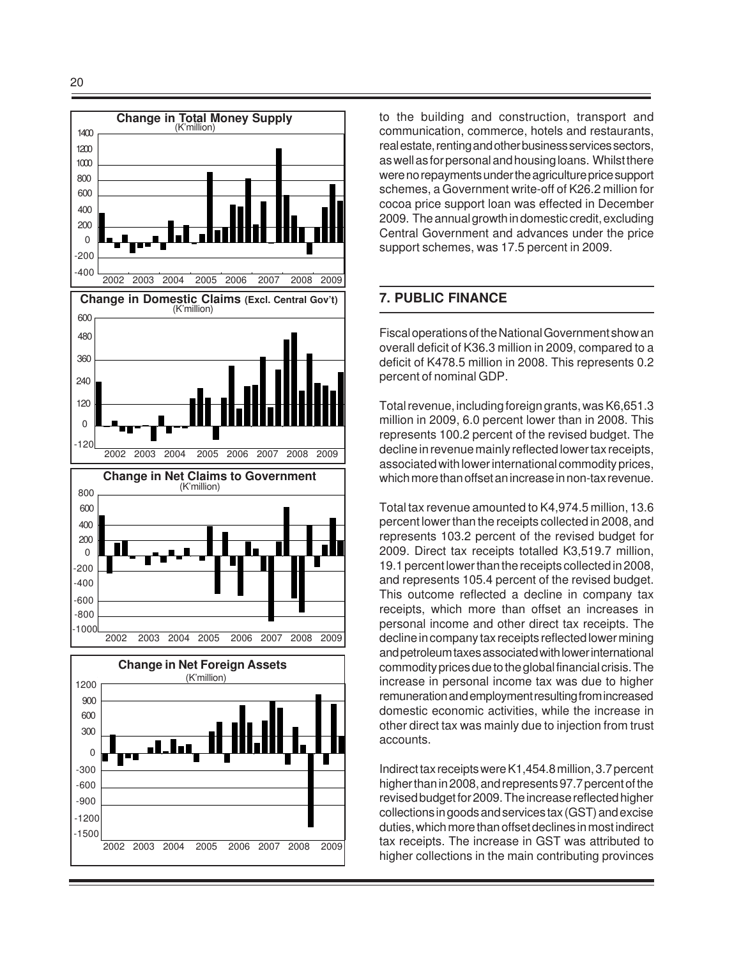

20



to the building and construction, transport and communication, commerce, hotels and restaurants, real estate, renting and other business services sectors, as well as for personal and housing loans. Whilst there were no repayments under the agriculture price support schemes, a Government write-off of K26.2 million for cocoa price support loan was effected in December 2009. The annual growth in domestic credit, excluding Central Government and advances under the price support schemes, was 17.5 percent in 2009.

# **7. PUBLIC FINANCE**

Fiscal operations of the National Government show an overall deficit of K36.3 million in 2009, compared to a deficit of K478.5 million in 2008. This represents 0.2 percent of nominal GDP.

Total revenue, including foreign grants, was K6,651.3 million in 2009, 6.0 percent lower than in 2008. This represents 100.2 percent of the revised budget. The decline in revenue mainly reflected lower tax receipts, associated with lower international commodity prices, which more than offset an increase in non-tax revenue.

Total tax revenue amounted to K4,974.5 million, 13.6 percent lower than the receipts collected in 2008, and represents 103.2 percent of the revised budget for 2009. Direct tax receipts totalled K3,519.7 million, 19.1 percent lower than the receipts collected in 2008, and represents 105.4 percent of the revised budget. This outcome reflected a decline in company tax receipts, which more than offset an increases in personal income and other direct tax receipts. The decline in company tax receipts reflected lower mining and petroleum taxes associated with lower international commodity prices due to the global financial crisis. The increase in personal income tax was due to higher remuneration and employment resulting from increased domestic economic activities, while the increase in other direct tax was mainly due to injection from trust accounts.

Indirect tax receipts were K1,454.8 million, 3.7 percent higher than in 2008, and represents 97.7 percent of the revised budget for 2009. The increase reflected higher collections in goods and services tax (GST) and excise duties, which more than offset declines in most indirect tax receipts. The increase in GST was attributed to higher collections in the main contributing provinces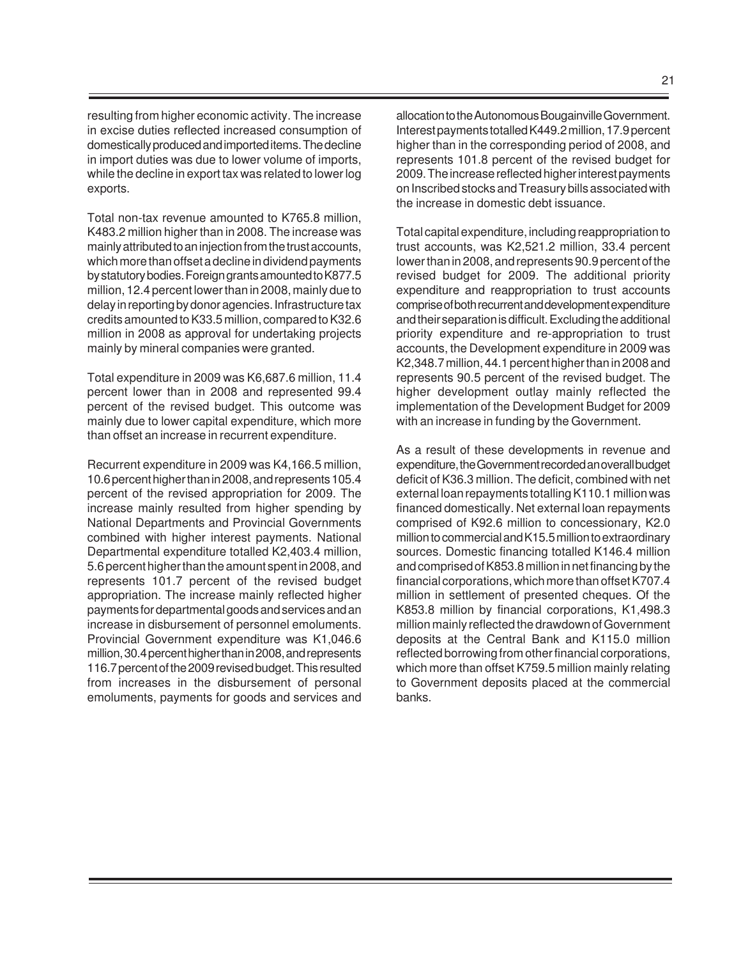resulting from higher economic activity. The increase in excise duties reflected increased consumption of domestically produced and imported items. The decline in import duties was due to lower volume of imports, while the decline in export tax was related to lower log exports.

Total non-tax revenue amounted to K765.8 million, K483.2 million higher than in 2008. The increase was mainly attributed to an injection from the trust accounts, which more than offset a decline in dividend payments by statutory bodies. Foreign grants amounted to K877.5 million, 12.4 percent lower than in 2008, mainly due to delay in reporting by donor agencies. Infrastructure tax credits amounted to K33.5 million, compared to K32.6 million in 2008 as approval for undertaking projects mainly by mineral companies were granted.

Total expenditure in 2009 was K6,687.6 million, 11.4 percent lower than in 2008 and represented 99.4 percent of the revised budget. This outcome was mainly due to lower capital expenditure, which more than offset an increase in recurrent expenditure.

Recurrent expenditure in 2009 was K4,166.5 million, 10.6 percent higher than in 2008, and represents 105.4 percent of the revised appropriation for 2009. The increase mainly resulted from higher spending by National Departments and Provincial Governments combined with higher interest payments. National Departmental expenditure totalled K2,403.4 million, 5.6 percent higher than the amount spent in 2008, and represents 101.7 percent of the revised budget appropriation. The increase mainly reflected higher payments for departmental goods and services and an increase in disbursement of personnel emoluments. Provincial Government expenditure was K1,046.6 million, 30.4 percent higher than in 2008, and represents 116.7 percent of the 2009 revised budget. This resulted from increases in the disbursement of personal emoluments, payments for goods and services and

allocation to the Autonomous Bougainville Government. Interest payments totalled K449.2 million, 17.9 percent higher than in the corresponding period of 2008, and represents 101.8 percent of the revised budget for 2009. The increase reflected higher interest payments on Inscribed stocks and Treasury bills associated with the increase in domestic debt issuance.

Total capital expenditure, including reappropriation to trust accounts, was K2,521.2 million, 33.4 percent lower than in 2008, and represents 90.9 percent of the revised budget for 2009. The additional priority expenditure and reappropriation to trust accounts comprise of both recurrent and development expenditure and their separation is difficult. Excluding the additional priority expenditure and re-appropriation to trust accounts, the Development expenditure in 2009 was K2,348.7 million, 44.1 percent higher than in 2008 and represents 90.5 percent of the revised budget. The higher development outlay mainly reflected the implementation of the Development Budget for 2009 with an increase in funding by the Government.

As a result of these developments in revenue and expenditure, the Government recorded an overall budget deficit of K36.3 million. The deficit, combined with net external loan repayments totalling K110.1 million was financed domestically. Net external loan repayments comprised of K92.6 million to concessionary, K2.0 million to commercial and K15.5 million to extraordinary sources. Domestic financing totalled K146.4 million and comprised of K853.8 million in net financing by the financial corporations, which more than offset K707.4 million in settlement of presented cheques. Of the K853.8 million by financial corporations, K1,498.3 million mainly reflected the drawdown of Government deposits at the Central Bank and K115.0 million reflected borrowing from other financial corporations, which more than offset K759.5 million mainly relating to Government deposits placed at the commercial banks.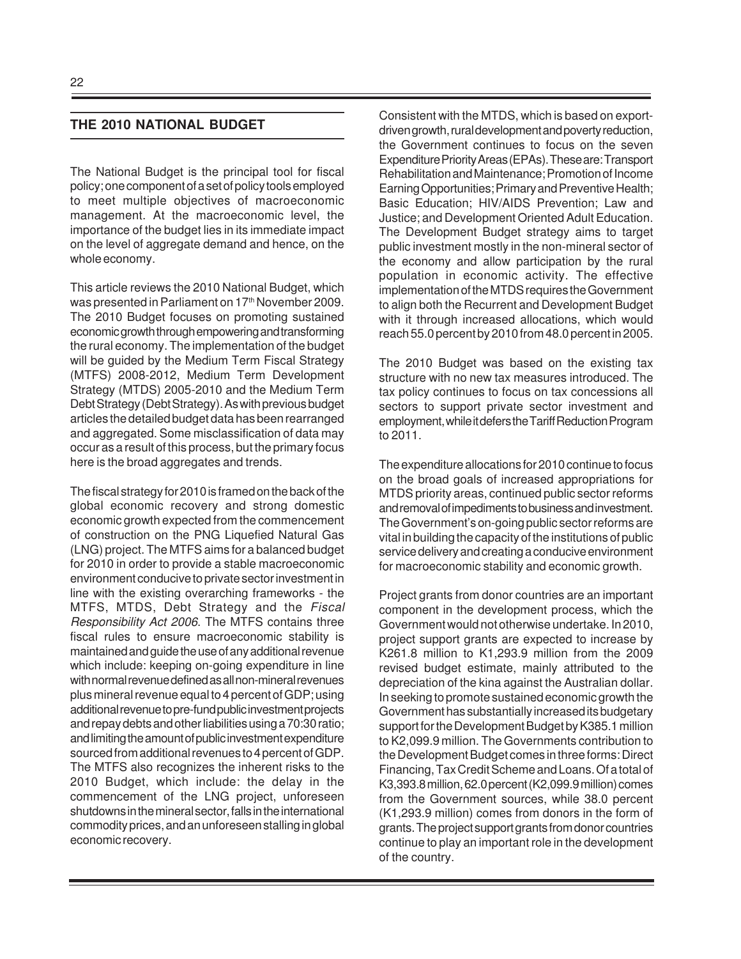#### **THE 2010 NATIONAL BUDGET**

The National Budget is the principal tool for fiscal policy; one component of a set of policy tools employed to meet multiple objectives of macroeconomic management. At the macroeconomic level, the importance of the budget lies in its immediate impact on the level of aggregate demand and hence, on the whole economy.

This article reviews the 2010 National Budget, which was presented in Parliament on 17<sup>th</sup> November 2009. The 2010 Budget focuses on promoting sustained economic growth through empowering and transforming the rural economy. The implementation of the budget will be guided by the Medium Term Fiscal Strategy (MTFS) 2008-2012, Medium Term Development Strategy (MTDS) 2005-2010 and the Medium Term Debt Strategy (Debt Strategy). As with previous budget articles the detailed budget data has been rearranged and aggregated. Some misclassification of data may occur as a result of this process, but the primary focus here is the broad aggregates and trends.

The fiscal strategy for 2010 is framed on the back of the global economic recovery and strong domestic economic growth expected from the commencement of construction on the PNG Liquefied Natural Gas (LNG) project. The MTFS aims for a balanced budget for 2010 in order to provide a stable macroeconomic environment conducive to private sector investment in line with the existing overarching frameworks - the MTFS, MTDS, Debt Strategy and the Fiscal Responsibility Act 2006. The MTFS contains three fiscal rules to ensure macroeconomic stability is maintained and guide the use of any additional revenue which include: keeping on-going expenditure in line with normal revenue defined as all non-mineral revenues plus mineral revenue equal to 4 percent of GDP; using additional revenue to pre-fund public investment projects and repay debts and other liabilities using a 70:30 ratio; and limiting the amount of public investment expenditure sourced from additional revenues to 4 percent of GDP. The MTFS also recognizes the inherent risks to the 2010 Budget, which include: the delay in the commencement of the LNG project, unforeseen shutdowns in the mineral sector, falls in the international commodity prices, and an unforeseen stalling in global economic recovery.

Consistent with the MTDS, which is based on exportdriven growth, rural development and poverty reduction, the Government continues to focus on the seven Expenditure Priority Areas (EPAs). These are: Transport Rehabilitation and Maintenance; Promotion of Income Earning Opportunities; Primary and Preventive Health; Basic Education; HIV/AIDS Prevention; Law and Justice; and Development Oriented Adult Education. The Development Budget strategy aims to target public investment mostly in the non-mineral sector of the economy and allow participation by the rural population in economic activity. The effective implementation of the MTDS requires the Government to align both the Recurrent and Development Budget with it through increased allocations, which would reach 55.0 percent by 2010 from 48.0 percent in 2005.

The 2010 Budget was based on the existing tax structure with no new tax measures introduced. The tax policy continues to focus on tax concessions all sectors to support private sector investment and employment, while it defers the Tariff Reduction Program to 2011.

The expenditure allocations for 2010 continue to focus on the broad goals of increased appropriations for MTDS priority areas, continued public sector reforms and removal of impediments to business and investment. The Government's on-going public sector reforms are vital in building the capacity of the institutions of public service delivery and creating a conducive environment for macroeconomic stability and economic growth.

Project grants from donor countries are an important component in the development process, which the Government would not otherwise undertake. In 2010, project support grants are expected to increase by K261.8 million to K1,293.9 million from the 2009 revised budget estimate, mainly attributed to the depreciation of the kina against the Australian dollar. In seeking to promote sustained economic growth the Government has substantially increased its budgetary support for the Development Budget by K385.1 million to K2,099.9 million. The Governments contribution to the Development Budget comes in three forms: Direct Financing, Tax Credit Scheme and Loans. Of a total of K3,393.8 million, 62.0 percent (K2,099.9 million) comes from the Government sources, while 38.0 percent (K1,293.9 million) comes from donors in the form of grants. The project support grants from donor countries continue to play an important role in the development of the country.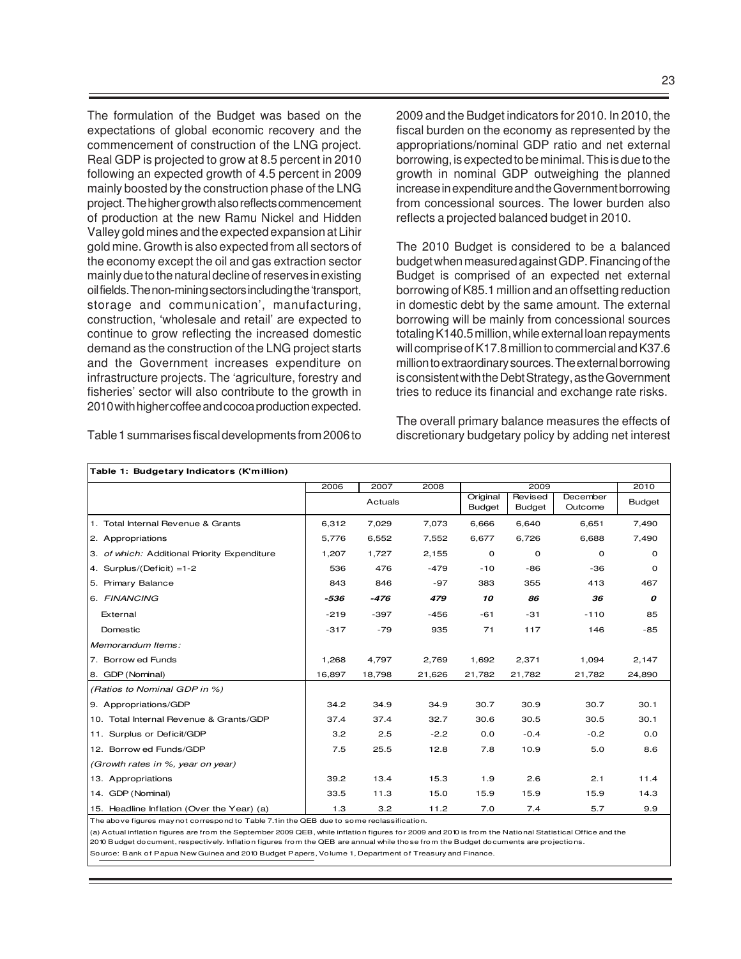The formulation of the Budget was based on the expectations of global economic recovery and the commencement of construction of the LNG project. Real GDP is projected to grow at 8.5 percent in 2010 following an expected growth of 4.5 percent in 2009 mainly boosted by the construction phase of the LNG project. The higher growth also reflects commencement of production at the new Ramu Nickel and Hidden Valley gold mines and the expected expansion at Lihir gold mine. Growth is also expected from all sectors of the economy except the oil and gas extraction sector mainly due to the natural decline of reserves in existing oil fields. The non-mining sectors including the 'transport, storage and communication', manufacturing, construction, 'wholesale and retail' are expected to continue to grow reflecting the increased domestic demand as the construction of the LNG project starts and the Government increases expenditure on infrastructure projects. The 'agriculture, forestry and fisheries' sector will also contribute to the growth in 2010 with higher coffee and cocoa production expected.

Table 1 summarises fiscal developments from 2006 to

2009 and the Budget indicators for 2010. In 2010, the fiscal burden on the economy as represented by the appropriations/nominal GDP ratio and net external borrowing, is expected to be minimal. This is due to the growth in nominal GDP outweighing the planned increase in expenditure and the Government borrowing from concessional sources. The lower burden also reflects a projected balanced budget in 2010.

The 2010 Budget is considered to be a balanced budget when measured against GDP. Financing of the Budget is comprised of an expected net external borrowing of K85.1 million and an offsetting reduction in domestic debt by the same amount. The external borrowing will be mainly from concessional sources totaling K140.5 million, while external loan repayments will comprise of K17.8 million to commercial and K37.6 million to extraordinary sources. The external borrowing is consistent with the Debt Strategy, as the Government tries to reduce its financial and exchange rate risks.

The overall primary balance measures the effects of discretionary budgetary policy by adding net interest

| Table 1: Budgetary Indicators (K'million)    |        |         |        |                           |                          |                     |               |
|----------------------------------------------|--------|---------|--------|---------------------------|--------------------------|---------------------|---------------|
|                                              | 2006   | 2007    | 2008   |                           | 2009                     |                     | 2010          |
|                                              |        | Actuals |        | Original<br><b>Budget</b> | Revised<br><b>Budget</b> | December<br>Outcome | <b>Budget</b> |
| 1. Total Internal Revenue & Grants           | 6,312  | 7,029   | 7,073  | 6,666                     | 6,640                    | 6,651               | 7,490         |
| 2. Appropriations                            | 5,776  | 6,552   | 7,552  | 6,677                     | 6,726                    | 6,688               | 7,490         |
| 3. of which: Additional Priority Expenditure | 1,207  | 1,727   | 2,155  | 0                         | 0                        | 0                   | 0             |
| 4. Surplus/(Deficit) $=1-2$                  | 536    | 476     | $-479$ | $-10$                     | $-86$                    | -36                 | 0             |
| 5. Primary Balance                           | 843    | 846     | $-97$  | 383                       | 355                      | 413                 | 467           |
| 6. FINANCING                                 | -536   | -476    | 479    | 10                        | 86                       | 36                  | 0             |
| External                                     | $-219$ | $-397$  | $-456$ | -61                       | $-31$                    | $-110$              | 85            |
| Domestic                                     | $-317$ | $-79$   | 935    | 71                        | 117                      | 146                 | $-85$         |
| Memorandum Items:                            |        |         |        |                           |                          |                     |               |
| 7. Borrow ed Funds                           | 1,268  | 4,797   | 2,769  | 1,692                     | 2,371                    | 1,094               | 2,147         |
| 8. GDP (Nominal)                             | 16,897 | 18,798  | 21,626 | 21,782                    | 21,782                   | 21,782              | 24,890        |
| (Ratios to Nominal GDP in %)                 |        |         |        |                           |                          |                     |               |
| 9. Appropriations/GDP                        | 34.2   | 34.9    | 34.9   | 30.7                      | 30.9                     | 30.7                | 30.1          |
| 10. Total Internal Revenue & Grants/GDP      | 37.4   | 37.4    | 32.7   | 30.6                      | 30.5                     | 30.5                | 30.1          |
| 11. Surplus or Deficit/GDP                   | 3.2    | 2.5     | $-2.2$ | 0.0                       | $-0.4$                   | $-0.2$              | 0.0           |
| 12. Borrow ed Funds/GDP                      | 7.5    | 25.5    | 12.8   | 7.8                       | 10.9                     | 5.0                 | 8.6           |
| (Growth rates in %, year on year)            |        |         |        |                           |                          |                     |               |
| 13. Appropriations                           | 39.2   | 13.4    | 15.3   | 1.9                       | 2.6                      | 2.1                 | 11.4          |
| 14. GDP (Nominal)                            | 33.5   | 11.3    | 15.0   | 15.9                      | 15.9                     | 15.9                | 14.3          |
| 15. Headline Inflation (Over the Year) (a)   | 1.3    | 3.2     | 11.2   | 7.0                       | 7.4                      | 5.7                 | 9.9           |

The above figures may not correspond to Table 7.1 in the QEB due to some reclassification.

(a) Actual inflation figures are from the September 2009 QEB, while inflation figures for 2009 and 2010 is from the National Statistical Office and the 2010 Budget document, respectively. Inflation figures from the QEB are annual while those from the Budget documents are projections.

Source: Bank of Papua New Guinea and 2010 Budget Papers, Volume 1 , Department of Treasury and Finance.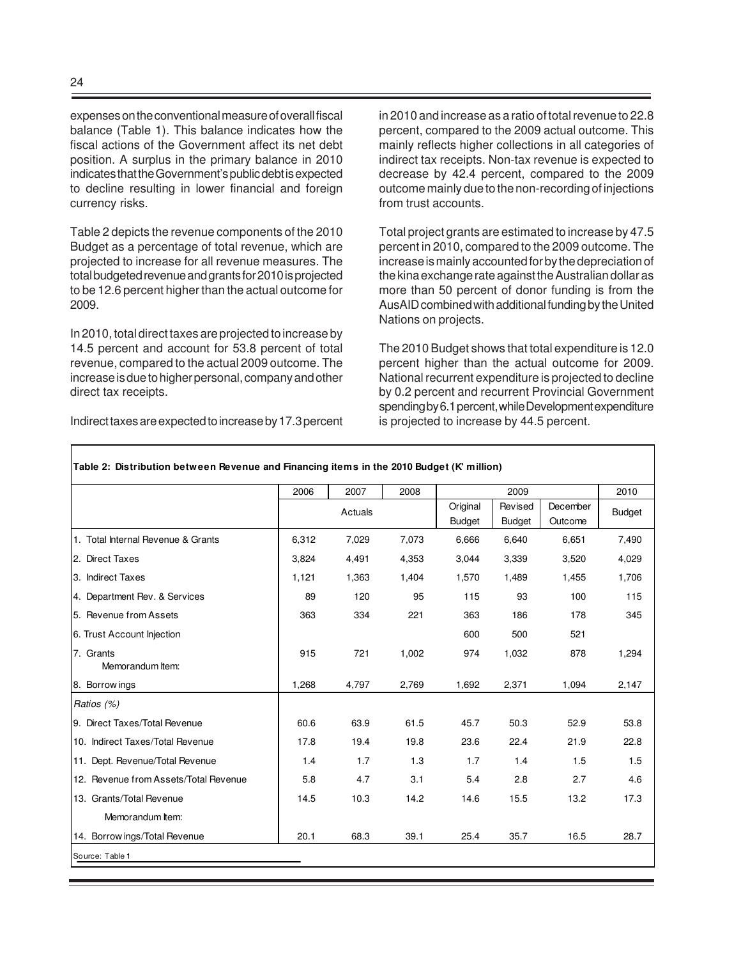expenses on the conventional measure of overall fiscal balance (Table 1). This balance indicates how the fiscal actions of the Government affect its net debt position. A surplus in the primary balance in 2010 indicates that the Government's public debt is expected to decline resulting in lower financial and foreign currency risks.

Table 2 depicts the revenue components of the 2010 Budget as a percentage of total revenue, which are projected to increase for all revenue measures. The total budgeted revenue and grants for 2010 is projected to be 12.6 percent higher than the actual outcome for 2009.

In 2010, total direct taxes are projected to increase by 14.5 percent and account for 53.8 percent of total revenue, compared to the actual 2009 outcome. The increase is due to higher personal, company and other direct tax receipts.

Indirect taxes are expected to increase by 17.3 percent

in 2010 and increase as a ratio of total revenue to 22.8 percent, compared to the 2009 actual outcome. This mainly reflects higher collections in all categories of indirect tax receipts. Non-tax revenue is expected to decrease by 42.4 percent, compared to the 2009 outcome mainly due to the non-recording of injections from trust accounts.

Total project grants are estimated to increase by 47.5 percent in 2010, compared to the 2009 outcome. The increase is mainly accounted for by the depreciation of the kina exchange rate against the Australian dollar as more than 50 percent of donor funding is from the AusAID combined with additional funding by the United Nations on projects.

The 2010 Budget shows that total expenditure is 12.0 percent higher than the actual outcome for 2009. National recurrent expenditure is projected to decline by 0.2 percent and recurrent Provincial Government spending by 6.1 percent, while Development expenditure is projected to increase by 44.5 percent.

|                                       | 2006  | 2007<br>2008 |       | 2009                      |                          |                     | 2010          |
|---------------------------------------|-------|--------------|-------|---------------------------|--------------------------|---------------------|---------------|
|                                       |       | Actuals      |       | Original<br><b>Budget</b> | Revised<br><b>Budget</b> | December<br>Outcome | <b>Budget</b> |
| 1. Total Internal Revenue & Grants    | 6,312 | 7,029        | 7,073 | 6,666                     | 6,640                    | 6,651               | 7,490         |
| 2. Direct Taxes                       | 3,824 | 4,491        | 4,353 | 3,044                     | 3,339                    | 3,520               | 4,029         |
| 3. Indirect Taxes                     | 1,121 | 1,363        | 1,404 | 1,570                     | 1,489                    | 1,455               | 1,706         |
| 4. Department Rev. & Services         | 89    | 120          | 95    | 115                       | 93                       | 100                 | 115           |
| 5. Revenue from Assets                | 363   | 334          | 221   | 363                       | 186                      | 178                 | 345           |
| 6. Trust Account Injection            |       |              |       | 600                       | 500                      | 521                 |               |
| 7. Grants<br>Memorandum Item:         | 915   | 721          | 1,002 | 974                       | 1,032                    | 878                 | 1,294         |
| 8. Borrow ings                        | 1,268 | 4,797        | 2,769 | 1,692                     | 2,371                    | 1,094               | 2,147         |
| Ratios (%)                            |       |              |       |                           |                          |                     |               |
| 9. Direct Taxes/Total Revenue         | 60.6  | 63.9         | 61.5  | 45.7                      | 50.3                     | 52.9                | 53.8          |
| 10. Indirect Taxes/Total Revenue      | 17.8  | 19.4         | 19.8  | 23.6                      | 22.4                     | 21.9                | 22.8          |
| 11. Dept. Revenue/Total Revenue       | 1.4   | 1.7          | 1.3   | 1.7                       | 1.4                      | 1.5                 | 1.5           |
| 12. Revenue from Assets/Total Revenue | 5.8   | 4.7          | 3.1   | 5.4                       | 2.8                      | 2.7                 | 4.6           |
| 13. Grants/Total Revenue              | 14.5  | 10.3         | 14.2  | 14.6                      | 15.5                     | 13.2                | 17.3          |
| Memorandum Item:                      |       |              |       |                           |                          |                     |               |
| 14. Borrow ings/Total Revenue         | 20.1  | 68.3         | 39.1  | 25.4                      | 35.7                     | 16.5                | 28.7          |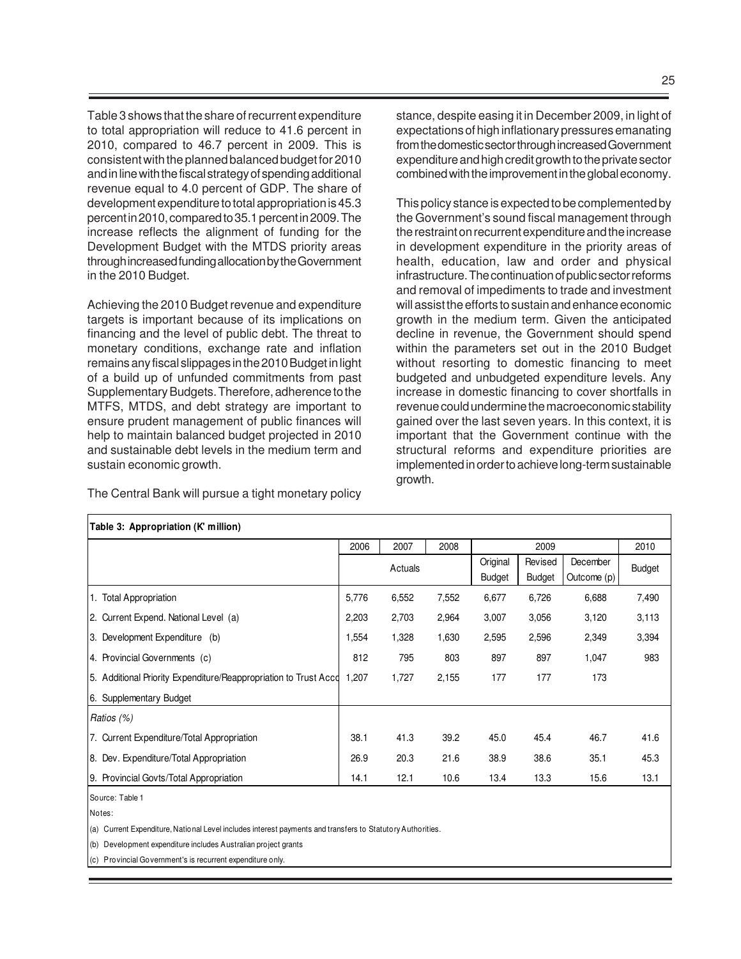Table 3 shows that the share of recurrent expenditure to total appropriation will reduce to 41.6 percent in 2010, compared to 46.7 percent in 2009. This is consistent with the planned balanced budget for 2010 and in line with the fiscal strategy of spending additional revenue equal to 4.0 percent of GDP. The share of development expenditure to total appropriation is 45.3 percent in 2010, compared to 35.1 percent in 2009. The increase reflects the alignment of funding for the Development Budget with the MTDS priority areas through increased funding allocation by the Government in the 2010 Budget.

Achieving the 2010 Budget revenue and expenditure targets is important because of its implications on financing and the level of public debt. The threat to monetary conditions, exchange rate and inflation remains any fiscal slippages in the 2010 Budget in light of a build up of unfunded commitments from past Supplementary Budgets. Therefore, adherence to the MTFS, MTDS, and debt strategy are important to ensure prudent management of public finances will help to maintain balanced budget projected in 2010 and sustainable debt levels in the medium term and sustain economic growth.

The Central Bank will pursue a tight monetary policy

stance, despite easing it in December 2009, in light of expectations of high inflationary pressures emanating from the domestic sector through increased Government expenditure and high credit growth to the private sector combined with the improvement in the global economy.

This policy stance is expected to be complemented by the Government's sound fiscal management through the restraint on recurrent expenditure and the increase in development expenditure in the priority areas of health, education, law and order and physical infrastructure. The continuation of public sector reforms and removal of impediments to trade and investment will assist the efforts to sustain and enhance economic growth in the medium term. Given the anticipated decline in revenue, the Government should spend within the parameters set out in the 2010 Budget without resorting to domestic financing to meet budgeted and unbudgeted expenditure levels. Any increase in domestic financing to cover shortfalls in revenue could undermine the macroeconomic stability gained over the last seven years. In this context, it is important that the Government continue with the structural reforms and expenditure priorities are implemented in order to achieve long-term sustainable growth.

| Table 3: Appropriation (K' million)                              |                      |         |       |                    |                          |                         |        |
|------------------------------------------------------------------|----------------------|---------|-------|--------------------|--------------------------|-------------------------|--------|
|                                                                  | 2006<br>2007<br>2008 |         |       |                    | 2009                     |                         | 2010   |
|                                                                  |                      | Actuals |       | Original<br>Budget | Revised<br><b>Budget</b> | December<br>Outcome (p) | Budget |
| 1. Total Appropriation                                           | 5,776                | 6,552   | 7,552 | 6,677              | 6,726                    | 6,688                   | 7,490  |
| 2. Current Expend. National Level (a)                            | 2,203                | 2,703   | 2,964 | 3,007              | 3,056                    | 3,120                   | 3,113  |
| 3. Development Expenditure (b)                                   | 1,554                | 1,328   | 1,630 | 2,595              | 2,596                    | 2,349                   | 3,394  |
| 4. Provincial Governments (c)                                    | 812                  | 795     | 803   | 897                | 897                      | 1,047                   | 983    |
| 5. Additional Priority Expenditure/Reappropriation to Trust Acco | 1,207                | 1,727   | 2,155 | 177                | 177                      | 173                     |        |
| 6. Supplementary Budget                                          |                      |         |       |                    |                          |                         |        |
| Ratios (%)                                                       |                      |         |       |                    |                          |                         |        |
| 7. Current Expenditure/Total Appropriation                       | 38.1                 | 41.3    | 39.2  | 45.0               | 45.4                     | 46.7                    | 41.6   |
| 8. Dev. Expenditure/Total Appropriation                          | 26.9                 | 20.3    | 21.6  | 38.9               | 38.6                     | 35.1                    | 45.3   |
| 9. Provincial Govts/Total Appropriation                          | 14.1                 | 12.1    | 10.6  | 13.4               | 13.3                     | 15.6                    | 13.1   |

Source: Table 1 Notes:

(a) Current Expenditure, National Level includes interest payments and transfers to Statutory Authorities.

(b) Development expenditure includes Australian project grants

(c) Provincial Government's is recurrent expenditure only.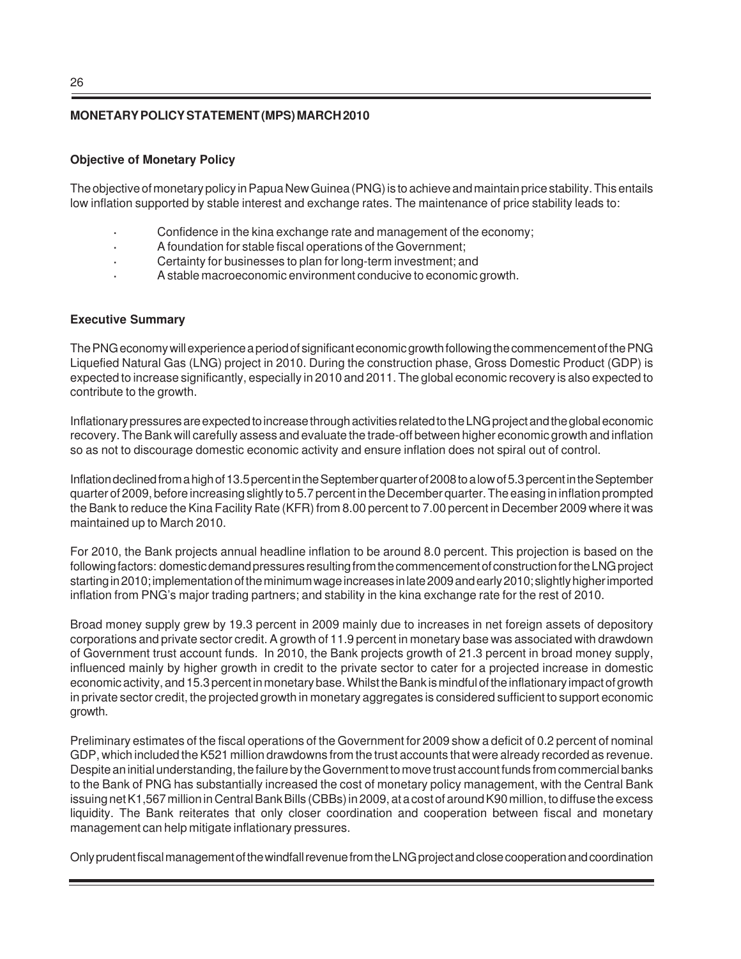### **MONETARY POLICY STATEMENT (MPS) MARCH 2010**

#### **Objective of Monetary Policy**

The objective of monetary policy in Papua New Guinea (PNG) is to achieve and maintain price stability. This entails low inflation supported by stable interest and exchange rates. The maintenance of price stability leads to:

- **·** Confidence in the kina exchange rate and management of the economy;
- **·** A foundation for stable fiscal operations of the Government;
- **·** Certainty for businesses to plan for long-term investment; and
- **·** A stable macroeconomic environment conducive to economic growth.

#### **Executive Summary**

The PNG economy will experience a period of significant economic growth following the commencement of the PNG Liquefied Natural Gas (LNG) project in 2010. During the construction phase, Gross Domestic Product (GDP) is expected to increase significantly, especially in 2010 and 2011. The global economic recovery is also expected to contribute to the growth.

Inflationary pressures are expected to increase through activities related to the LNG project and the global economic recovery. The Bank will carefully assess and evaluate the trade-off between higher economic growth and inflation so as not to discourage domestic economic activity and ensure inflation does not spiral out of control.

Inflation declined from a high of 13.5 percent in the September quarter of 2008 to a low of 5.3 percent in the September quarter of 2009, before increasing slightly to 5.7 percent in the December quarter. The easing in inflation prompted the Bank to reduce the Kina Facility Rate (KFR) from 8.00 percent to 7.00 percent in December 2009 where it was maintained up to March 2010.

For 2010, the Bank projects annual headline inflation to be around 8.0 percent. This projection is based on the following factors: domestic demand pressures resulting from the commencement of construction for the LNG project starting in 2010; implementation of the minimum wage increases in late 2009 and early 2010; slightly higher imported inflation from PNG's major trading partners; and stability in the kina exchange rate for the rest of 2010.

Broad money supply grew by 19.3 percent in 2009 mainly due to increases in net foreign assets of depository corporations and private sector credit. A growth of 11.9 percent in monetary base was associated with drawdown of Government trust account funds. In 2010, the Bank projects growth of 21.3 percent in broad money supply, influenced mainly by higher growth in credit to the private sector to cater for a projected increase in domestic economic activity, and 15.3 percent in monetary base. Whilst the Bank is mindful of the inflationary impact of growth in private sector credit, the projected growth in monetary aggregates is considered sufficient to support economic growth.

Preliminary estimates of the fiscal operations of the Government for 2009 show a deficit of 0.2 percent of nominal GDP, which included the K521 million drawdowns from the trust accounts that were already recorded as revenue. Despite an initial understanding, the failure by the Government to move trust account funds from commercial banks to the Bank of PNG has substantially increased the cost of monetary policy management, with the Central Bank issuing net K1,567 million in Central Bank Bills (CBBs) in 2009, at a cost of around K90 million, to diffuse the excess liquidity. The Bank reiterates that only closer coordination and cooperation between fiscal and monetary management can help mitigate inflationary pressures.

Only prudent fiscal management of the windfall revenue from the LNG project and close cooperation and coordination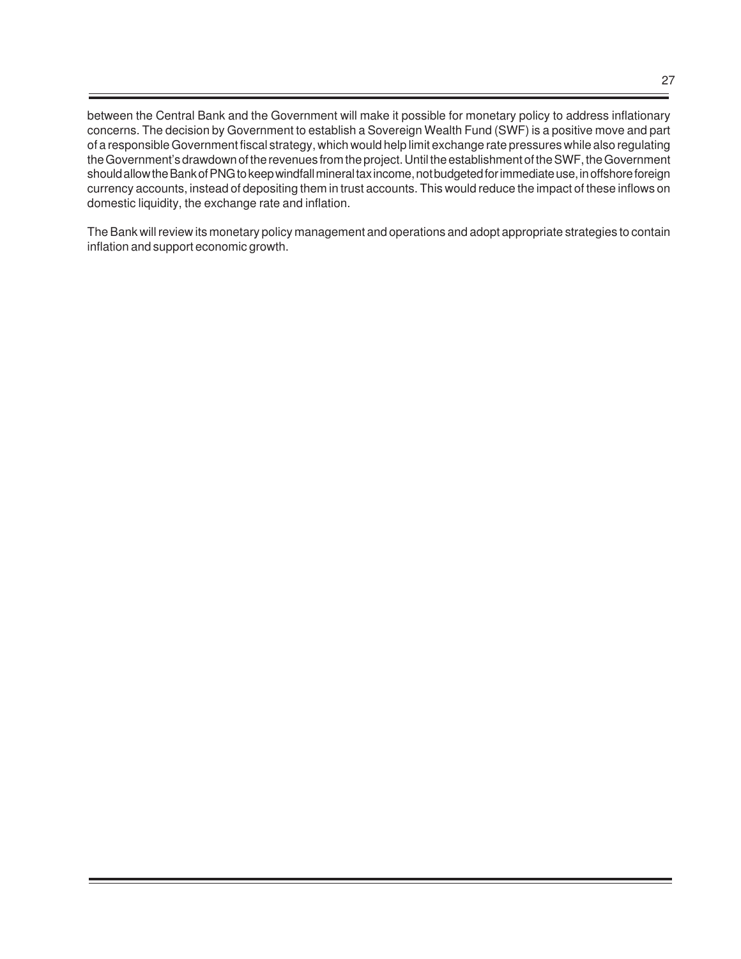between the Central Bank and the Government will make it possible for monetary policy to address inflationary concerns. The decision by Government to establish a Sovereign Wealth Fund (SWF) is a positive move and part of a responsible Government fiscal strategy, which would help limit exchange rate pressures while also regulating the Government's drawdown of the revenues from the project. Until the establishment of the SWF, the Government should allow the Bank of PNG to keep windfall mineral tax income, not budgeted for immediate use, in offshore foreign currency accounts, instead of depositing them in trust accounts. This would reduce the impact of these inflows on domestic liquidity, the exchange rate and inflation.

The Bank will review its monetary policy management and operations and adopt appropriate strategies to contain inflation and support economic growth.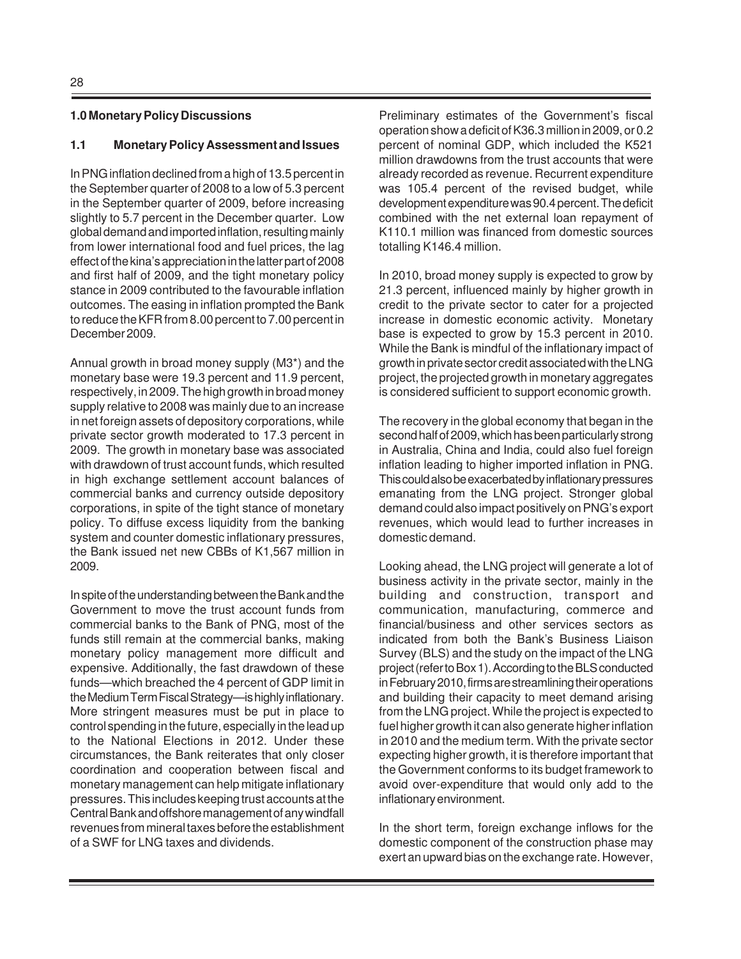#### **1.0 Monetary Policy Discussions**

#### **1.1 Monetary Policy Assessment and Issues**

In PNG inflation declined from a high of 13.5 percent in the September quarter of 2008 to a low of 5.3 percent in the September quarter of 2009, before increasing slightly to 5.7 percent in the December quarter. Low global demand and imported inflation, resulting mainly from lower international food and fuel prices, the lag effect of the kina's appreciation in the latter part of 2008 and first half of 2009, and the tight monetary policy stance in 2009 contributed to the favourable inflation outcomes. The easing in inflation prompted the Bank to reduce the KFR from 8.00 percent to 7.00 percent in December 2009.

Annual growth in broad money supply (M3\*) and the monetary base were 19.3 percent and 11.9 percent, respectively, in 2009. The high growth in broad money supply relative to 2008 was mainly due to an increase in net foreign assets of depository corporations, while private sector growth moderated to 17.3 percent in 2009. The growth in monetary base was associated with drawdown of trust account funds, which resulted in high exchange settlement account balances of commercial banks and currency outside depository corporations, in spite of the tight stance of monetary policy. To diffuse excess liquidity from the banking system and counter domestic inflationary pressures, the Bank issued net new CBBs of K1,567 million in 2009.

In spite of the understanding between the Bank and the Government to move the trust account funds from commercial banks to the Bank of PNG, most of the funds still remain at the commercial banks, making monetary policy management more difficult and expensive. Additionally, the fast drawdown of these funds—which breached the 4 percent of GDP limit in the Medium Term Fiscal Strategy—is highly inflationary. More stringent measures must be put in place to control spending in the future, especially in the lead up to the National Elections in 2012. Under these circumstances, the Bank reiterates that only closer coordination and cooperation between fiscal and monetary management can help mitigate inflationary pressures. This includes keeping trust accounts at the Central Bank and offshore management of any windfall revenues from mineral taxes before the establishment of a SWF for LNG taxes and dividends.

Preliminary estimates of the Government's fiscal operation show a deficit of K36.3 million in 2009, or 0.2 percent of nominal GDP, which included the K521 million drawdowns from the trust accounts that were already recorded as revenue. Recurrent expenditure was 105.4 percent of the revised budget, while development expenditure was 90.4 percent. The deficit combined with the net external loan repayment of K110.1 million was financed from domestic sources totalling K146.4 million.

In 2010, broad money supply is expected to grow by 21.3 percent, influenced mainly by higher growth in credit to the private sector to cater for a projected increase in domestic economic activity. Monetary base is expected to grow by 15.3 percent in 2010. While the Bank is mindful of the inflationary impact of growth in private sector credit associated with the LNG project, the projected growth in monetary aggregates is considered sufficient to support economic growth.

The recovery in the global economy that began in the second half of 2009, which has been particularly strong in Australia, China and India, could also fuel foreign inflation leading to higher imported inflation in PNG. This could also be exacerbated by inflationary pressures emanating from the LNG project. Stronger global demand could also impact positively on PNG's export revenues, which would lead to further increases in domestic demand.

Looking ahead, the LNG project will generate a lot of business activity in the private sector, mainly in the building and construction, transport and communication, manufacturing, commerce and financial/business and other services sectors as indicated from both the Bank's Business Liaison Survey (BLS) and the study on the impact of the LNG project (refer to Box 1). According to the BLS conducted in February 2010, firms are streamlining their operations and building their capacity to meet demand arising from the LNG project. While the project is expected to fuel higher growth it can also generate higher inflation in 2010 and the medium term. With the private sector expecting higher growth, it is therefore important that the Government conforms to its budget framework to avoid over-expenditure that would only add to the inflationary environment.

In the short term, foreign exchange inflows for the domestic component of the construction phase may exert an upward bias on the exchange rate. However,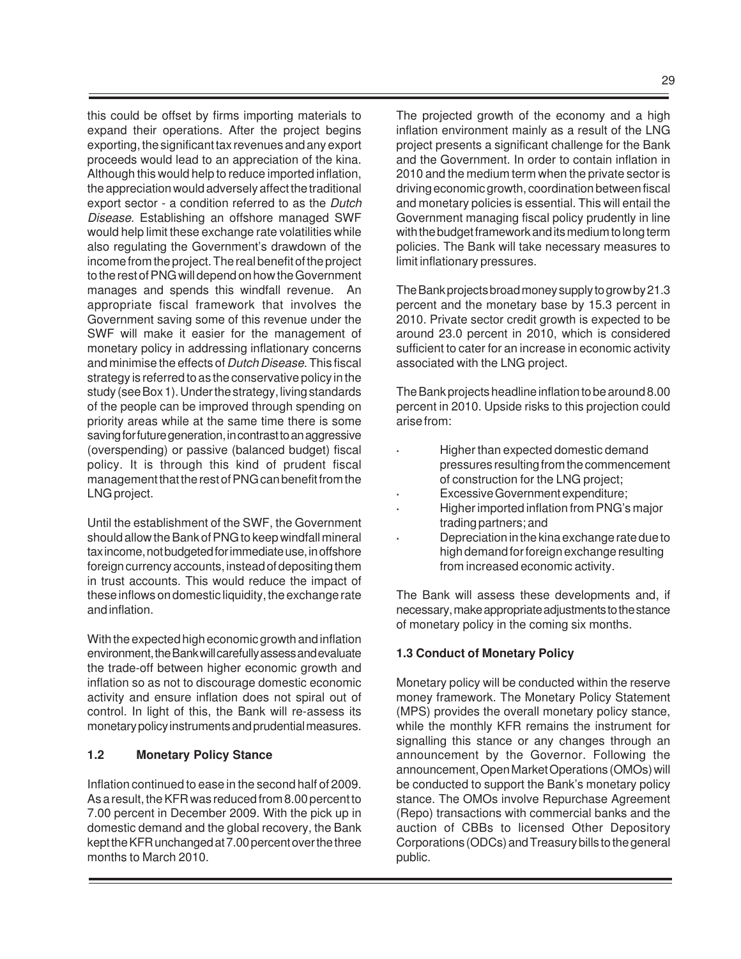this could be offset by firms importing materials to expand their operations. After the project begins exporting, the significant tax revenues and any export proceeds would lead to an appreciation of the kina. Although this would help to reduce imported inflation, the appreciation would adversely affect the traditional export sector - a condition referred to as the Dutch Disease. Establishing an offshore managed SWF would help limit these exchange rate volatilities while also regulating the Government's drawdown of the income from the project. The real benefit of the project to the rest of PNG will depend on how the Government manages and spends this windfall revenue. An appropriate fiscal framework that involves the Government saving some of this revenue under the SWF will make it easier for the management of monetary policy in addressing inflationary concerns and minimise the effects of Dutch Disease. This fiscal strategy is referred to as the conservative policy in the study (see Box 1). Under the strategy, living standards of the people can be improved through spending on priority areas while at the same time there is some saving for future generation, in contrast to an aggressive (overspending) or passive (balanced budget) fiscal policy. It is through this kind of prudent fiscal management that the rest of PNG can benefit from the LNG project.

Until the establishment of the SWF, the Government should allow the Bank of PNG to keep windfall mineral tax income, not budgeted for immediate use, in offshore foreign currency accounts, instead of depositing them in trust accounts. This would reduce the impact of these inflows on domestic liquidity, the exchange rate and inflation.

With the expected high economic growth and inflation environment, the Bank will carefully assess and evaluate the trade-off between higher economic growth and inflation so as not to discourage domestic economic activity and ensure inflation does not spiral out of control. In light of this, the Bank will re-assess its monetary policy instruments and prudential measures.

#### **1.2 Monetary Policy Stance**

Inflation continued to ease in the second half of 2009. As a result, the KFR was reduced from 8.00 percent to 7.00 percent in December 2009. With the pick up in domestic demand and the global recovery, the Bank kept the KFR unchanged at 7.00 percent over the three months to March 2010.

The projected growth of the economy and a high inflation environment mainly as a result of the LNG project presents a significant challenge for the Bank and the Government. In order to contain inflation in 2010 and the medium term when the private sector is driving economic growth, coordination between fiscal and monetary policies is essential. This will entail the Government managing fiscal policy prudently in line with the budget framework and its medium to long term policies. The Bank will take necessary measures to limit inflationary pressures.

The Bank projects broad money supply to grow by 21.3 percent and the monetary base by 15.3 percent in 2010. Private sector credit growth is expected to be around 23.0 percent in 2010, which is considered sufficient to cater for an increase in economic activity associated with the LNG project.

The Bank projects headline inflation to be around 8.00 percent in 2010. Upside risks to this projection could arise from:

- **·** Higher than expected domestic demand pressures resulting from the commencement of construction for the LNG project;
- **·** Excessive Government expenditure;
- **·** Higher imported inflation from PNG's major trading partners; and
- **·** Depreciation in the kina exchange rate due to high demand for foreign exchange resulting from increased economic activity.

The Bank will assess these developments and, if necessary, make appropriate adjustments to the stance of monetary policy in the coming six months.

# **1.3 Conduct of Monetary Policy**

Monetary policy will be conducted within the reserve money framework. The Monetary Policy Statement (MPS) provides the overall monetary policy stance, while the monthly KFR remains the instrument for signalling this stance or any changes through an announcement by the Governor. Following the announcement, Open Market Operations (OMOs) will be conducted to support the Bank's monetary policy stance. The OMOs involve Repurchase Agreement (Repo) transactions with commercial banks and the auction of CBBs to licensed Other Depository Corporations (ODCs) and Treasury bills to the general public.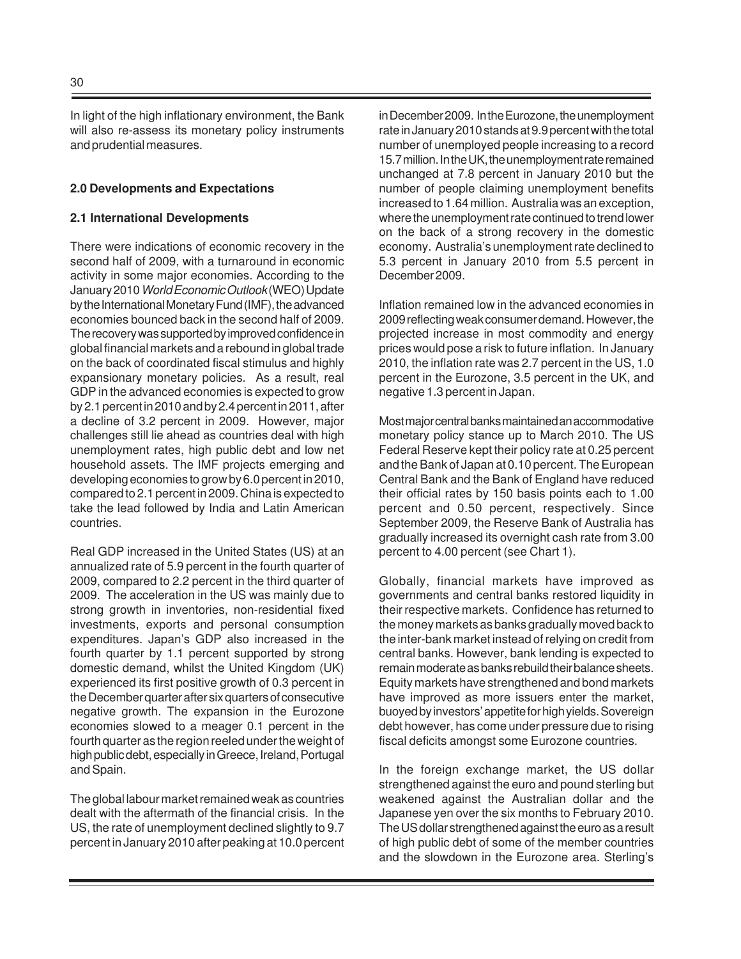In light of the high inflationary environment, the Bank will also re-assess its monetary policy instruments and prudential measures.

#### **2.0 Developments and Expectations**

#### **2.1 International Developments**

There were indications of economic recovery in the second half of 2009, with a turnaround in economic activity in some major economies. According to the January 2010 World Economic Outlook (WEO) Update by the International Monetary Fund (IMF), the advanced economies bounced back in the second half of 2009. The recovery was supported by improved confidence in global financial markets and a rebound in global trade on the back of coordinated fiscal stimulus and highly expansionary monetary policies. As a result, real GDP in the advanced economies is expected to grow by 2.1 percent in 2010 and by 2.4 percent in 2011, after a decline of 3.2 percent in 2009. However, major challenges still lie ahead as countries deal with high unemployment rates, high public debt and low net household assets. The IMF projects emerging and developing economies to grow by 6.0 percent in 2010, compared to 2.1 percent in 2009. China is expected to take the lead followed by India and Latin American countries.

Real GDP increased in the United States (US) at an annualized rate of 5.9 percent in the fourth quarter of 2009, compared to 2.2 percent in the third quarter of 2009. The acceleration in the US was mainly due to strong growth in inventories, non-residential fixed investments, exports and personal consumption expenditures. Japan's GDP also increased in the fourth quarter by 1.1 percent supported by strong domestic demand, whilst the United Kingdom (UK) experienced its first positive growth of 0.3 percent in the December quarter after six quarters of consecutive negative growth. The expansion in the Eurozone economies slowed to a meager 0.1 percent in the fourth quarter as the region reeled under the weight of high public debt, especially in Greece, Ireland, Portugal and Spain.

The global labour market remained weak as countries dealt with the aftermath of the financial crisis. In the US, the rate of unemployment declined slightly to 9.7 percent in January 2010 after peaking at 10.0 percent in December 2009. In the Eurozone, the unemployment rate in January 2010 stands at 9.9 percent with the total number of unemployed people increasing to a record 15.7 million. In the UK, the unemployment rate remained unchanged at 7.8 percent in January 2010 but the number of people claiming unemployment benefits increased to 1.64 million. Australia was an exception, where the unemployment rate continued to trend lower on the back of a strong recovery in the domestic economy. Australia's unemployment rate declined to 5.3 percent in January 2010 from 5.5 percent in December 2009.

Inflation remained low in the advanced economies in 2009 reflecting weak consumer demand. However, the projected increase in most commodity and energy prices would pose a risk to future inflation. In January 2010, the inflation rate was 2.7 percent in the US, 1.0 percent in the Eurozone, 3.5 percent in the UK, and negative 1.3 percent in Japan.

Most major central banks maintained an accommodative monetary policy stance up to March 2010. The US Federal Reserve kept their policy rate at 0.25 percent and the Bank of Japan at 0.10 percent. The European Central Bank and the Bank of England have reduced their official rates by 150 basis points each to 1.00 percent and 0.50 percent, respectively. Since September 2009, the Reserve Bank of Australia has gradually increased its overnight cash rate from 3.00 percent to 4.00 percent (see Chart 1).

Globally, financial markets have improved as governments and central banks restored liquidity in their respective markets. Confidence has returned to the money markets as banks gradually moved back to the inter-bank market instead of relying on credit from central banks. However, bank lending is expected to remain moderate as banks rebuild their balance sheets. Equity markets have strengthened and bond markets have improved as more issuers enter the market, buoyed by investors' appetite for high yields. Sovereign debt however, has come under pressure due to rising fiscal deficits amongst some Eurozone countries.

In the foreign exchange market, the US dollar strengthened against the euro and pound sterling but weakened against the Australian dollar and the Japanese yen over the six months to February 2010. The US dollar strengthened against the euro as a result of high public debt of some of the member countries and the slowdown in the Eurozone area. Sterling's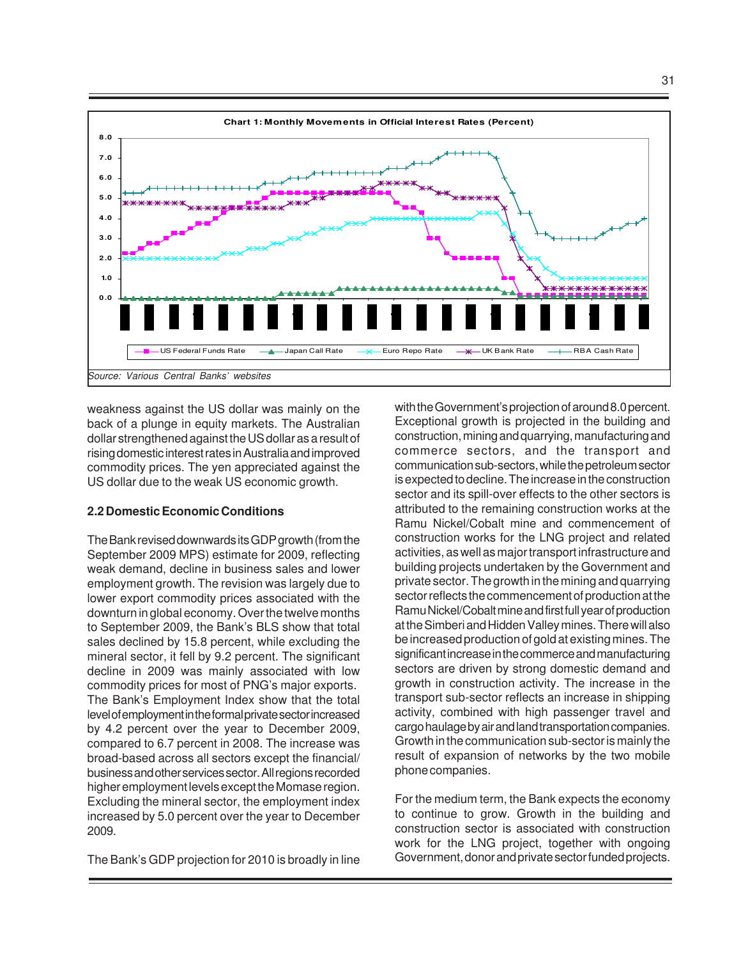

weakness against the US dollar was mainly on the back of a plunge in equity markets. The Australian dollar strengthened against the US dollar as a result of rising domestic interest rates in Australia and improved commodity prices. The yen appreciated against the US dollar due to the weak US economic growth.

#### **2.2 Domestic Economic Conditions**

The Bank revised downwards its GDP growth (from the September 2009 MPS) estimate for 2009, reflecting weak demand, decline in business sales and lower employment growth. The revision was largely due to lower export commodity prices associated with the downturn in global economy. Over the twelve months to September 2009, the Bank's BLS show that total sales declined by 15.8 percent, while excluding the mineral sector, it fell by 9.2 percent. The significant decline in 2009 was mainly associated with low commodity prices for most of PNG's major exports. The Bank's Employment Index show that the total level of employment in the formal private sector increased by 4.2 percent over the year to December 2009, compared to 6.7 percent in 2008. The increase was broad-based across all sectors except the financial/ business and other services sector. All regions recorded higher employment levels except the Momase region. Excluding the mineral sector, the employment index increased by 5.0 percent over the year to December 2009.

The Bank's GDP projection for 2010 is broadly in line

with the Government's projection of around 8.0 percent. Exceptional growth is projected in the building and construction, mining and quarrying, manufacturing and commerce sectors, and the transport and communication sub-sectors, while the petroleum sector is expected to decline. The increase in the construction sector and its spill-over effects to the other sectors is attributed to the remaining construction works at the Ramu Nickel/Cobalt mine and commencement of construction works for the LNG project and related activities, as well as major transport infrastructure and building projects undertaken by the Government and private sector. The growth in the mining and quarrying sector reflects the commencement of production at the Ramu Nickel/Cobalt mine and first full year of production at the Simberi and Hidden Valley mines. There will also be increased production of gold at existing mines. The significant increase in the commerce and manufacturing sectors are driven by strong domestic demand and growth in construction activity. The increase in the transport sub-sector reflects an increase in shipping activity, combined with high passenger travel and cargo haulage by air and land transportation companies. Growth in the communication sub-sector is mainly the result of expansion of networks by the two mobile phone companies.

For the medium term, the Bank expects the economy to continue to grow. Growth in the building and construction sector is associated with construction work for the LNG project, together with ongoing Government, donor and private sector funded projects.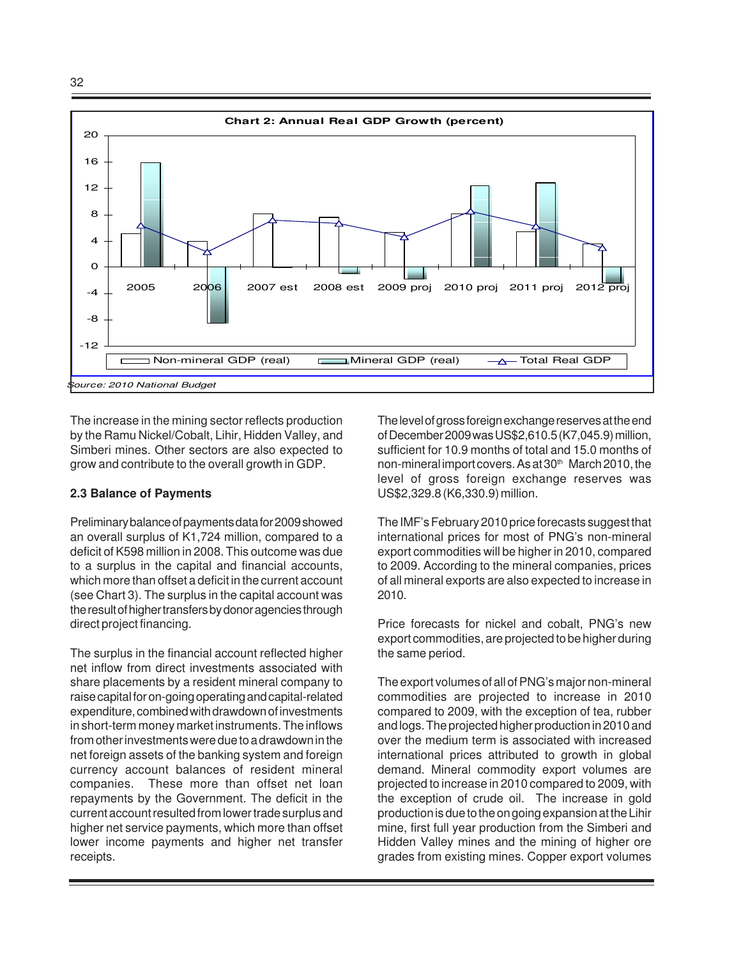

The increase in the mining sector reflects production by the Ramu Nickel/Cobalt, Lihir, Hidden Valley, and Simberi mines. Other sectors are also expected to grow and contribute to the overall growth in GDP.

#### **2.3 Balance of Payments**

Preliminary balance of payments data for 2009 showed an overall surplus of K1,724 million, compared to a deficit of K598 million in 2008. This outcome was due to a surplus in the capital and financial accounts, which more than offset a deficit in the current account (see Chart 3). The surplus in the capital account was the result of higher transfers by donor agencies through direct project financing.

The surplus in the financial account reflected higher net inflow from direct investments associated with share placements by a resident mineral company to raise capital for on-going operating and capital-related expenditure, combined with drawdown of investments in short-term money market instruments. The inflows from other investments were due to a drawdown in the net foreign assets of the banking system and foreign currency account balances of resident mineral companies. These more than offset net loan repayments by the Government. The deficit in the current account resulted from lower trade surplus and higher net service payments, which more than offset lower income payments and higher net transfer receipts.

The level of gross foreign exchange reserves at the end of December 2009 was US\$2,610.5 (K7,045.9) million, sufficient for 10.9 months of total and 15.0 months of non-mineral import covers. As at 30th March 2010, the level of gross foreign exchange reserves was US\$2,329.8 (K6,330.9) million.

The IMF's February 2010 price forecasts suggest that international prices for most of PNG's non-mineral export commodities will be higher in 2010, compared to 2009. According to the mineral companies, prices of all mineral exports are also expected to increase in 2010.

Price forecasts for nickel and cobalt, PNG's new export commodities, are projected to be higher during the same period.

The export volumes of all of PNG's major non-mineral commodities are projected to increase in 2010 compared to 2009, with the exception of tea, rubber and logs. The projected higher production in 2010 and over the medium term is associated with increased international prices attributed to growth in global demand. Mineral commodity export volumes are projected to increase in 2010 compared to 2009, with the exception of crude oil. The increase in gold production is due to the on going expansion at the Lihir mine, first full year production from the Simberi and Hidden Valley mines and the mining of higher ore grades from existing mines. Copper export volumes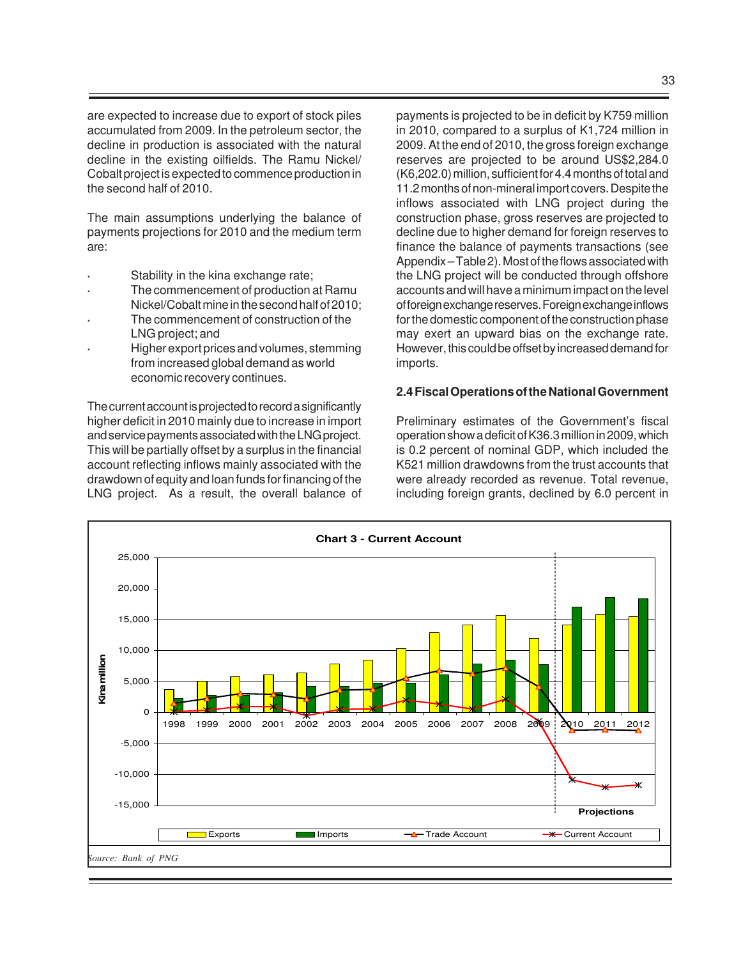are expected to increase due to export of stock piles accumulated from 2009. In the petroleum sector, the decline in production is associated with the natural decline in the existing oilfields. The Ramu Nickel/ Cobalt project is expected to commence production in the second half of 2010.

The main assumptions underlying the balance of payments projections for 2010 and the medium term are:

- **·** Stability in the kina exchange rate;
- **·** The commencement of production at Ramu Nickel/Cobalt mine in the second half of 2010;
- **·** The commencement of construction of the LNG project; and
- **·** Higher export prices and volumes, stemming from increased global demand as world economic recovery continues.

The current account is projected to record a significantly higher deficit in 2010 mainly due to increase in import and service payments associated with the LNG project. This will be partially offset by a surplus in the financial account reflecting inflows mainly associated with the drawdown of equity and loan funds for financing of the LNG project. As a result, the overall balance of

payments is projected to be in deficit by K759 million in 2010, compared to a surplus of K1,724 million in 2009. At the end of 2010, the gross foreign exchange reserves are projected to be around US\$2,284.0 (K6,202.0) million, sufficient for 4.4 months of total and 11.2 months of non-mineral import covers. Despite the inflows associated with LNG project during the construction phase, gross reserves are projected to decline due to higher demand for foreign reserves to finance the balance of payments transactions (see Appendix – Table 2). Most of the flows associated with the LNG project will be conducted through offshore accounts and will have a minimum impact on the level of foreign exchange reserves. Foreign exchange inflows for the domestic component of the construction phase may exert an upward bias on the exchange rate. However, this could be offset by increased demand for imports.

#### **2.4 Fiscal Operations of the National Government**

Preliminary estimates of the Government's fiscal operation show a deficit of K36.3 million in 2009, which is 0.2 percent of nominal GDP, which included the K521 million drawdowns from the trust accounts that were already recorded as revenue. Total revenue, including foreign grants, declined by 6.0 percent in

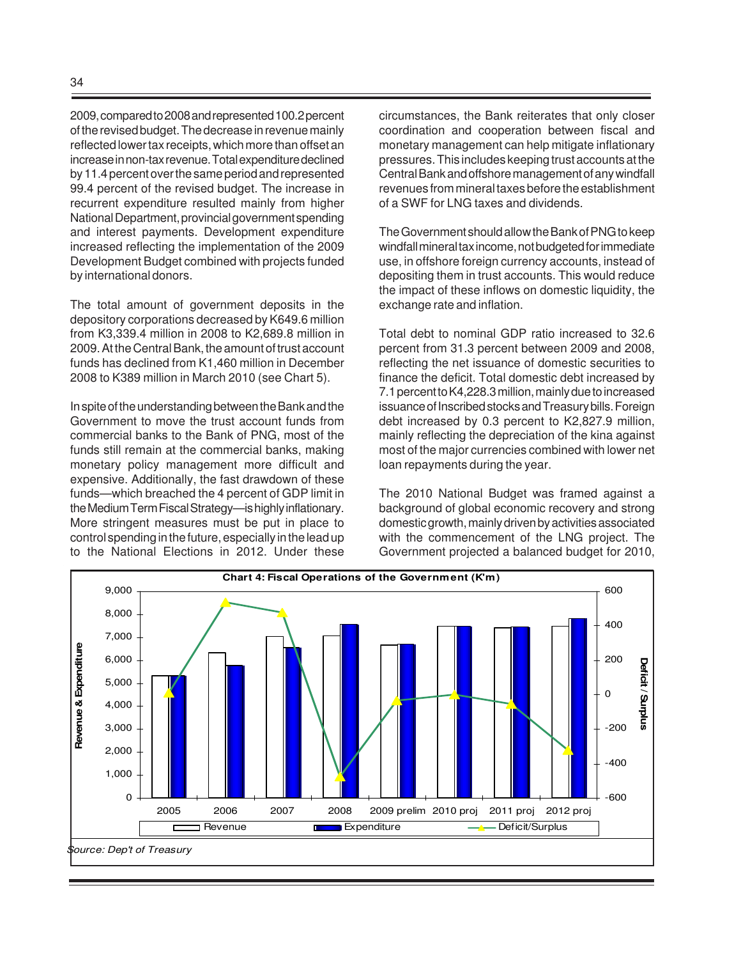2009, compared to 2008 and represented 100.2 percent of the revised budget. The decrease in revenue mainly reflected lower tax receipts, which more than offset an increase in non-tax revenue. Total expenditure declined by 11.4 percent over the same period and represented 99.4 percent of the revised budget. The increase in recurrent expenditure resulted mainly from higher National Department, provincial government spending and interest payments. Development expenditure increased reflecting the implementation of the 2009 Development Budget combined with projects funded by international donors.

The total amount of government deposits in the depository corporations decreased by K649.6 million from K3,339.4 million in 2008 to K2,689.8 million in 2009. At the Central Bank, the amount of trust account funds has declined from K1,460 million in December 2008 to K389 million in March 2010 (see Chart 5).

In spite of the understanding between the Bank and the Government to move the trust account funds from commercial banks to the Bank of PNG, most of the funds still remain at the commercial banks, making monetary policy management more difficult and expensive. Additionally, the fast drawdown of these funds—which breached the 4 percent of GDP limit in the Medium Term Fiscal Strategy—is highly inflationary. More stringent measures must be put in place to control spending in thefuture, especially in the lead up to the National Elections in 2012. Under these circumstances, the Bank reiterates that only closer coordination and cooperation between fiscal and monetary management can help mitigate inflationary pressures. This includes keeping trust accounts at the Central Bank and offshore management of any windfall revenues from mineral taxes before the establishment of a SWF for LNG taxes and dividends.

The Government should allow the Bank of PNG to keep windfall mineral tax income, not budgeted for immediate use, in offshore foreign currency accounts, instead of depositing them in trust accounts. This would reduce the impact of these inflows on domestic liquidity, the exchange rate and inflation.

Total debt to nominal GDP ratio increased to 32.6 percent from 31.3 percent between 2009 and 2008, reflecting the net issuance of domestic securities to finance the deficit. Total domestic debt increased by 7.1 percent to K4,228.3 million, mainly due to increased issuance of Inscribed stocks and Treasury bills. Foreign debt increased by 0.3 percent to K2,827.9 million, mainly reflecting the depreciation of the kina against most of the major currencies combined with lower net loan repayments during the year.

The 2010 National Budget was framed against a background of global economic recovery and strong domestic growth, mainly driven by activities associated with the commencement of the LNG project. The Government projected a balanced budget for 2010,

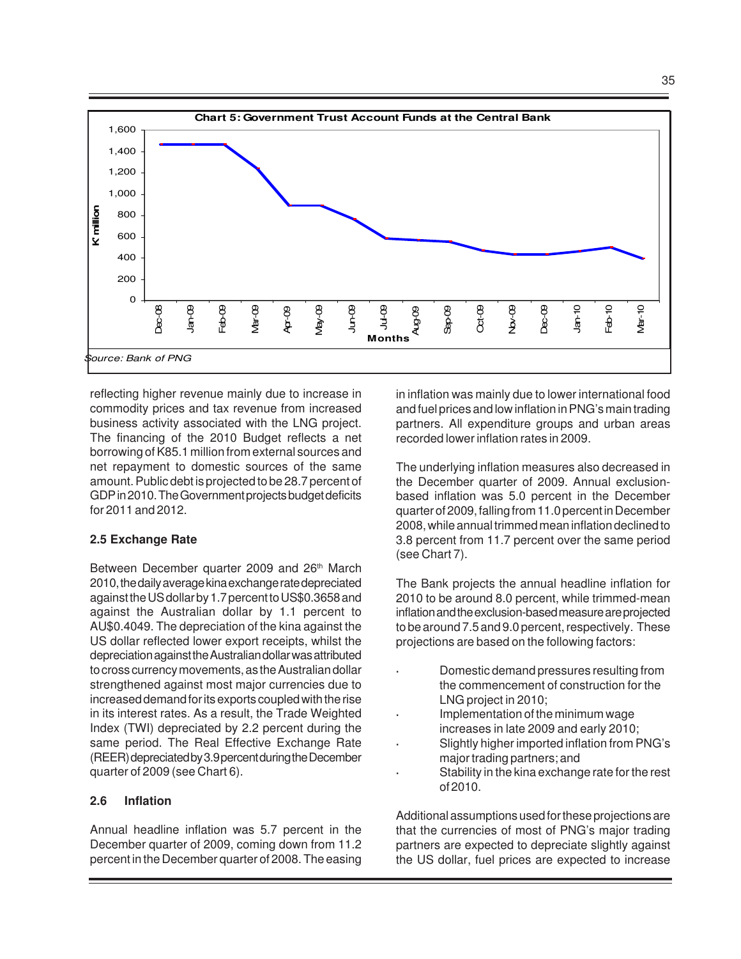

reflecting higher revenue mainly due to increase in commodity prices and tax revenue from increased business activity associated with the LNG project. The financing of the 2010 Budget reflects a net borrowing of K85.1 million from external sources and net repayment to domestic sources of the same amount. Public debt is projected to be 28.7 percent of GDP in 2010. The Government projects budget deficits for 2011 and 2012.

#### **2.5 Exchange Rate**

Between December quarter 2009 and 26<sup>th</sup> March 2010, the daily average kina exchange rate depreciated against the US dollar by 1.7 percent to US\$0.3658 and against the Australian dollar by 1.1 percent to AU\$0.4049. The depreciation of the kina against the US dollar reflected lower export receipts, whilst the depreciation against the Australian dollar was attributed to cross currency movements, as the Australian dollar strengthened against most major currencies due to increased demand for its exports coupled with the rise in its interest rates. As a result, the Trade Weighted Index (TWI) depreciated by 2.2 percent during the same period. The Real Effective Exchange Rate (REER) depreciated by 3.9 percent during the December quarter of 2009 (see Chart 6).

# **2.6 Inflation**

Annual headline inflation was 5.7 percent in the December quarter of 2009, coming down from 11.2 percent in the December quarter of 2008. The easing in inflation was mainly due to lower international food and fuel prices and low inflation in PNG's main trading partners. All expenditure groups and urban areas recorded lower inflation rates in 2009.

The underlying inflation measures also decreased in the December quarter of 2009. Annual exclusionbased inflation was 5.0 percent in the December quarter of 2009, falling from 11.0 percent in December 2008, while annual trimmed mean inflation declined to 3.8 percent from 11.7 percent over the same period (see Chart 7).

The Bank projects the annual headline inflation for 2010 to be around 8.0 percent, while trimmed-mean inflation and the exclusion-based measure are projected to be around 7.5 and 9.0 percent, respectively. These projections are based on the following factors:

- **·** Domestic demand pressures resulting from the commencement of construction for the LNG project in 2010;
- **·** Implementation of the minimum wage increases in late 2009 and early 2010;
- **·** Slightly higher imported inflation from PNG's major trading partners; and
- **·** Stability in the kina exchange rate for the rest of 2010.

Additional assumptions used for these projections are that the currencies of most of PNG's major trading partners are expected to depreciate slightly against the US dollar, fuel prices are expected to increase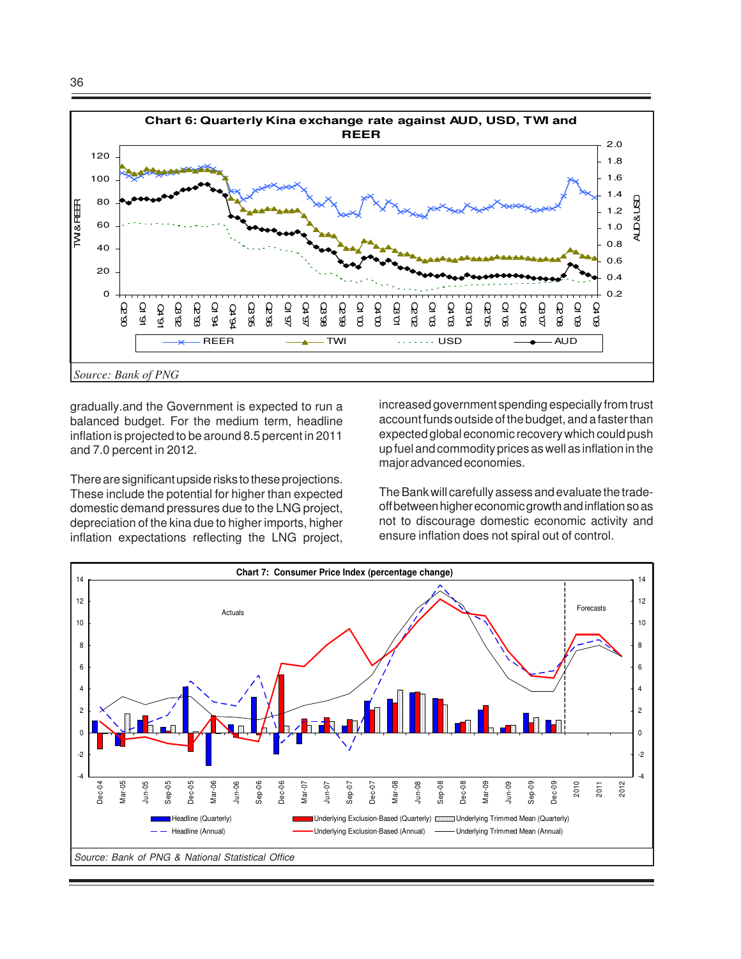

gradually.and the Government is expected to run a balanced budget. For the medium term, headline inflation is projected to be around 8.5 percent in 2011 and 7.0 percent in 2012.

There are significant upside risks to these projections. These include the potential for higher than expected domestic demand pressures due to the LNG project, depreciation of the kina due to higher imports, higher inflation expectations reflecting the LNG project, increased government spending especially from trust account funds outside of the budget, and a faster than expected global economic recovery which could push up fuel and commodity prices as well as inflation in the major advanced economies.

The Bank will carefully assess and evaluate the tradeoff between higher economic growth and inflation so as not to discourage domestic economic activity and ensure inflation does not spiral out of control.

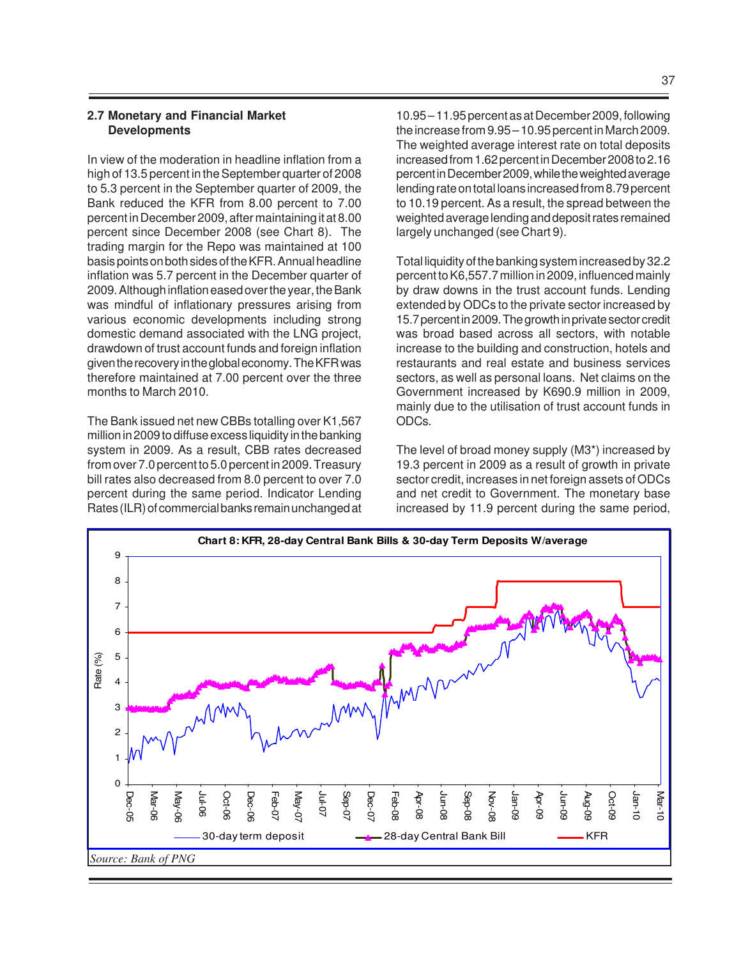#### **2.7 Monetary and Financial Market Developments**

In view of the moderation in headline inflation from a high of 13.5 percent in the September quarter of 2008 to 5.3 percent in the September quarter of 2009, the Bank reduced the KFR from 8.00 percent to 7.00 percent in December 2009, after maintaining it at 8.00 percent since December 2008 (see Chart 8). The trading margin for the Repo was maintained at 100 basis points on both sides of the KFR. Annual headline inflation was 5.7 percent in the December quarter of 2009. Although inflation eased over the year, the Bank was mindful of inflationary pressures arising from various economic developments including strong domestic demand associated with the LNG project, drawdown of trust account funds and foreign inflation given the recovery in the global economy. The KFR was therefore maintained at 7.00 percent over the three months to March 2010.

The Bank issued net new CBBs totalling over K1,567 million in 2009 to diffuse excess liquidity in the banking system in 2009. As a result, CBB rates decreased from over 7.0 percent to 5.0 percent in 2009. Treasury bill rates also decreased from 8.0 percent to over 7.0 percent during the same period. Indicator Lending Rates (ILR) of commercial banks remain unchanged at

10.95 – 11.95 percent as at December 2009, following the increase from 9.95 – 10.95 percent in March 2009. The weighted average interest rate on total deposits increased from 1.62 percent in December 2008 to 2.16 percent in December 2009, while the weighted average lending rate on total loans increased from 8.79 percent to 10.19 percent. As a result, the spread between the weighted average lending and deposit rates remained largely unchanged (see Chart 9).

Total liquidity of the banking system increased by 32.2 percent to K6,557.7 million in 2009, influenced mainly by draw downs in the trust account funds. Lending extended by ODCs to the private sector increased by 15.7 percent in 2009. The growth in private sector credit was broad based across all sectors, with notable increase to the building and construction, hotels and restaurants and real estate and business services sectors, as well as personal loans. Net claims on the Government increased by K690.9 million in 2009, mainly due to the utilisation of trust account funds in ODCs.

The level of broad money supply (M3\*) increased by 19.3 percent in 2009 as a result of growth in private sector credit, increases in net foreign assets of ODCs and net credit to Government. The monetary base increased by 11.9 percent during the same period,

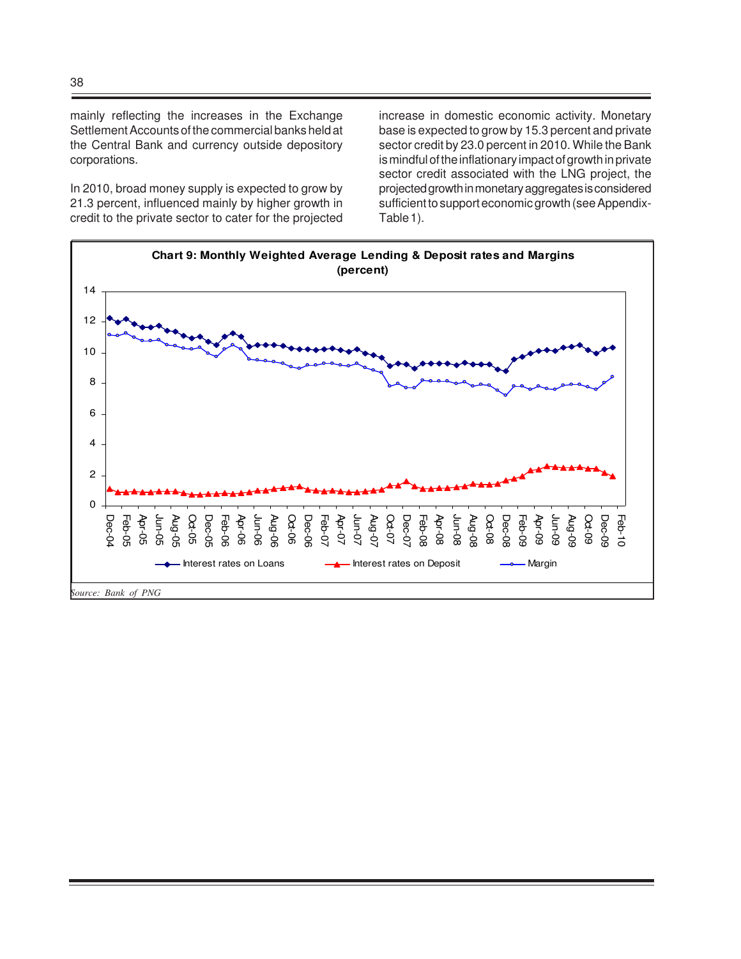mainly reflecting the increases in the Exchange Settlement Accounts of the commercial banks held at the Central Bank and currency outside depository corporations.

In 2010, broad money supply is expected to grow by 21.3 percent, influenced mainly by higher growth in credit to the private sector to cater for the projected increase in domestic economic activity. Monetary base is expected to grow by 15.3 percent and private sector credit by 23.0 percent in 2010. While the Bank is mindful of the inflationary impact of growth in private sector credit associated with the LNG project, the projected growth in monetary aggregates is considered sufficient to support economic growth (see Appendix-Table 1).

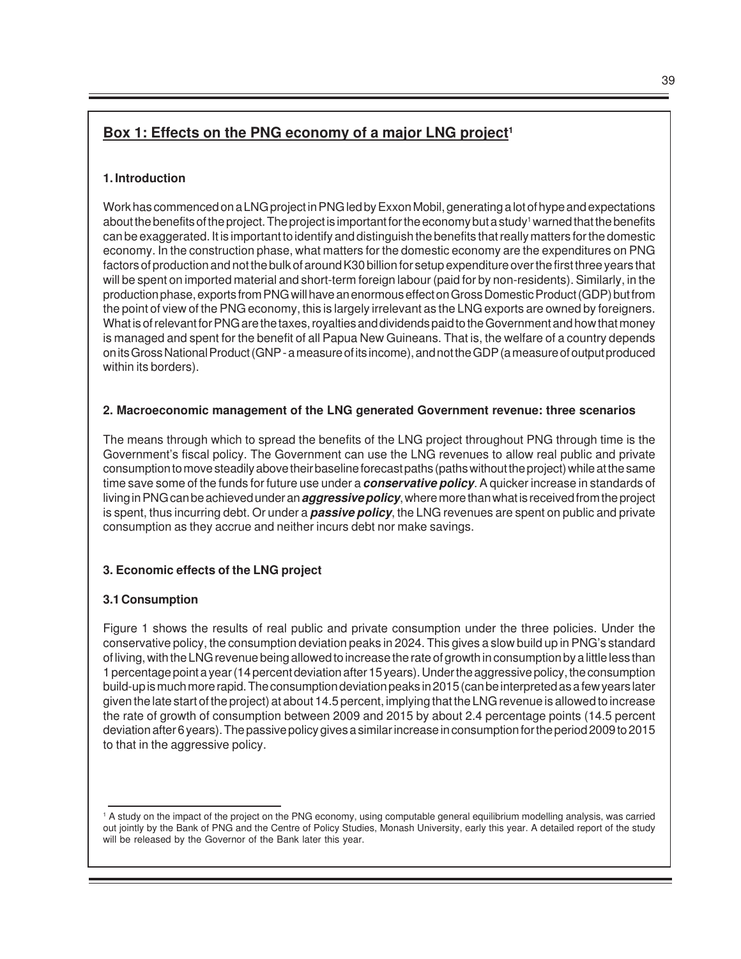# **Box 1: Effects on the PNG economy of a major LNG project<sup>1</sup>**

#### **1. Introduction**

Work has commenced on a LNG project in PNG led by Exxon Mobil, generating a lot of hype and expectations about the benefits of the project. The project is important for the economy but a study' warned that the benefits can be exaggerated. It is important to identify and distinguish the benefits that really matters for the domestic economy. In the construction phase, what matters for the domestic economy are the expenditures on PNG factors of production and not the bulk of around K30 billion for setup expenditure over the first three years that will be spent on imported material and short-term foreign labour (paid for by non-residents). Similarly, in the production phase, exports from PNG will have an enormous effect on Gross Domestic Product (GDP) but from the point of view of the PNG economy, this is largely irrelevant as the LNG exports are owned by foreigners. What is of relevant for PNG are the taxes, royalties and dividends paid to the Government and how that money is managed and spent for the benefit of all Papua New Guineans. That is, the welfare of a country depends on its Gross National Product (GNP - a measure of its income), and not the GDP (a measure of output produced within its borders).

#### **2. Macroeconomic management of the LNG generated Government revenue: three scenarios**

The means through which to spread the benefits of the LNG project throughout PNG through time is the Government's fiscal policy. The Government can use the LNG revenues to allow real public and private consumption to move steadily above their baseline forecast paths (paths without the project) while at the same time save some of the funds for future use under a **conservative policy**. A quicker increase in standards of living in PNG can be achieved under an **aggressive policy**, where more than what is received from the project is spent, thus incurring debt. Or under a **passive policy**, the LNG revenues are spent on public and private consumption as they accrue and neither incurs debt nor make savings.

#### **3. Economic effects of the LNG project**

#### **3.1 Consumption**

Figure 1 shows the results of real public and private consumption under the three policies. Under the conservative policy, the consumption deviation peaks in 2024. This gives a slow build up in PNG's standard of living, with the LNG revenue being allowed to increase the rate of growth in consumption by a little less than 1 percentage point a year (14 percent deviation after 15 years). Under the aggressive policy, the consumption build-up is much more rapid. The consumption deviation peaks in 2015 (can be interpreted as a few years later given the late start of the project) at about 14.5 percent, implying that the LNG revenue is allowed to increase the rate of growth of consumption between 2009 and 2015 by about 2.4 percentage points (14.5 percent deviation after 6 years). The passive policy gives a similar increase in consumption for the period 2009 to 2015 to that in the aggressive policy.

<sup>1</sup> A study on the impact of the project on the PNG economy, using computable general equilibrium modelling analysis, was carried out jointly by the Bank of PNG and the Centre of Policy Studies, Monash University, early this year. A detailed report of the study will be released by the Governor of the Bank later this year.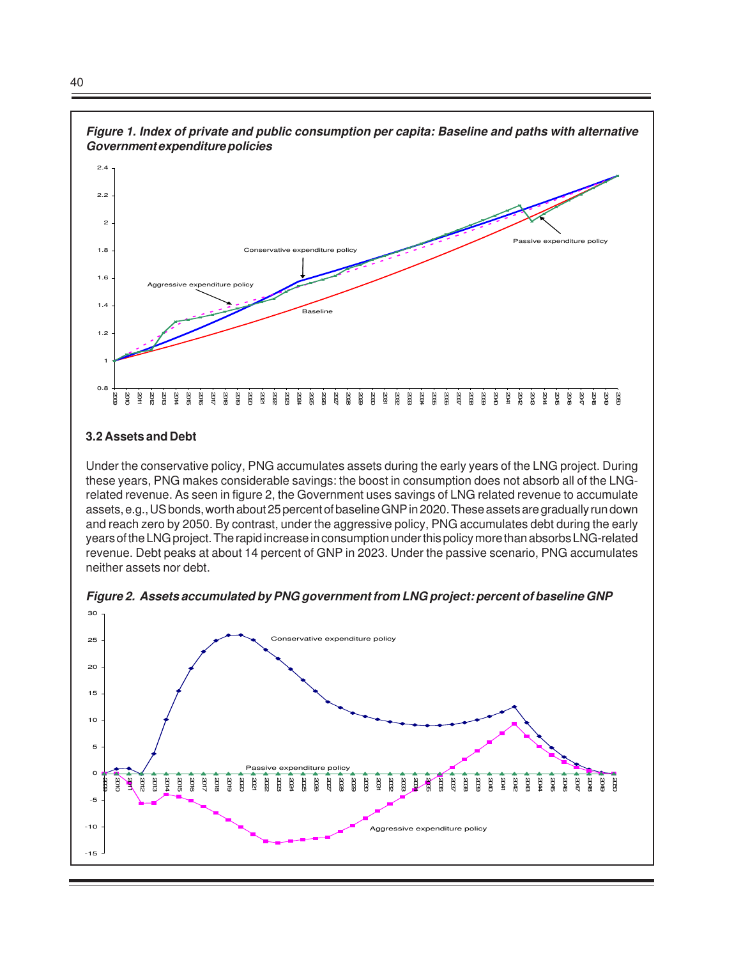

#### **3.2 Assets and Debt**

Under the conservative policy, PNG accumulates assets during the early years of the LNG project. During these years, PNG makes considerable savings: the boost in consumption does not absorb all of the LNGrelated revenue. As seen in figure 2, the Government uses savings of LNG related revenue to accumulate assets, e.g., US bonds, worth about 25 percent of baseline GNP in 2020. These assets are gradually run down and reach zero by 2050. By contrast, under the aggressive policy, PNG accumulates debt during the early years of the LNG project. The rapid increase in consumption under this policy more than absorbs LNG-related revenue. Debt peaks at about 14 percent of GNP in 2023. Under the passive scenario, PNG accumulates neither assets nor debt.



**Figure 2. Assets accumulated by PNG government from LNG project: percent of baseline GNP**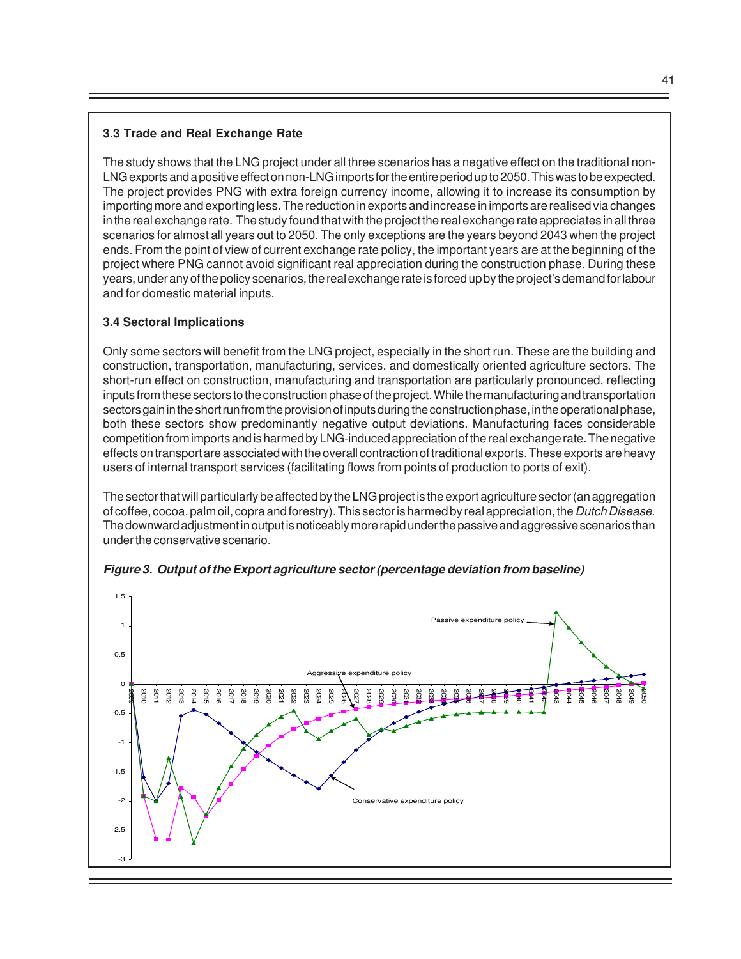# **3.3 Trade and Real Exchange Rate**

The study shows that the LNG project under all three scenarios has a negative effect on the traditional non-LNG exports and a positive effect on non-LNG imports for the entire period up to 2050. This was to be expected. The project provides PNG with extra foreign currency income, allowing it to increase its consumption by importing more and exporting less. The reduction in exports and increase in imports are realised via changes in the real exchange rate. The study found that with the project the real exchange rate appreciates in all three scenarios for almost all years out to 2050. The only exceptions are the years beyond 2043 when the project ends. From the point of view of current exchange rate policy, the important years are at the beginning of the project where PNG cannot avoid significant real appreciation during the construction phase. During these years, under any of the policy scenarios, the real exchange rate is forced up by the project's demand for labour and for domestic material inputs.

# **3.4 Sectoral Implications**

Only some sectors will benefit from the LNG project, especially in the short run. These are the building and construction, transportation, manufacturing, services, and domestically oriented agriculture sectors. The short-run effect on construction, manufacturing and transportation are particularly pronounced, reflecting inputs from these sectors to the construction phase of the project. While the manufacturing and transportation sectors gain in the short run from the provision of inputs during the construction phase, in the operational phase, both these sectors show predominantly negative output deviations. Manufacturing faces considerable competition from imports and is harmed by LNG-induced appreciation of the real exchange rate. The negative effects on transport are associated with the overall contraction of traditional exports. These exports are heavy users of internal transport services (facilitating flows from points of production to ports of exit).

The sector that will particularly be affected by the LNG project is the export agriculture sector (an aggregation of coffee, cocoa, palm oil, copra and forestry). This sector is harmed by real appreciation, the Dutch Disease. The downward adjustment in output is noticeably more rapid under the passive and aggressive scenarios than under the conservative scenario.



**Figure 3. Output of the Export agriculture sector (percentage deviation from baseline)**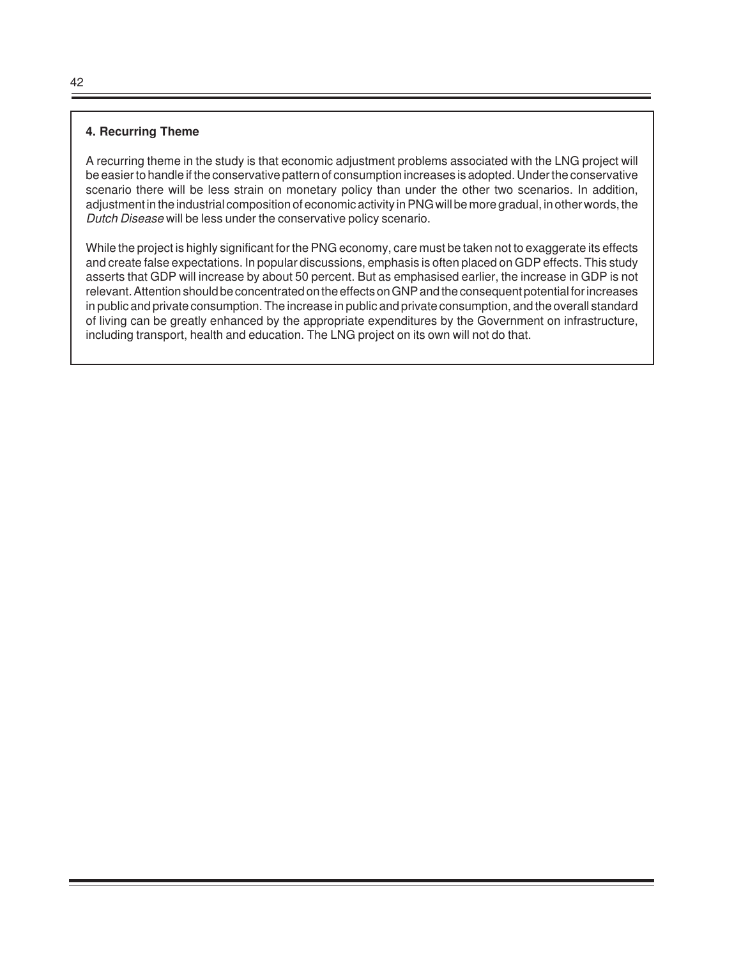#### **4. Recurring Theme**

A recurring theme in the study is that economic adjustment problems associated with the LNG project will be easier to handle if the conservative pattern of consumption increases is adopted. Under the conservative scenario there will be less strain on monetary policy than under the other two scenarios. In addition, adjustment in the industrial composition of economic activity in PNG will be more gradual, in other words, the Dutch Disease will be less under the conservative policy scenario.

While the project is highly significant for the PNG economy, care must be taken not to exaggerate its effects and create false expectations. In popular discussions, emphasis is often placed on GDP effects. This study asserts that GDP will increase by about 50 percent. But as emphasised earlier, the increase in GDP is not relevant. Attention should be concentrated on the effects on GNP and the consequent potential for increases in public and private consumption. The increase in public and private consumption, and the overall standard of living can be greatly enhanced by the appropriate expenditures by the Government on infrastructure, including transport, health and education. The LNG project on its own will not do that.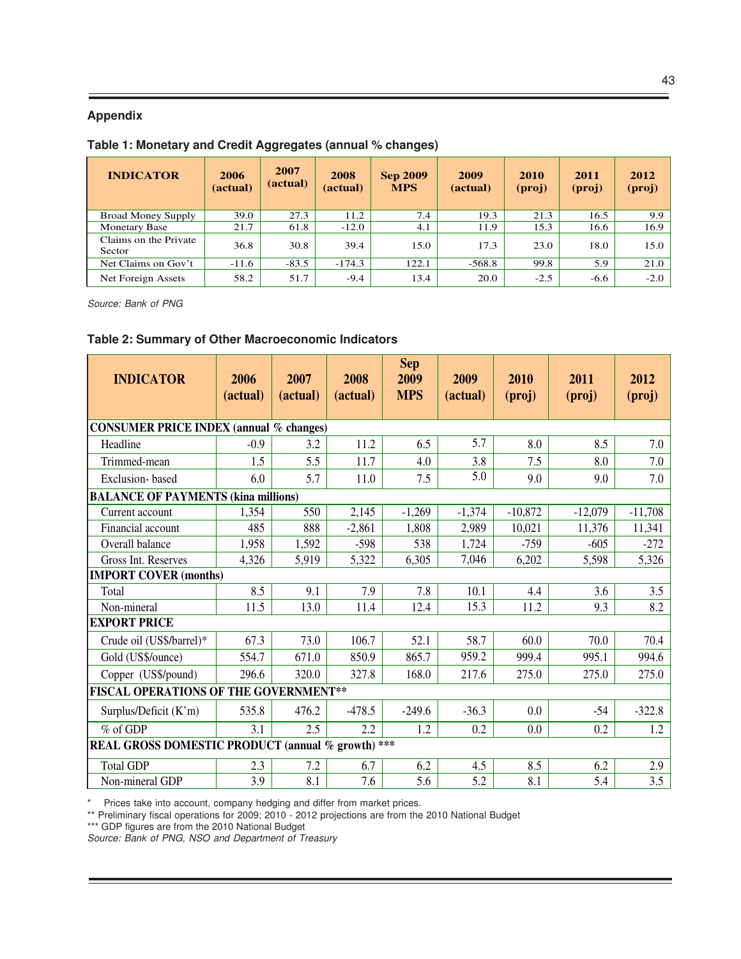#### **Appendix**

#### **Table 1: Monetary and Credit Aggregates (annual % changes)**

| <b>INDICATOR</b>                | 2006<br>(actual) | 2007<br>(actual) | 2008<br>(actual) | <b>Sep 2009</b><br><b>MPS</b> | 2009<br>(actual) | <b>2010</b><br>$(\text{proj})$ | 2011<br>(proj) | 2012<br>$(\text{proj})$ |
|---------------------------------|------------------|------------------|------------------|-------------------------------|------------------|--------------------------------|----------------|-------------------------|
| <b>Broad Money Supply</b>       | 39.0             | 27.3             | 11.2             | 7.4                           | 19.3             | 21.3                           | 16.5           | 9.9                     |
| <b>Monetary Base</b>            | 21.7             | 61.8             | $-12.0$          | 4.1                           | 11.9             | 15.3                           | 16.6           | 16.9                    |
| Claims on the Private<br>Sector | 36.8             | 30.8             | 39.4             | 15.0                          | 17.3             | 23.0                           | 18.0           | 15.0                    |
| Net Claims on Gov't             | $-11.6$          | $-83.5$          | $-174.3$         | 122.1                         | $-568.8$         | 99.8                           | 5.9            | 21.0                    |
| Net Foreign Assets              | 58.2             | 51.7             | $-9.4$           | 13.4                          | 20.0             | $-2.5$                         | $-6.6$         | $-2.0$                  |

Source: Bank of PNG

#### **Table 2: Summary of Other Macroeconomic Indicators**

| <b>INDICATOR</b>                                  | 2006<br>(actual) | 2007<br>(actual) | 2008<br>(actual) | <b>Sep</b><br>2009<br><b>MPS</b> | 2009<br>(actual) | 2010<br>(proj) | 2011<br>(proj) | 2012<br>(proj) |
|---------------------------------------------------|------------------|------------------|------------------|----------------------------------|------------------|----------------|----------------|----------------|
| <b>CONSUMER PRICE INDEX (annual % changes)</b>    |                  |                  |                  |                                  |                  |                |                |                |
| Headline                                          | $-0.9$           | 3.2              | 11.2             | 6.5                              | 5.7              | 8.0            | 8.5            | 7.0            |
| Trimmed-mean                                      | 1.5              | 5.5              | 11.7             | 4.0                              | 3.8              | 7.5            | 8.0            | 7.0            |
| Exclusion-based                                   | 6.0              | 5.7              | 11.0             | 7.5                              | 5.0              | 9.0            | 9.0            | 7.0            |
| <b>BALANCE OF PAYMENTS (kina millions)</b>        |                  |                  |                  |                                  |                  |                |                |                |
| Current account                                   | 1,354            | 550              | 2,145            | $-1,269$                         | $-1,374$         | $-10,872$      | $-12,079$      | $-11,708$      |
| Financial account                                 | 485              | 888              | $-2,861$         | 1,808                            | 2,989            | 10,021         | 11,376         | 11,341         |
| Overall balance                                   | 1,958            | 1,592            | $-598$           | 538                              | 1,724            | $-759$         | $-605$         | $-272$         |
| Gross Int. Reserves                               | 4,326            | 5,919            | 5,322            | 6,305                            | 7,046            | 6,202          | 5,598          | 5,326          |
| <b>IMPORT COVER (months)</b>                      |                  |                  |                  |                                  |                  |                |                |                |
| Total                                             | 8.5              | 9.1              | 7.9              | 7.8                              | 10.1             | 4.4            | 3.6            | 3.5            |
| Non-mineral                                       | 11.5             | 13.0             | 11.4             | 12.4                             | 15.3             | 11.2           | 9.3            | 8.2            |
| <b>EXPORT PRICE</b>                               |                  |                  |                  |                                  |                  |                |                |                |
| Crude oil (US\$/barrel)*                          | 67.3             | 73.0             | 106.7            | 52.1                             | 58.7             | 60.0           | 70.0           | 70.4           |
| Gold (US\$/ounce)                                 | 554.7            | 671.0            | 850.9            | 865.7                            | 959.2            | 999.4          | 995.1          | 994.6          |
| Copper (US\$/pound)                               | 296.6            | 320.0            | 327.8            | 168.0                            | 217.6            | 275.0          | 275.0          | 275.0          |
| FISCAL OPERATIONS OF THE GOVERNMENT**             |                  |                  |                  |                                  |                  |                |                |                |
| Surplus/Deficit (K'm)                             | 535.8            | 476.2            | $-478.5$         | $-249.6$                         | $-36.3$          | 0.0            | $-54$          | $-322.8$       |
| $%$ of GDP                                        | 3.1              | 2.5              | 2.2              | 1.2                              | 0.2              | 0.0            | 0.2            | 1.2            |
| REAL GROSS DOMESTIC PRODUCT (annual % growth) *** |                  |                  |                  |                                  |                  |                |                |                |
| <b>Total GDP</b>                                  | 2.3              | 7.2              | 6.7              | 6.2                              | 4.5              | 8.5            | 6.2            | 2.9            |
| Non-mineral GDP                                   | 3.9              | 8.1              | 7.6              | 5.6                              | 5.2              | 8.1            | 5.4            | 3.5            |

\* Prices take into account, company hedging and differ from market prices.

\*\* Preliminary fiscal operations for 2009; 2010 - 2012 projections are from the 2010 National Budget

\*\*\* GDP figures are from the 2010 National Budget

Source: Bank of PNG, NSO and Department of Treasury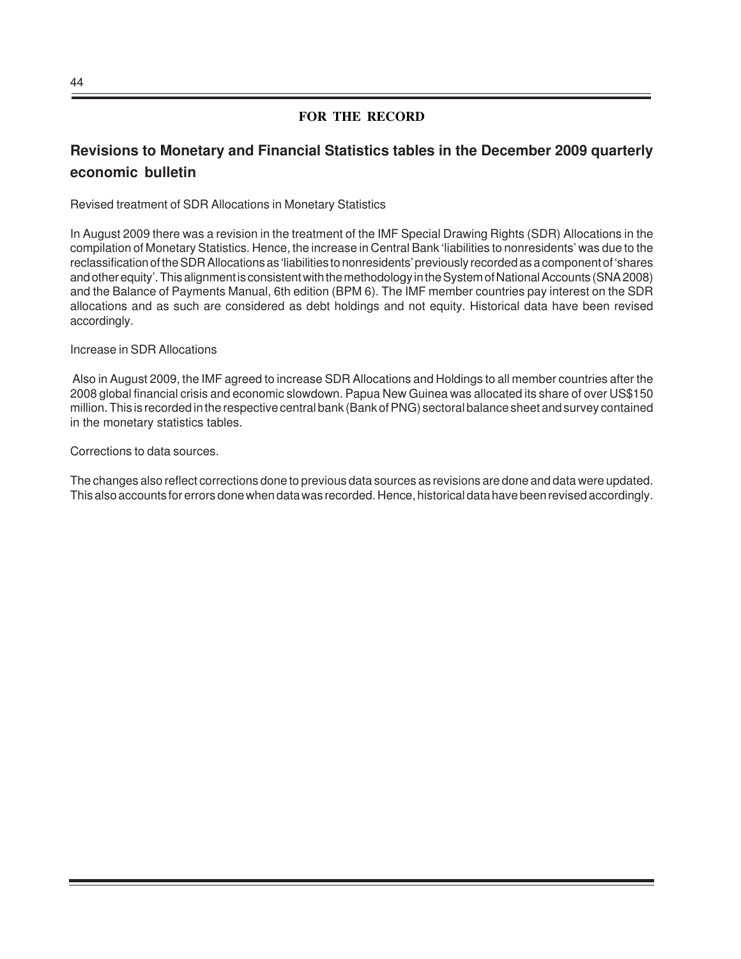# **Revisions to Monetary and Financial Statistics tables in the December 2009 quarterly economic bulletin**

Revised treatment of SDR Allocations in Monetary Statistics

In August 2009 there was a revision in the treatment of the IMF Special Drawing Rights (SDR) Allocations in the compilation of Monetary Statistics. Hence, the increase in Central Bank 'liabilities to nonresidents' was due to the reclassification of the SDR Allocations as 'liabilities to nonresidents' previously recorded as a component of 'shares and other equity'. This alignment is consistent with the methodology in the System of National Accounts (SNA 2008) and the Balance of Payments Manual, 6th edition (BPM 6). The IMF member countries pay interest on the SDR allocations and as such are considered as debt holdings and not equity. Historical data have been revised accordingly.

#### Increase in SDR Allocations

 Also in August 2009, the IMF agreed to increase SDR Allocations and Holdings to all member countries after the 2008 global financial crisis and economic slowdown. Papua New Guinea was allocated its share of over US\$150 million. This is recorded in the respective central bank (Bank of PNG) sectoral balance sheet and survey contained in the monetary statistics tables.

Corrections to data sources.

The changes also reflect corrections done to previous data sources as revisions are done and data were updated. This also accounts for errors done when data was recorded. Hence, historical data have been revised accordingly.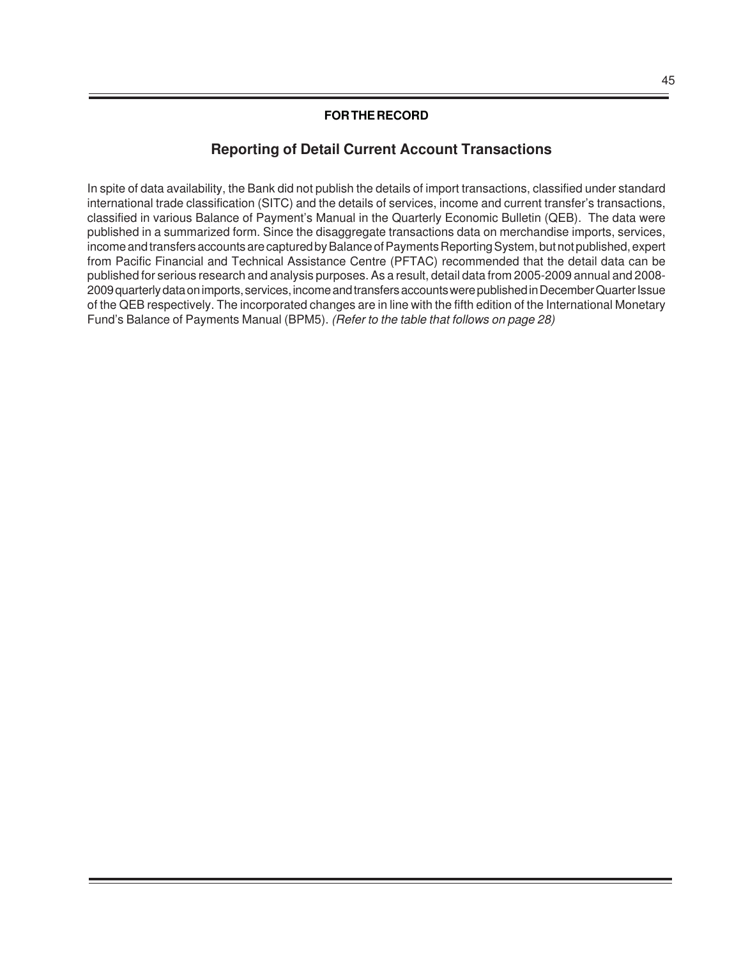# **Reporting of Detail Current Account Transactions**

In spite of data availability, the Bank did not publish the details of import transactions, classified under standard international trade classification (SITC) and the details of services, income and current transfer's transactions, classified in various Balance of Payment's Manual in the Quarterly Economic Bulletin (QEB). The data were published in a summarized form. Since the disaggregate transactions data on merchandise imports, services, income and transfers accounts are captured by Balance of Payments Reporting System, but not published, expert from Pacific Financial and Technical Assistance Centre (PFTAC) recommended that the detail data can be published for serious research and analysis purposes. As a result, detail data from 2005-2009 annual and 2008- 2009 quarterly data on imports, services, income and transfers accounts were published in December Quarter Issue of the QEB respectively. The incorporated changes are in line with the fifth edition of the International Monetary Fund's Balance of Payments Manual (BPM5). (Refer to the table that follows on page 28)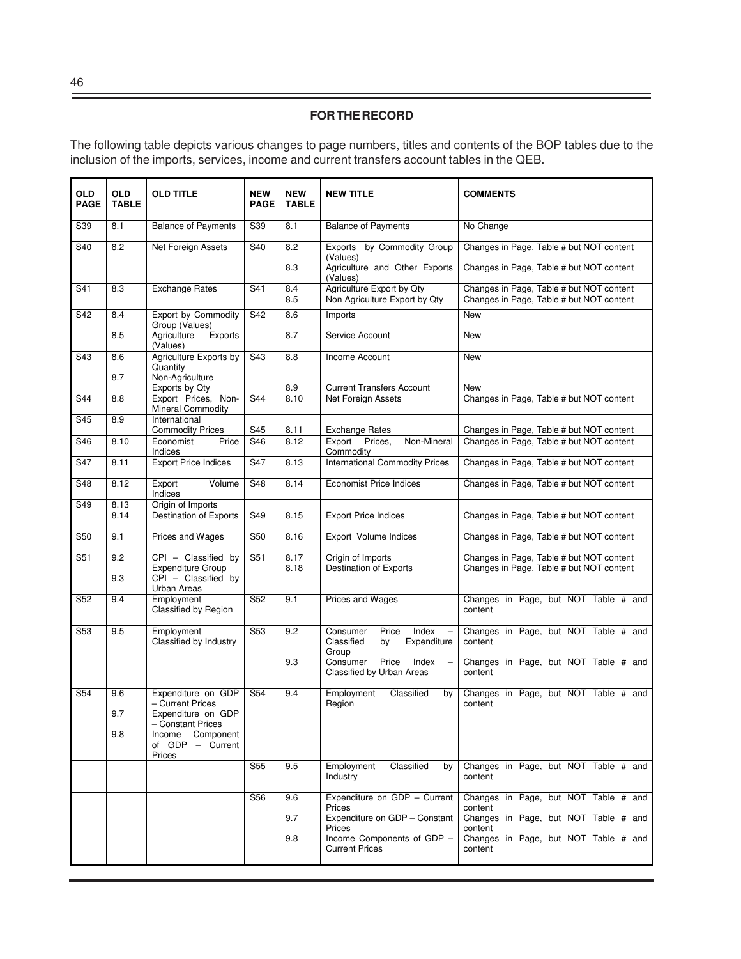The following table depicts various changes to page numbers, titles and contents of the BOP tables due to the inclusion of the imports, services, income and current transfers account tables in the QEB.

| <b>OLD</b><br><b>PAGE</b> | <b>OLD</b><br><b>TABLE</b> | <b>OLD TITLE</b>                                                       | <b>NEW</b><br><b>PAGE</b> | <b>NEW</b><br><b>TABLE</b> | <b>NEW TITLE</b>                                              | <b>COMMENTS</b>                                                                      |
|---------------------------|----------------------------|------------------------------------------------------------------------|---------------------------|----------------------------|---------------------------------------------------------------|--------------------------------------------------------------------------------------|
| S39                       | 8.1                        | <b>Balance of Payments</b>                                             | S39                       | 8.1                        | <b>Balance of Payments</b>                                    | No Change                                                                            |
| S40                       | 8.2                        | Net Foreign Assets                                                     | S40                       | 8.2                        | by Commodity Group<br>Exports<br>(Values)                     | Changes in Page, Table # but NOT content                                             |
|                           |                            |                                                                        |                           | 8.3                        | Agriculture and Other Exports<br>(Values)                     | Changes in Page, Table # but NOT content                                             |
| S41                       | 8.3                        | <b>Exchange Rates</b>                                                  | S41                       | 8.4<br>8.5                 | Agriculture Export by Qty<br>Non Agriculture Export by Qty    | Changes in Page, Table # but NOT content<br>Changes in Page, Table # but NOT content |
| S42                       | 8.4                        | Export by Commodity                                                    | S42                       | 8.6                        | Imports                                                       | <b>New</b>                                                                           |
|                           | 8.5                        | Group (Values)<br>Agriculture<br>Exports<br>(Values)                   |                           | 8.7                        | Service Account                                               | <b>New</b>                                                                           |
| S43                       | 8.6                        | Agriculture Exports by                                                 | S43                       | 8.8                        | Income Account                                                | <b>New</b>                                                                           |
|                           | 8.7                        | Quantity<br>Non-Agriculture                                            |                           | 8.9                        | <b>Current Transfers Account</b>                              | <b>New</b>                                                                           |
| S44                       | 8.8                        | Exports by Qty<br>Export Prices, Non-                                  | S44                       | 8.10                       | Net Foreign Assets                                            | Changes in Page, Table # but NOT content                                             |
|                           |                            | <b>Mineral Commodity</b>                                               |                           |                            |                                                               |                                                                                      |
| S45                       | 8.9                        | International<br><b>Commodity Prices</b>                               | S45                       | 8.11                       | <b>Exchange Rates</b>                                         | Changes in Page, Table # but NOT content                                             |
| S46                       | 8.10                       | Economist<br>Price<br>Indices                                          | S46                       | 8.12                       | Non-Mineral<br>Export<br>Prices,<br>Commodity                 | Changes in Page, Table # but NOT content                                             |
| S47                       | 8.11                       | <b>Export Price Indices</b>                                            | S47                       | 8.13                       | <b>International Commodity Prices</b>                         | Changes in Page, Table # but NOT content                                             |
| S48                       | 8.12                       | Export<br>Volume<br>Indices                                            | S48                       | 8.14                       | <b>Economist Price Indices</b>                                | Changes in Page, Table # but NOT content                                             |
| S49                       | 8.13<br>8.14               | Origin of Imports<br><b>Destination of Exports</b>                     | S49                       | 8.15                       | <b>Export Price Indices</b>                                   | Changes in Page, Table # but NOT content                                             |
| S50                       | 9.1                        | Prices and Wages                                                       | S50                       | 8.16                       | Export Volume Indices                                         | Changes in Page, Table # but NOT content                                             |
| S51                       | 9.2<br>9.3                 | CPI - Classified by<br><b>Expenditure Group</b><br>CPI - Classified by | S51                       | 8.17<br>8.18               | Origin of Imports<br><b>Destination of Exports</b>            | Changes in Page, Table # but NOT content<br>Changes in Page, Table # but NOT content |
| S52                       | 9.4                        | <b>Urban Areas</b><br>Employment<br><b>Classified by Region</b>        | $\overline{S52}$          | 9.1                        | Prices and Wages                                              | Changes in Page, but NOT Table # and<br>content                                      |
| S53                       | 9.5                        | Employment                                                             | S53                       | 9.2                        | Price<br>Index<br>Consumer<br>$\overline{\phantom{0}}$        | Changes in Page, but NOT Table # and                                                 |
|                           |                            | Classified by Industry                                                 |                           |                            | Classified<br>Expenditure<br>bv<br>Group                      | content                                                                              |
|                           |                            |                                                                        |                           | 9.3                        | Price<br>Consumer<br>Index<br>Classified by Urban Areas       | Changes in Page, but NOT Table # and<br>content                                      |
| S54                       | 9.6                        | Expenditure on GDP<br>- Current Prices                                 | S54                       | 9.4                        | Employment<br>Classified<br>by                                | Changes in Page, but NOT Table # and                                                 |
|                           | 9.7                        | Expenditure on GDP                                                     |                           |                            | Region                                                        | content                                                                              |
|                           | 9.8                        | - Constant Prices<br>Income<br>Component                               |                           |                            |                                                               |                                                                                      |
|                           |                            | of GDP - Current<br>Prices                                             |                           |                            |                                                               |                                                                                      |
|                           |                            |                                                                        | S55                       | 9.5                        | Classified<br>Employment<br>by<br>Industry                    | Changes in Page, but NOT Table # and<br>content                                      |
|                           |                            |                                                                        | S56                       | 9.6                        | Expenditure on GDP - Current                                  | Changes in Page, but NOT Table # and                                                 |
|                           |                            |                                                                        |                           | 9.7                        | Prices<br>Expenditure on GDP - Constant                       | content<br>Changes in Page, but NOT Table # and                                      |
|                           |                            |                                                                        |                           | 9.8                        | Prices<br>Income Components of GDP -<br><b>Current Prices</b> | content<br>Changes in Page, but NOT Table # and<br>content                           |
|                           |                            |                                                                        |                           |                            |                                                               |                                                                                      |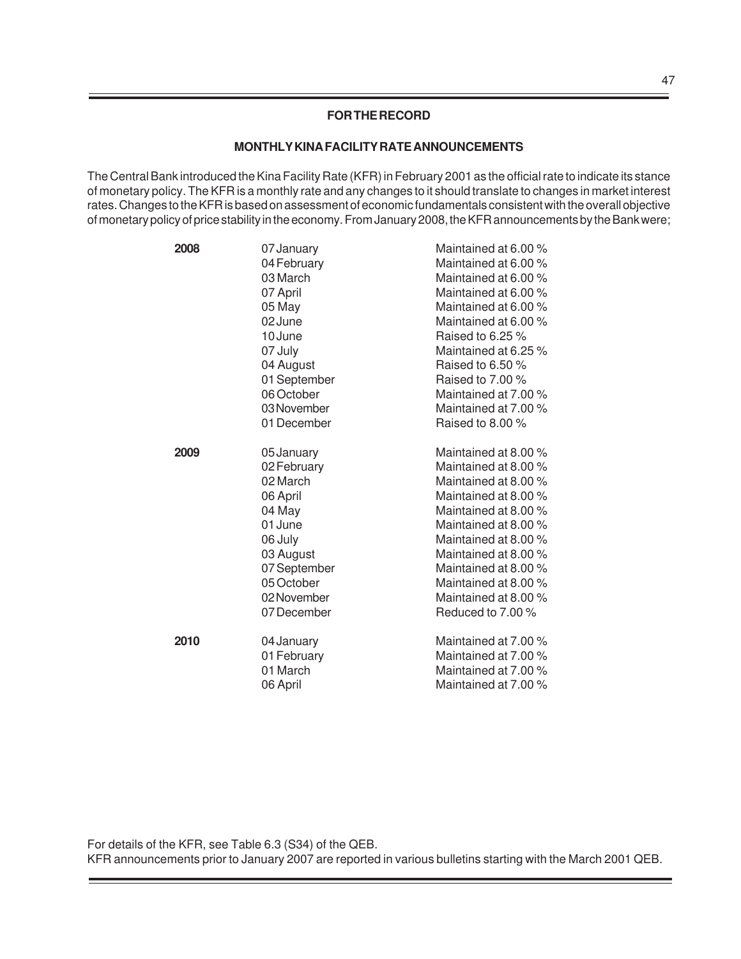#### **MONTHLY KINA FACILITY RATE ANNOUNCEMENTS**

The Central Bank introduced the Kina Facility Rate (KFR) in February 2001 as the official rate to indicate its stance of monetary policy. The KFR is a monthly rate and any changes to it should translate to changes in market interest rates. Changes to the KFR is based on assessment of economic fundamentals consistent with the overall objective of monetary policy of price stability in the economy. From January 2008, the KFR announcements by the Bank were;

| 2008 | 07 January<br>04 February<br>03 March<br>07 April<br>05 May<br>02 June                                                                                     | Maintained at 6.00 %<br>Maintained at 6.00 %<br>Maintained at 6.00 %<br>Maintained at 6.00 %<br>Maintained at 6.00 %<br>Maintained at 6.00 %                                                                                                                                              |
|------|------------------------------------------------------------------------------------------------------------------------------------------------------------|-------------------------------------------------------------------------------------------------------------------------------------------------------------------------------------------------------------------------------------------------------------------------------------------|
|      | 10 June<br>07 July<br>04 August<br>01 September<br>06 October<br>03 November<br>01 December                                                                | Raised to 6.25 %<br>Maintained at 6.25 %<br>Raised to 6.50 %<br>Raised to $7.00\%$<br>Maintained at 7.00 %<br>Maintained at 7.00 %<br>Raised to 8.00 %                                                                                                                                    |
| 2009 | 05 January<br>02 February<br>02 March<br>06 April<br>04 May<br>01 June<br>06 July<br>03 August<br>07 September<br>05 October<br>02 November<br>07 December | Maintained at 8.00 %<br>Maintained at 8.00 %<br>Maintained at 8.00 %<br>Maintained at 8.00 %<br>Maintained at 8.00 %<br>Maintained at 8.00 %<br>Maintained at 8.00 %<br>Maintained at 8.00 %<br>Maintained at 8.00 %<br>Maintained at 8.00 %<br>Maintained at 8.00 %<br>Reduced to 7.00 % |
| 2010 | 04 January<br>01 February<br>01 March<br>06 April                                                                                                          | Maintained at 7.00 %<br>Maintained at 7.00 %<br>Maintained at 7.00 %<br>Maintained at 7.00 %                                                                                                                                                                                              |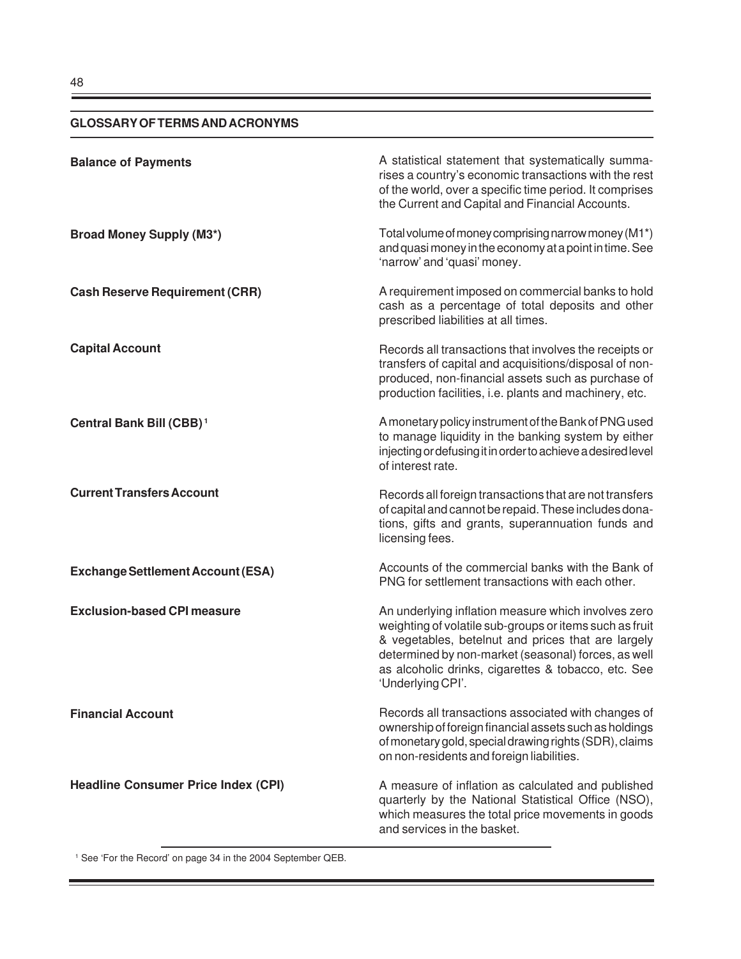# **GLOSSARY OF TERMS AND ACRONYMS**

| <b>Balance of Payments</b>                 | A statistical statement that systematically summa-<br>rises a country's economic transactions with the rest<br>of the world, over a specific time period. It comprises<br>the Current and Capital and Financial Accounts.                                                                               |
|--------------------------------------------|---------------------------------------------------------------------------------------------------------------------------------------------------------------------------------------------------------------------------------------------------------------------------------------------------------|
| <b>Broad Money Supply (M3*)</b>            | Total volume of money comprising narrow money (M1*)<br>and quasi money in the economy at a point in time. See<br>'narrow' and 'quasi' money.                                                                                                                                                            |
| <b>Cash Reserve Requirement (CRR)</b>      | A requirement imposed on commercial banks to hold<br>cash as a percentage of total deposits and other<br>prescribed liabilities at all times.                                                                                                                                                           |
| <b>Capital Account</b>                     | Records all transactions that involves the receipts or<br>transfers of capital and acquisitions/disposal of non-<br>produced, non-financial assets such as purchase of<br>production facilities, i.e. plants and machinery, etc.                                                                        |
| Central Bank Bill (CBB) <sup>1</sup>       | A monetary policy instrument of the Bank of PNG used<br>to manage liquidity in the banking system by either<br>injecting or defusing it in order to achieve a desired level<br>of interest rate.                                                                                                        |
| <b>Current Transfers Account</b>           | Records all foreign transactions that are not transfers<br>of capital and cannot be repaid. These includes dona-<br>tions, gifts and grants, superannuation funds and<br>licensing fees.                                                                                                                |
| <b>Exchange Settlement Account (ESA)</b>   | Accounts of the commercial banks with the Bank of<br>PNG for settlement transactions with each other.                                                                                                                                                                                                   |
| <b>Exclusion-based CPI measure</b>         | An underlying inflation measure which involves zero<br>weighting of volatile sub-groups or items such as fruit<br>& vegetables, betelnut and prices that are largely<br>determined by non-market (seasonal) forces, as well<br>as alcoholic drinks, cigarettes & tobacco, etc. See<br>'Underlying CPI'. |
| <b>Financial Account</b>                   | Records all transactions associated with changes of<br>ownership of foreign financial assets such as holdings<br>of monetary gold, special drawing rights (SDR), claims<br>on non-residents and foreign liabilities.                                                                                    |
| <b>Headline Consumer Price Index (CPI)</b> | A measure of inflation as calculated and published<br>quarterly by the National Statistical Office (NSO),<br>which measures the total price movements in goods<br>and services in the basket.                                                                                                           |

ŧ

<sup>1</sup> See 'For the Record' on page 34 in the 2004 September QEB.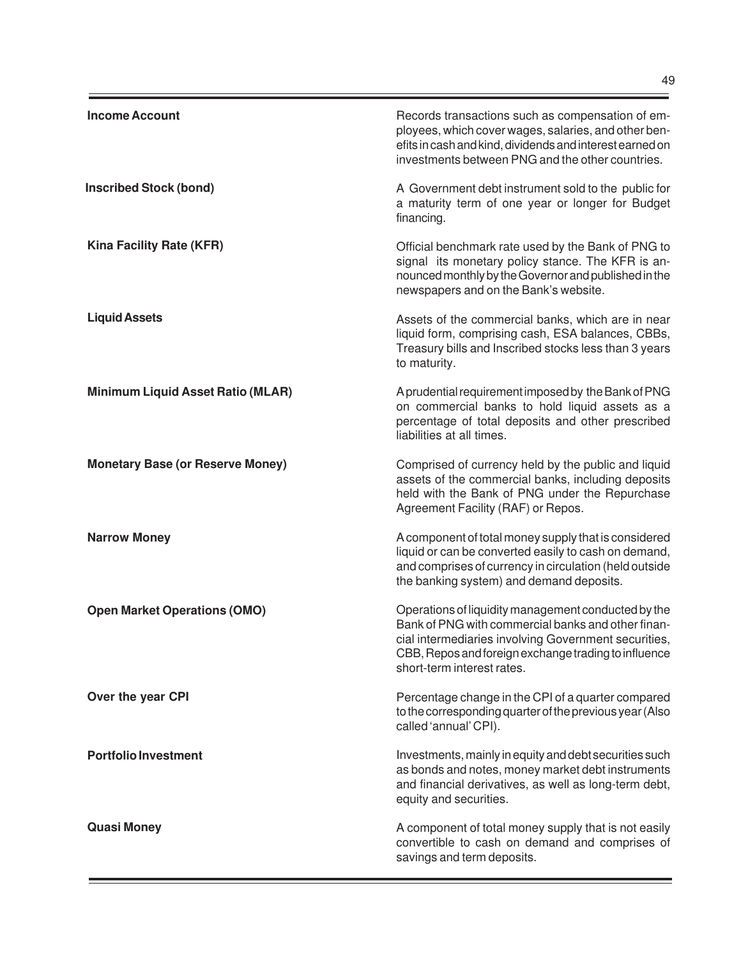| <b>Income Account</b>                    | Records transactions such as compensation of em-<br>ployees, which cover wages, salaries, and other ben-<br>efits in cash and kind, dividends and interest earned on<br>investments between PNG and the other countries.                                |
|------------------------------------------|---------------------------------------------------------------------------------------------------------------------------------------------------------------------------------------------------------------------------------------------------------|
| <b>Inscribed Stock (bond)</b>            | A Government debt instrument sold to the public for<br>a maturity term of one year or longer for Budget<br>financing.                                                                                                                                   |
| Kina Facility Rate (KFR)                 | Official benchmark rate used by the Bank of PNG to<br>signal its monetary policy stance. The KFR is an-<br>nounced monthly by the Governor and published in the<br>newspapers and on the Bank's website.                                                |
| <b>Liquid Assets</b>                     | Assets of the commercial banks, which are in near<br>liquid form, comprising cash, ESA balances, CBBs,<br>Treasury bills and Inscribed stocks less than 3 years<br>to maturity.                                                                         |
| <b>Minimum Liquid Asset Ratio (MLAR)</b> | A prudential requirement imposed by the Bank of PNG<br>on commercial banks to hold liquid assets as a<br>percentage of total deposits and other prescribed<br>liabilities at all times.                                                                 |
| <b>Monetary Base (or Reserve Money)</b>  | Comprised of currency held by the public and liquid<br>assets of the commercial banks, including deposits<br>held with the Bank of PNG under the Repurchase<br>Agreement Facility (RAF) or Repos.                                                       |
| <b>Narrow Money</b>                      | A component of total money supply that is considered<br>liquid or can be converted easily to cash on demand,<br>and comprises of currency in circulation (held outside<br>the banking system) and demand deposits.                                      |
| <b>Open Market Operations (OMO)</b>      | Operations of liquidity management conducted by the<br>Bank of PNG with commercial banks and other finan-<br>cial intermediaries involving Government securities.<br>CBB, Repos and foreign exchange trading to influence<br>short-term interest rates. |
| Over the year CPI                        | Percentage change in the CPI of a quarter compared<br>to the corresponding quarter of the previous year (Also<br>called 'annual' CPI).                                                                                                                  |
| <b>Portfolio Investment</b>              | Investments, mainly in equity and debt securities such<br>as bonds and notes, money market debt instruments<br>and financial derivatives, as well as long-term debt,<br>equity and securities.                                                          |
| <b>Quasi Money</b>                       | A component of total money supply that is not easily<br>convertible to cash on demand and comprises of<br>savings and term deposits.                                                                                                                    |

 $\equiv$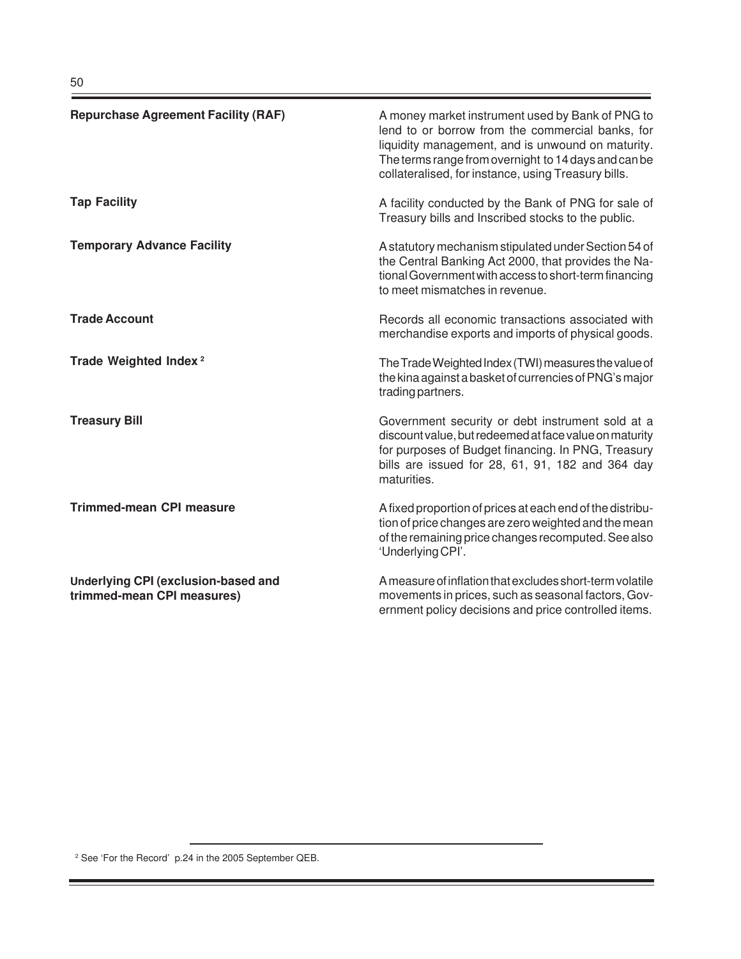| <b>Repurchase Agreement Facility (RAF)</b>                        | A money market instrument used by Bank of PNG to<br>lend to or borrow from the commercial banks, for<br>liquidity management, and is unwound on maturity.<br>The terms range from overnight to 14 days and can be<br>collateralised, for instance, using Treasury bills. |
|-------------------------------------------------------------------|--------------------------------------------------------------------------------------------------------------------------------------------------------------------------------------------------------------------------------------------------------------------------|
| <b>Tap Facility</b>                                               | A facility conducted by the Bank of PNG for sale of<br>Treasury bills and Inscribed stocks to the public.                                                                                                                                                                |
| <b>Temporary Advance Facility</b>                                 | A statutory mechanism stipulated under Section 54 of<br>the Central Banking Act 2000, that provides the Na-<br>tional Government with access to short-term financing<br>to meet mismatches in revenue.                                                                   |
| <b>Trade Account</b>                                              | Records all economic transactions associated with<br>merchandise exports and imports of physical goods.                                                                                                                                                                  |
| Trade Weighted Index <sup>2</sup>                                 | The Trade Weighted Index (TWI) measures the value of<br>the kina against a basket of currencies of PNG's major<br>trading partners.                                                                                                                                      |
| <b>Treasury Bill</b>                                              | Government security or debt instrument sold at a<br>discount value, but redeemed at face value on maturity<br>for purposes of Budget financing. In PNG, Treasury<br>bills are issued for 28, 61, 91, 182 and 364 day<br>maturities.                                      |
| <b>Trimmed-mean CPI measure</b>                                   | A fixed proportion of prices at each end of the distribu-<br>tion of price changes are zero weighted and the mean<br>of the remaining price changes recomputed. See also<br>'Underlying CPI'.                                                                            |
| Underlying CPI (exclusion-based and<br>trimmed-mean CPI measures) | A measure of inflation that excludes short-term volatile<br>movements in prices, such as seasonal factors, Gov-<br>ernment policy decisions and price controlled items.                                                                                                  |

-

۲

<sup>2</sup> See 'For the Record' p.24 in the 2005 September QEB.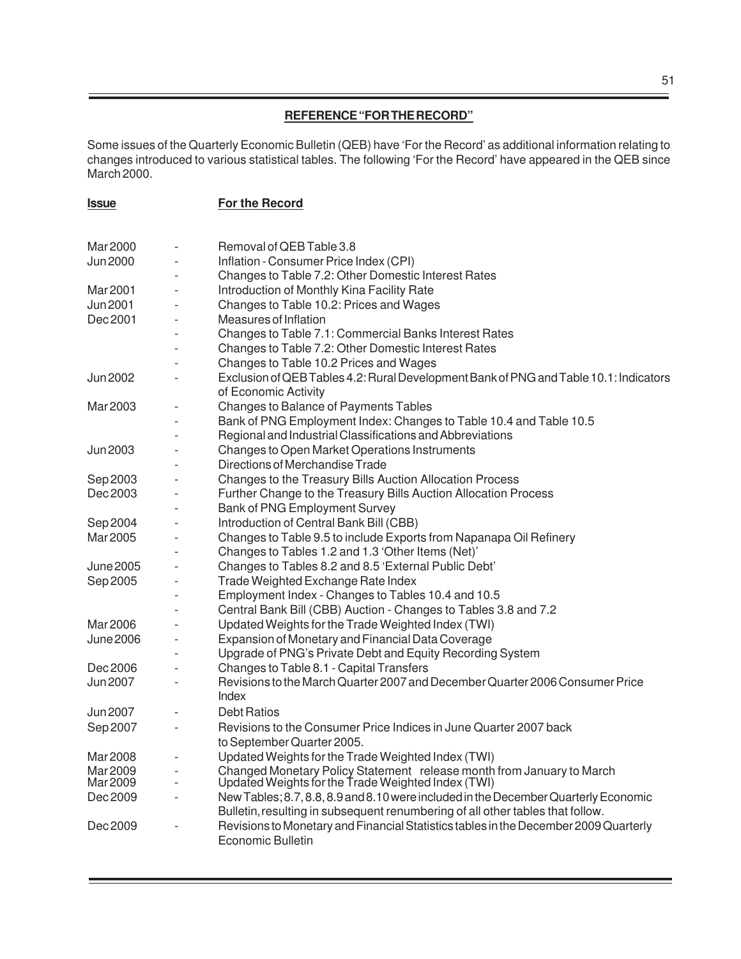# **REFERENCE "FOR THE RECORD"**

Some issues of the Quarterly Economic Bulletin (QEB) have 'For the Record' as additional information relating to changes introduced to various statistical tables. The following 'For the Record' have appeared in the QEB since March 2000.

| <u><b>Issue</b></u> |                          | For the Record                                                                                                              |
|---------------------|--------------------------|-----------------------------------------------------------------------------------------------------------------------------|
|                     |                          |                                                                                                                             |
| Mar 2000            |                          | Removal of QEB Table 3.8                                                                                                    |
| <b>Jun 2000</b>     |                          | Inflation - Consumer Price Index (CPI)                                                                                      |
|                     |                          | Changes to Table 7.2: Other Domestic Interest Rates                                                                         |
| Mar 2001            |                          | Introduction of Monthly Kina Facility Rate                                                                                  |
| Jun 2001            |                          | Changes to Table 10.2: Prices and Wages                                                                                     |
| Dec 2001            |                          | Measures of Inflation                                                                                                       |
|                     |                          | Changes to Table 7.1: Commercial Banks Interest Rates                                                                       |
|                     |                          | Changes to Table 7.2: Other Domestic Interest Rates                                                                         |
|                     |                          | Changes to Table 10.2 Prices and Wages                                                                                      |
| Jun 2002            |                          | Exclusion of QEB Tables 4.2: Rural Development Bank of PNG and Table 10.1: Indicators<br>of Economic Activity               |
| Mar 2003            |                          | Changes to Balance of Payments Tables                                                                                       |
|                     |                          | Bank of PNG Employment Index: Changes to Table 10.4 and Table 10.5                                                          |
|                     |                          | Regional and Industrial Classifications and Abbreviations                                                                   |
| <b>Jun 2003</b>     |                          | Changes to Open Market Operations Instruments                                                                               |
|                     |                          | Directions of Merchandise Trade                                                                                             |
| Sep 2003            |                          | Changes to the Treasury Bills Auction Allocation Process                                                                    |
| Dec 2003            |                          | Further Change to the Treasury Bills Auction Allocation Process                                                             |
|                     |                          | Bank of PNG Employment Survey                                                                                               |
| Sep 2004            |                          | Introduction of Central Bank Bill (CBB)                                                                                     |
| Mar 2005            |                          | Changes to Table 9.5 to include Exports from Napanapa Oil Refinery                                                          |
|                     |                          | Changes to Tables 1.2 and 1.3 'Other Items (Net)'                                                                           |
| <b>June 2005</b>    |                          | Changes to Tables 8.2 and 8.5 'External Public Debt'                                                                        |
| Sep 2005            |                          | Trade Weighted Exchange Rate Index                                                                                          |
|                     |                          | Employment Index - Changes to Tables 10.4 and 10.5                                                                          |
|                     |                          | Central Bank Bill (CBB) Auction - Changes to Tables 3.8 and 7.2                                                             |
| Mar 2006            |                          | Updated Weights for the Trade Weighted Index (TWI)                                                                          |
| <b>June 2006</b>    |                          | Expansion of Monetary and Financial Data Coverage                                                                           |
|                     |                          | Upgrade of PNG's Private Debt and Equity Recording System                                                                   |
| Dec 2006            |                          | Changes to Table 8.1 - Capital Transfers                                                                                    |
| Jun 2007            | $\overline{\phantom{a}}$ | Revisions to the March Quarter 2007 and December Quarter 2006 Consumer Price<br>Index                                       |
| Jun 2007            |                          | <b>Debt Ratios</b>                                                                                                          |
| Sep 2007            |                          | Revisions to the Consumer Price Indices in June Quarter 2007 back<br>to September Quarter 2005.                             |
| Mar 2008            |                          | Updated Weights for the Trade Weighted Index (TWI)                                                                          |
| Mar 2009            |                          |                                                                                                                             |
| Mar 2009            |                          | Changed Monetary Policy Statement release month from January to March<br>Updated Weights for the Trade Weighted Index (TWI) |
| Dec 2009            |                          | New Tables; 8.7, 8.8, 8.9 and 8.10 were included in the December Quarterly Economic                                         |
|                     |                          | Bulletin, resulting in subsequent renumbering of all other tables that follow.                                              |
| Dec 2009            |                          | Revisions to Monetary and Financial Statistics tables in the December 2009 Quarterly<br><b>Economic Bulletin</b>            |
|                     |                          |                                                                                                                             |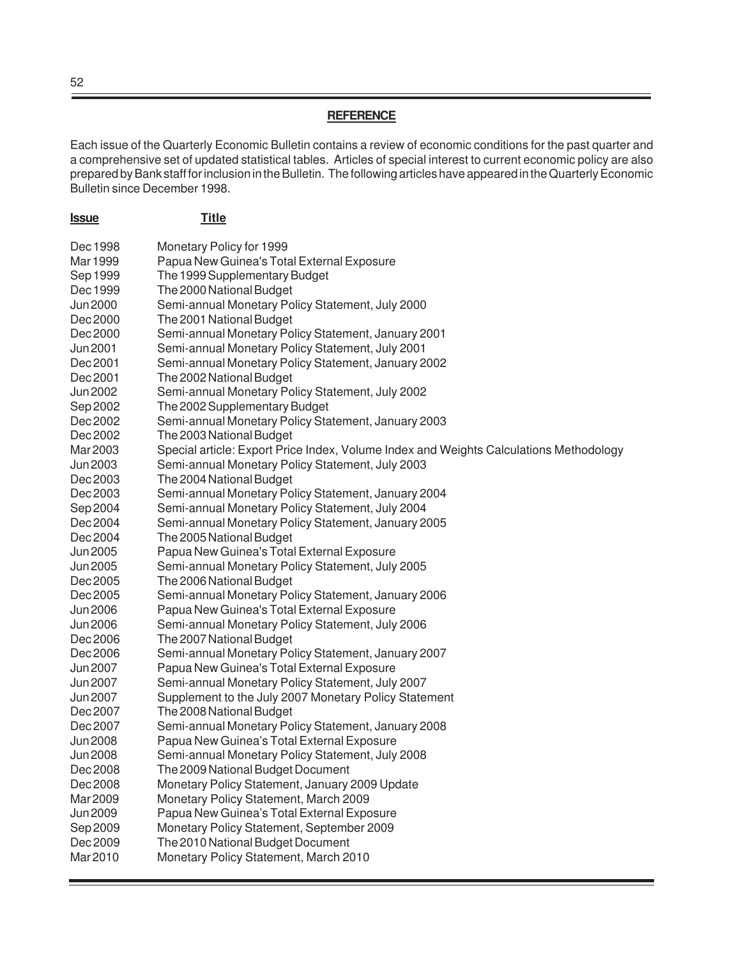#### **REFERENCE**

Each issue of the Quarterly Economic Bulletin contains a review of economic conditions for the past quarter and a comprehensive set of updated statistical tables. Articles of special interest to current economic policy are also prepared by Bank staff for inclusion in the Bulletin. The following articles have appeared in the Quarterly Economic Bulletin since December 1998.

| <u><b>Issue</b></u>         | <b>Title</b>                                                                                      |
|-----------------------------|---------------------------------------------------------------------------------------------------|
| Dec 1998                    | Monetary Policy for 1999                                                                          |
| Mar 1999                    | Papua New Guinea's Total External Exposure                                                        |
| Sep 1999                    | The 1999 Supplementary Budget                                                                     |
| Dec 1999                    | The 2000 National Budget                                                                          |
| Jun 2000                    | Semi-annual Monetary Policy Statement, July 2000                                                  |
| Dec 2000                    | The 2001 National Budget                                                                          |
| Dec 2000                    | Semi-annual Monetary Policy Statement, January 2001                                               |
| Jun 2001                    | Semi-annual Monetary Policy Statement, July 2001                                                  |
| Dec 2001                    | Semi-annual Monetary Policy Statement, January 2002                                               |
| Dec 2001                    | The 2002 National Budget                                                                          |
| Jun 2002                    | Semi-annual Monetary Policy Statement, July 2002                                                  |
| Sep 2002                    | The 2002 Supplementary Budget                                                                     |
| Dec 2002                    | Semi-annual Monetary Policy Statement, January 2003                                               |
| Dec 2002                    | The 2003 National Budget                                                                          |
| Mar 2003                    | Special article: Export Price Index, Volume Index and Weights Calculations Methodology            |
| Jun 2003                    | Semi-annual Monetary Policy Statement, July 2003                                                  |
| Dec 2003                    | The 2004 National Budget                                                                          |
| Dec 2003                    | Semi-annual Monetary Policy Statement, January 2004                                               |
| Sep 2004                    | Semi-annual Monetary Policy Statement, July 2004                                                  |
| Dec 2004                    | Semi-annual Monetary Policy Statement, January 2005                                               |
| Dec 2004                    | The 2005 National Budget                                                                          |
| Jun 2005                    | Papua New Guinea's Total External Exposure                                                        |
| Jun 2005                    | Semi-annual Monetary Policy Statement, July 2005                                                  |
| Dec 2005                    | The 2006 National Budget                                                                          |
| Dec 2005                    | Semi-annual Monetary Policy Statement, January 2006                                               |
| Jun 2006                    | Papua New Guinea's Total External Exposure                                                        |
| Jun 2006                    | Semi-annual Monetary Policy Statement, July 2006                                                  |
| Dec 2006                    | The 2007 National Budget                                                                          |
| Dec 2006                    | Semi-annual Monetary Policy Statement, January 2007                                               |
| Jun 2007                    | Papua New Guinea's Total External Exposure                                                        |
| Jun 2007                    | Semi-annual Monetary Policy Statement, July 2007                                                  |
| Jun 2007                    | Supplement to the July 2007 Monetary Policy Statement                                             |
| Dec 2007                    | The 2008 National Budget                                                                          |
| Dec 2007<br><b>Jun 2008</b> | Semi-annual Monetary Policy Statement, January 2008<br>Papua New Guinea's Total External Exposure |
| Jun 2008                    | Semi-annual Monetary Policy Statement, July 2008                                                  |
| Dec 2008                    | The 2009 National Budget Document                                                                 |
| Dec 2008                    | Monetary Policy Statement, January 2009 Update                                                    |
| Mar 2009                    | Monetary Policy Statement, March 2009                                                             |
| <b>Jun 2009</b>             | Papua New Guinea's Total External Exposure                                                        |
| Sep 2009                    | Monetary Policy Statement, September 2009                                                         |
| Dec 2009                    | The 2010 National Budget Document                                                                 |
| Mar 2010                    | Monetary Policy Statement, March 2010                                                             |
|                             |                                                                                                   |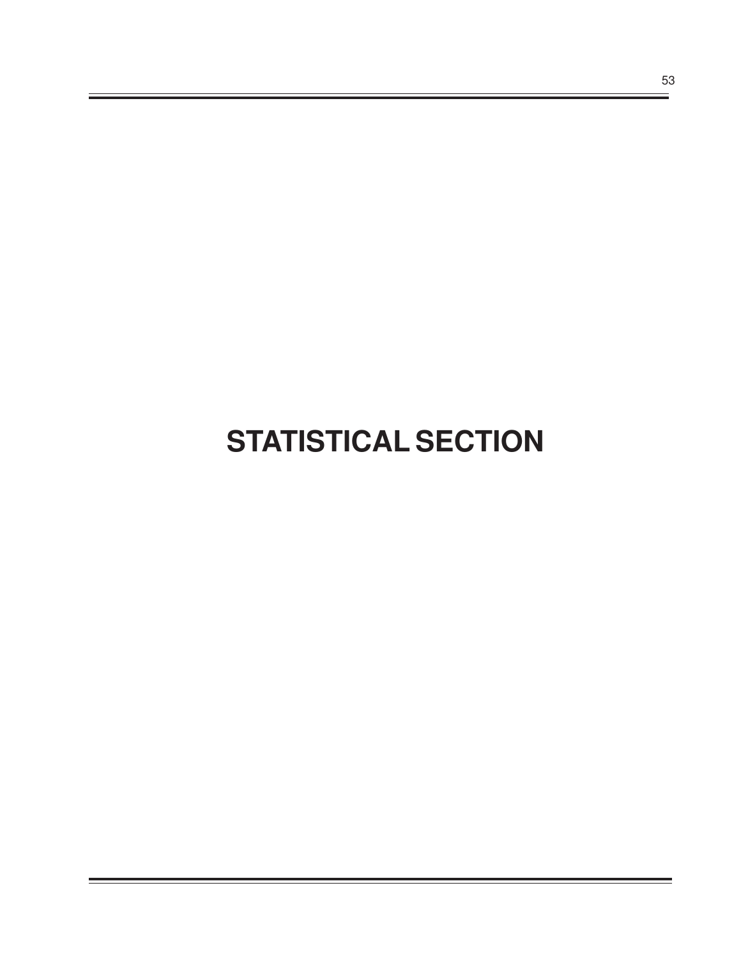# **STATISTICAL SECTION**